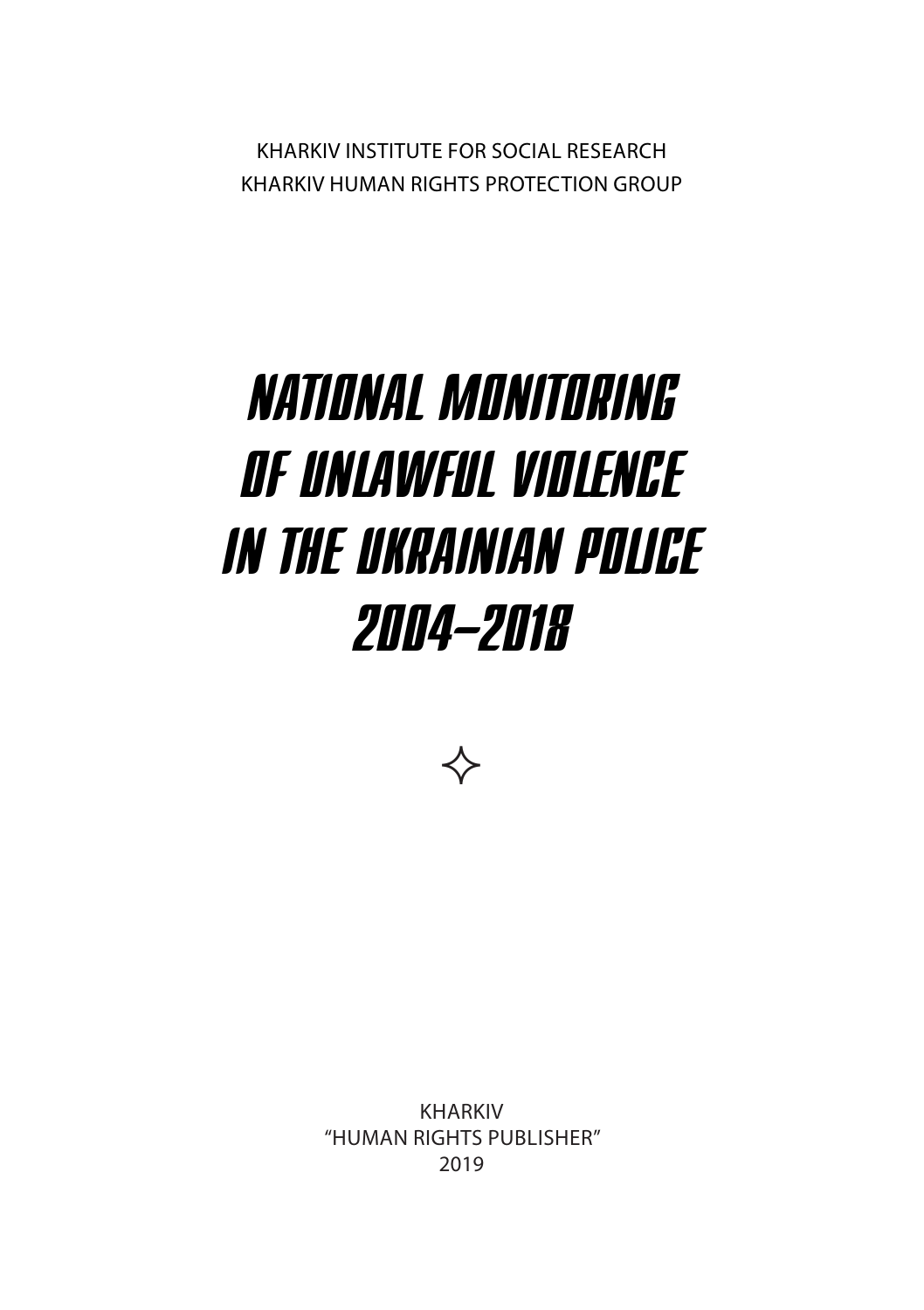Kharkiv Institute for Social Research Kharkiv Human Rights Protection Group

# NATIONAL MONITORING OF UNLAWFUL VIOLENCE IN THE UKRAINIAN POLICE 2004–2018



Kharkiv "human rights publisher" 2019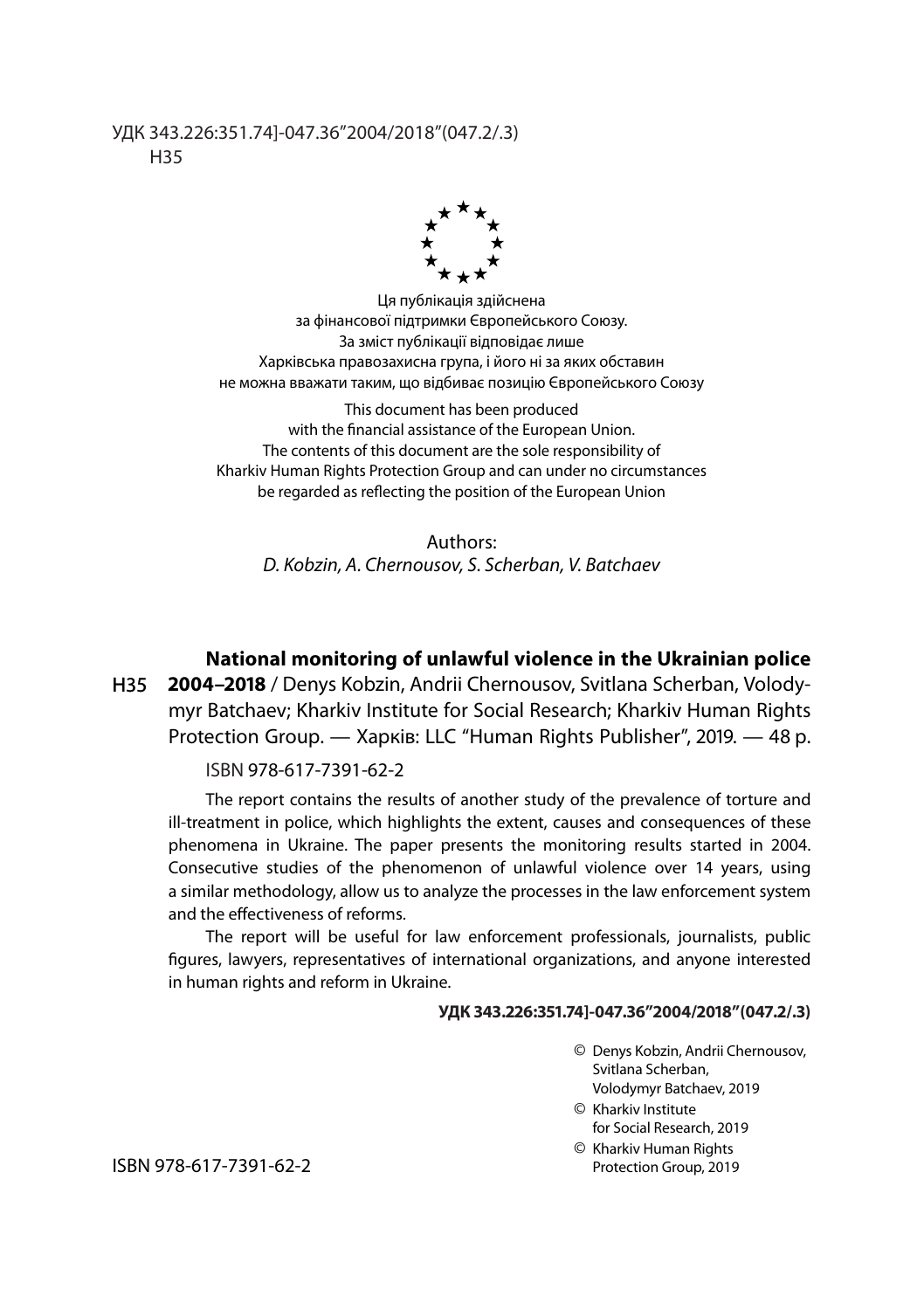#### УДК 343.226:351.74]-047.36"2004/2018"(047.2/.3) Н35



Ця публікація здійснена за фінансової підтримки Європейського Союзу. За зміст публікації відповідає лише Харківська правозахисна група, і його ні за яких обставин не можна вважати таким, що відбиває позицію Європейського Союзу

This document has been produced with the financial assistance of the European Union. The contents of this document are the sole responsibility of Kharkiv Human Rights Protection Group and can under no circumstances be regarded as reflecting the position of the European Union

Authors: *D. Kobzin, А. Chernousov, S. Scherban, V. Batchaev*

**National monitoring of unlawful violence in the Ukrainian police** 

**2004–2018** / Denys Kobzin, Аndrii Chernousov, Svitlana Scherban, Volodymyr Batchaev; Kharkiv Institute for Social Research; Kharkiv Human Rights Protection Group. — Харків: LLC "Human Rights Publisher", 2019. — 48 p. Н35

#### ISBN 978-617-7391-62-2

The report contains the results of another study of the prevalence of torture and ill-treatment in police, which highlights the extent, causes and consequences of these phenomena in Ukraine. The paper presents the monitoring results started in 2004. Consecutive studies of the phenomenon of unlawful violence over 14 years, using a similar methodology, allow us to analyze the processes in the law enforcement system and the effectiveness of reforms.

The report will be useful for law enforcement professionals, journalists, public figures, lawyers, representatives of international organizations, and anyone interested in human rights and reform in Ukraine.

#### **УДК 343.226:351.74]-047.36"2004/2018"(047.2/.3)**

- © Denys Kobzin, Аndrii Chernousov, Svitlana Scherban, Volodymyr Batchaev, 2019
- © Kharkiv Institute for Social Research, 2019
- © Kharkiv Human Rights Protection Group, 2019

ISBN 978-617-7391-62-2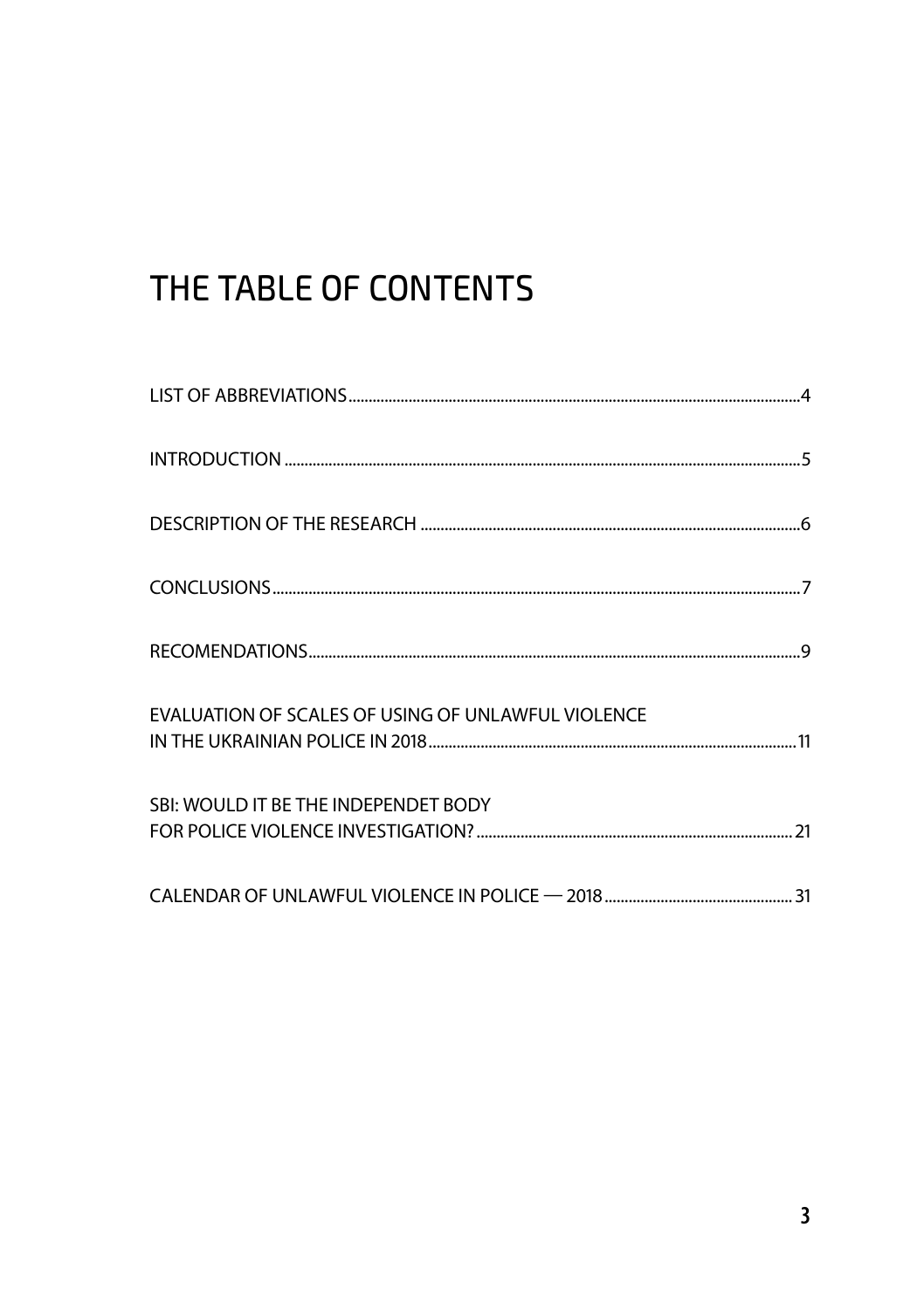# THE TABLE OF CONTENTS

| EVALUATION OF SCALES OF USING OF UNLAWFUL VIOLENCE |
|----------------------------------------------------|
| SBI: WOULD IT BE THE INDEPENDET BODY               |
|                                                    |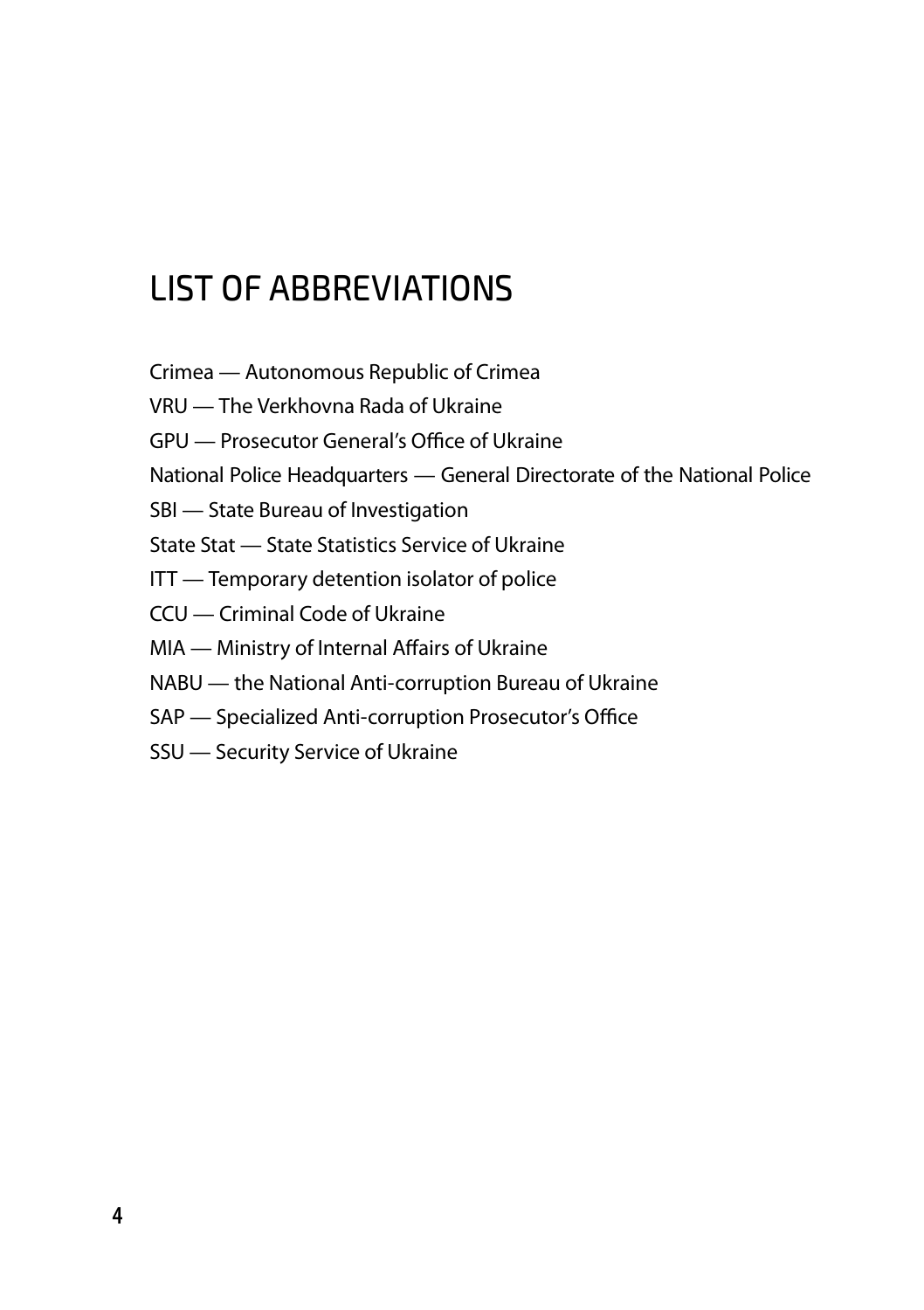# List of abbreviations

Crimea — Autonomous Republic of Crimea

VRU — The Verkhovna Rada of Ukraine

GPU — Prosecutor General's Office of Ukraine

National Police Headquarters — General Directorate of the National Police

SBI — State Bureau of Investigation

State Stat — State Statistics Service of Ukraine

ITT — Temporary detention isolator of police

- CCU Criminal Code of Ukraine
- MIA Ministry of Internal Affairs of Ukraine
- NABU the National Anti-corruption Bureau of Ukraine
- SAP Specialized Anti-corruption Prosecutor's Office
- SSU Security Service of Ukraine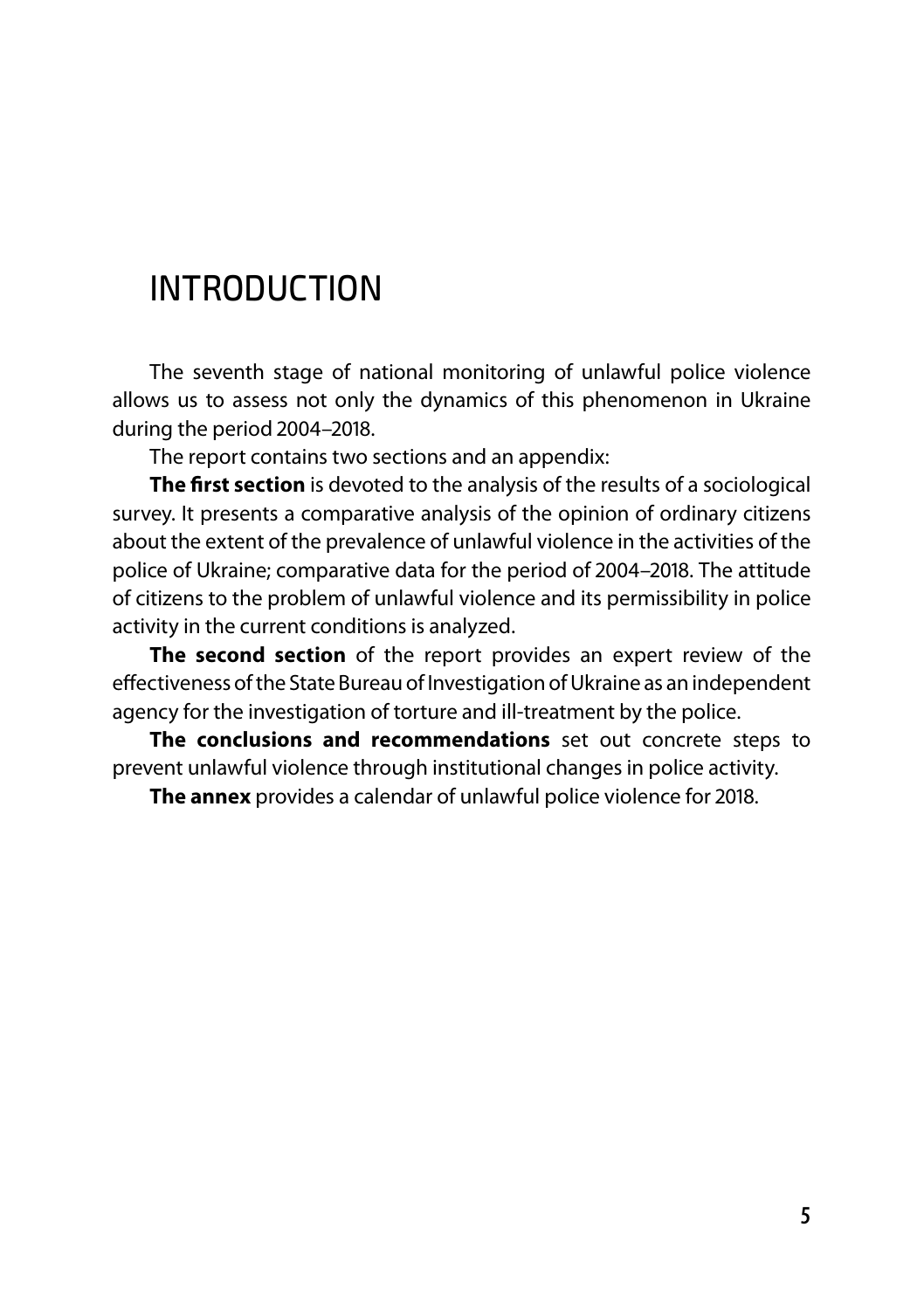## INTRODUCTION

The seventh stage of national monitoring of unlawful police violence allows us to assess not only the dynamics of this phenomenon in Ukraine during the period 2004–2018.

The report contains two sections and an appendix:

**The first section** is devoted to the analysis of the results of a sociological survey. It presents a comparative analysis of the opinion of ordinary citizens about the extent of the prevalence of unlawful violence in the activities of the police of Ukraine; comparative data for the period of 2004–2018. The attitude of citizens to the problem of unlawful violence and its permissibility in police activity in the current conditions is analyzed.

**The second section** of the report provides an expert review of the effectiveness of the State Bureau of Investigation of Ukraine as an independent agency for the investigation of torture and ill-treatment by the police.

**The conclusions and recommendations** set out concrete steps to prevent unlawful violence through institutional changes in police activity.

**The annex** provides a calendar of unlawful police violence for 2018.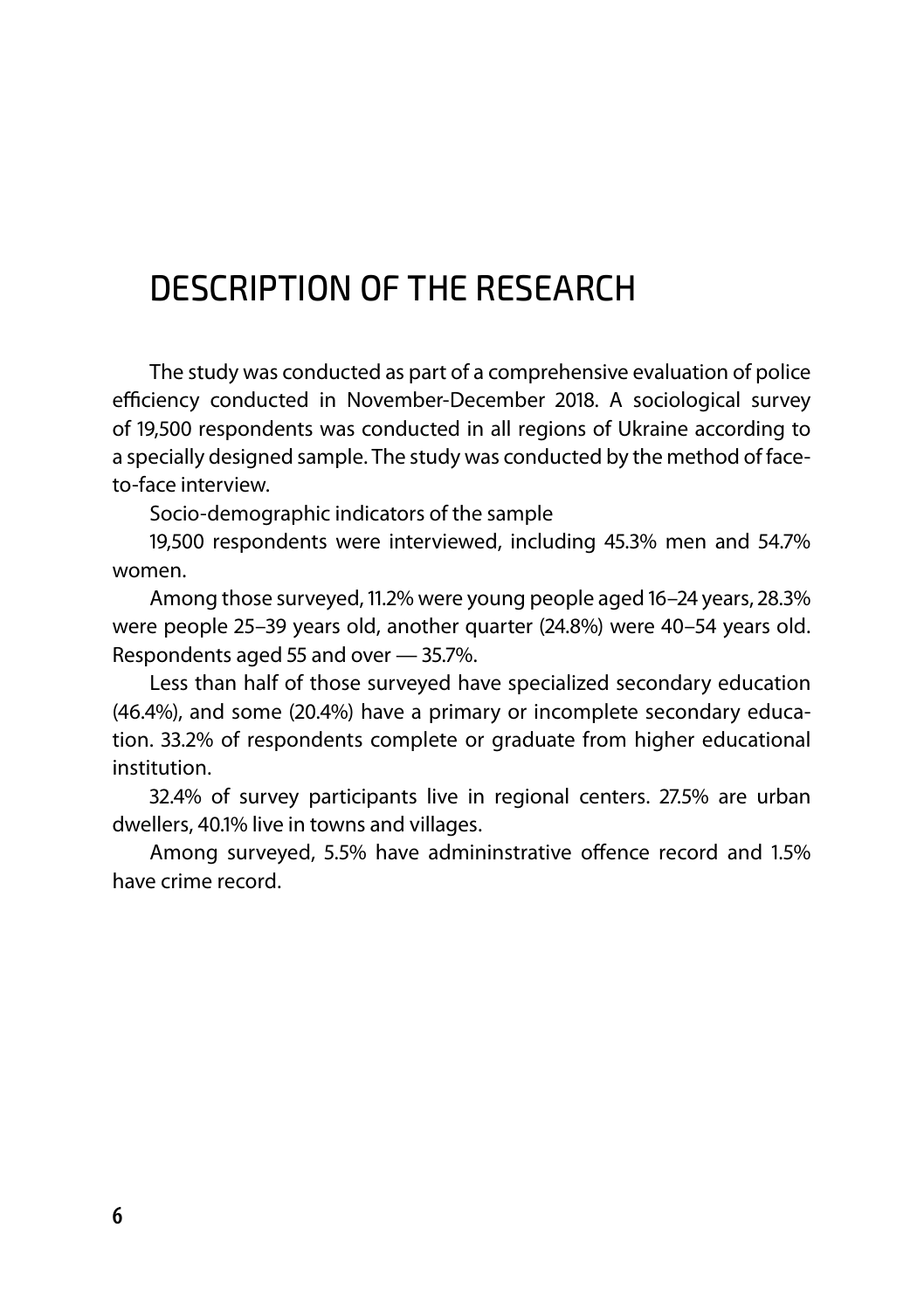## DESCRIPTION OF THE RESEARCH

The study was conducted as part of a comprehensive evaluation of police efficiency conducted in November-December 2018. A sociological survey of 19,500 respondents was conducted in all regions of Ukraine according to a specially designed sample. The study was conducted by the method of faceto-face interview.

Socio-demographic indicators of the sample

19,500 respondents were interviewed, including 45.3% men and 54.7% women.

Among those surveyed, 11.2% were young people aged 16–24 years, 28.3% were people 25–39 years old, another quarter (24.8%) were 40–54 years old. Respondents aged 55 and over — 35.7%.

Less than half of those surveyed have specialized secondary education (46.4%), and some (20.4%) have a primary or incomplete secondary education. 33.2% of respondents complete or graduate from higher educational institution.

32.4% of survey participants live in regional centers. 27.5% are urban dwellers, 40.1% live in towns and villages.

Among surveyed, 5.5% have admininstrative offence record and 1.5% have crime record.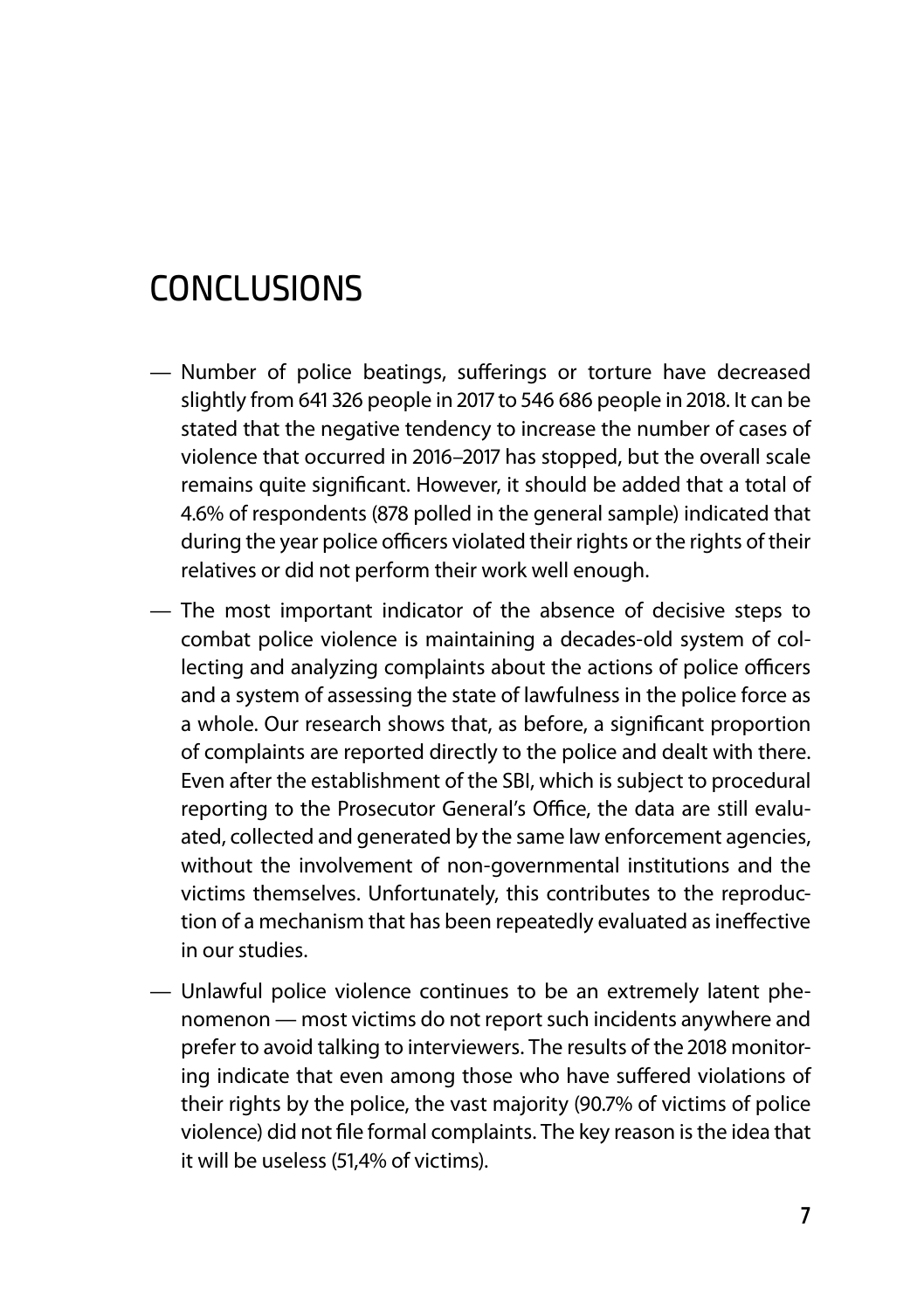## **CONCLUSIONS**

- Number of police beatings, sufferings or torture have decreased slightly from 641 326 people in 2017 to 546 686 people in 2018. It can be stated that the negative tendency to increase the number of cases of violence that occurred in 2016–2017 has stopped, but the overall scale remains quite significant. However, it should be added that a total of 4.6% of respondents (878 polled in the general sample) indicated that during the year police officers violated their rights or the rights of their relatives or did not perform their work well enough.
- The most important indicator of the absence of decisive steps to combat police violence is maintaining a decades-old system of collecting and analyzing complaints about the actions of police officers and a system of assessing the state of lawfulness in the police force as a whole. Our research shows that, as before, a significant proportion of complaints are reported directly to the police and dealt with there. Even after the establishment of the SBI, which is subject to procedural reporting to the Prosecutor General's Office, the data are still evaluated, collected and generated by the same law enforcement agencies, without the involvement of non-governmental institutions and the victims themselves. Unfortunately, this contributes to the reproduction of a mechanism that has been repeatedly evaluated as ineffective in our studies.
- Unlawful police violence continues to be an extremely latent phenomenon — most victims do not report such incidents anywhere and prefer to avoid talking to interviewers. The results of the 2018 monitoring indicate that even among those who have suffered violations of their rights by the police, the vast majority (90.7% of victims of police violence) did not file formal complaints. The key reason is the idea that it will be useless (51,4% of victims).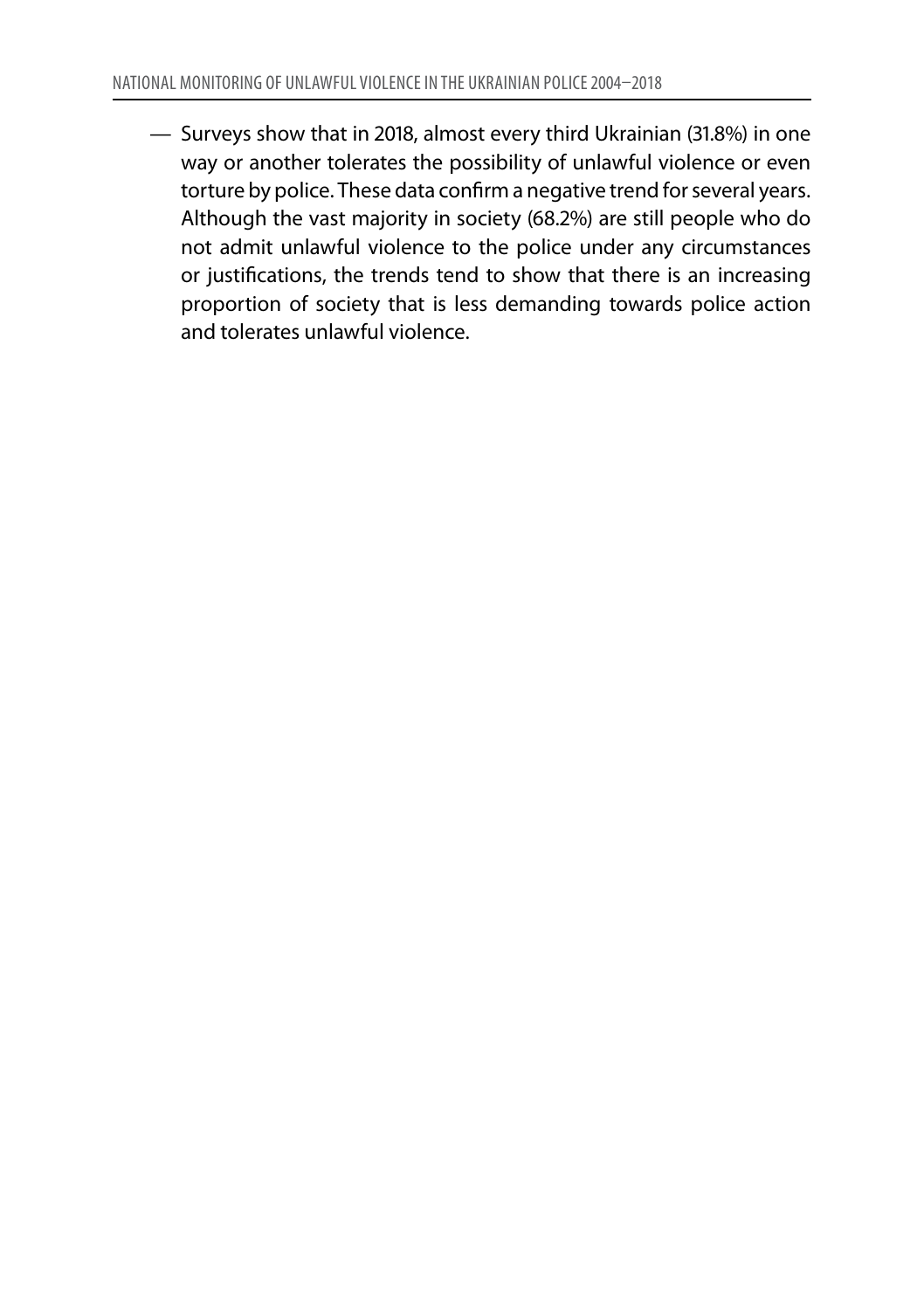— Surveys show that in 2018, almost every third Ukrainian (31.8%) in one way or another tolerates the possibility of unlawful violence or even torture by police. These data confirm a negative trend for several years. Although the vast majority in society (68.2%) are still people who do not admit unlawful violence to the police under any circumstances or justifications, the trends tend to show that there is an increasing proportion of society that is less demanding towards police action and tolerates unlawful violence.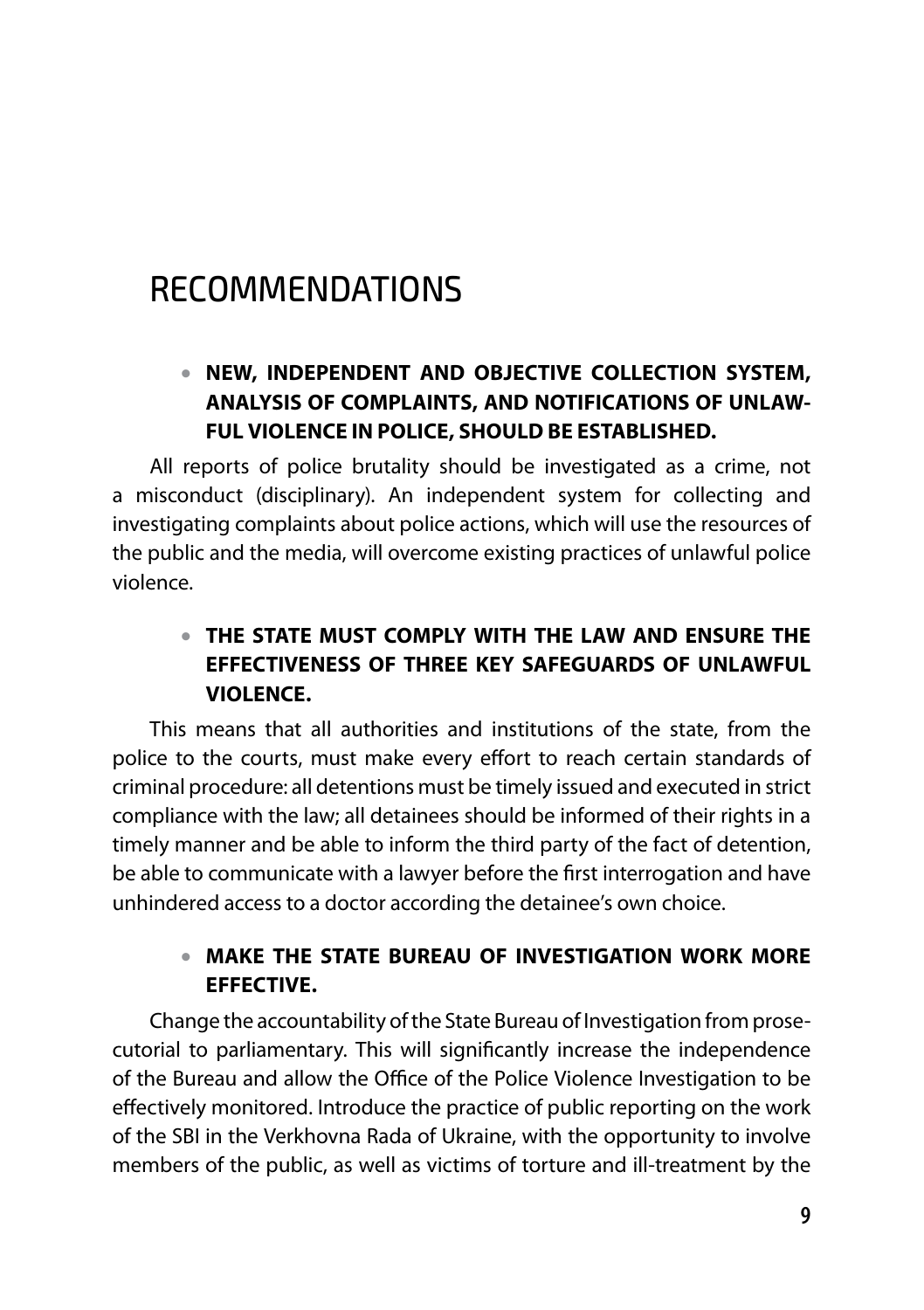## RECOMMENDATIONS

#### **NEW, INDEPENDENT AND OBJECTIVE COLLECTION SYSTEM,**  • **ANALYSIS OF COMPLAINTS, AND NOTIFICATIONS OF UNLAW-FUL VIOLENCE IN POLICE, SHOULD BE ESTABLISHED.**

All reports of police brutality should be investigated as a crime, not a misconduct (disciplinary). An independent system for collecting and investigating complaints about police actions, which will use the resources of the public and the media, will overcome existing practices of unlawful police violence.

#### **THE STATE MUST COMPLY WITH THE LAW AND ENSURE THE**  • **EFFECTIVENESS OF THREE KEY SAFEGUARDS OF UNLAWFUL VIOLENCE.**

This means that all authorities and institutions of the state, from the police to the courts, must make every effort to reach certain standards of criminal procedure: all detentions must be timely issued and executed in strict compliance with the law; all detainees should be informed of their rights in a timely manner and be able to inform the third party of the fact of detention, be able to communicate with a lawyer before the first interrogation and have unhindered access to a doctor according the detainee's own choice.

#### **MAKE THE STATE BUREAU OF INVESTIGATION WORK MORE**  •**EFFECTIVE.**

Change the accountability of the State Bureau of Investigation from prosecutorial to parliamentary. This will significantly increase the independence of the Bureau and allow the Office of the Police Violence Investigation to be effectively monitored. Introduce the practice of public reporting on the work of the SBI in the Verkhovna Rada of Ukraine, with the opportunity to involve members of the public, as well as victims of torture and ill-treatment by the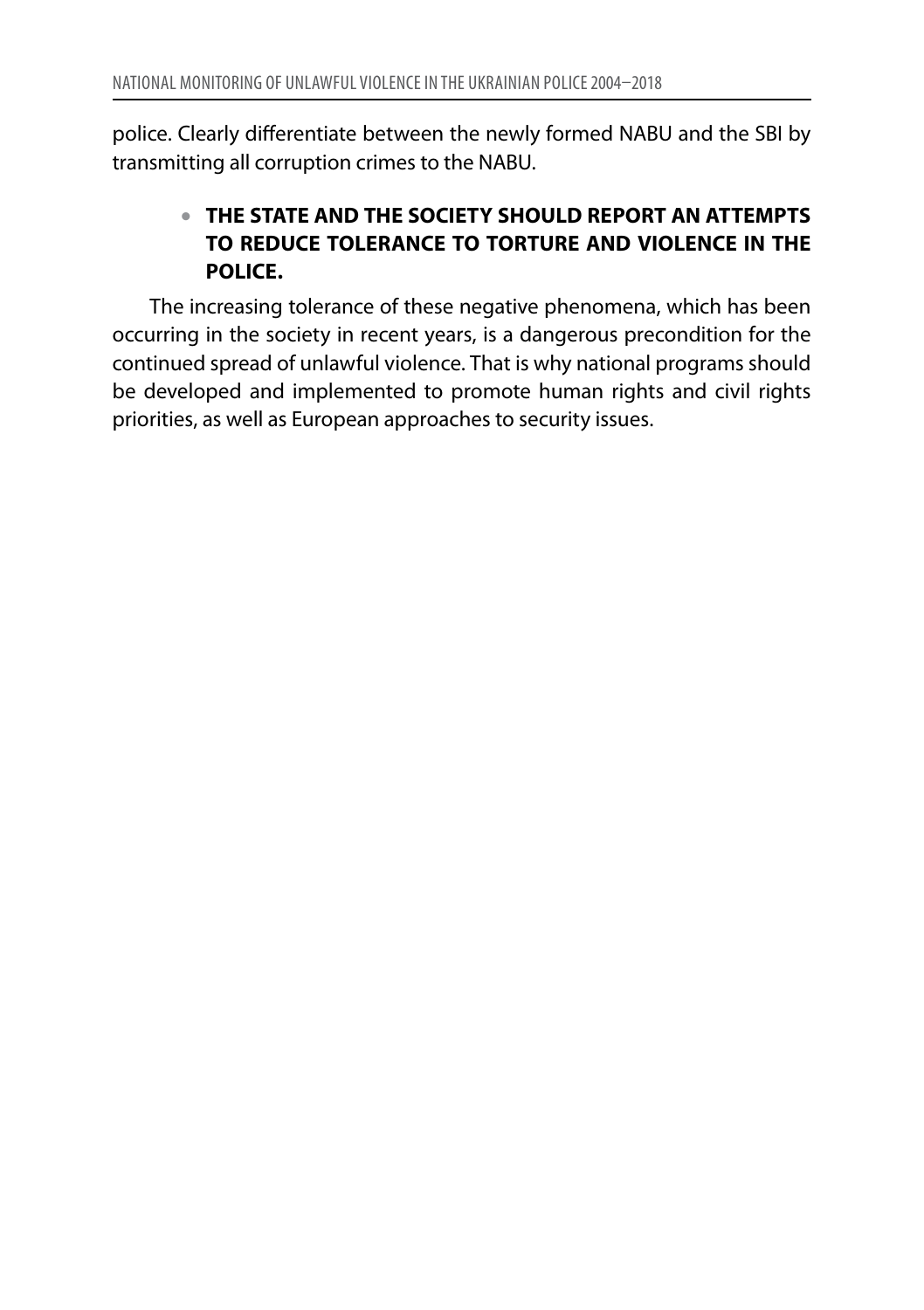police. Clearly differentiate between the newly formed NABU and the SBI by transmitting all corruption crimes to the NABU.

#### **THE STATE AND THE SOCIETY SHOULD REPORT AN ATTEMPTS**  •**TO REDUCE TOLERANCE TO TORTURE AND VIOLENCE IN THE POLICE.**

The increasing tolerance of these negative phenomena, which has been occurring in the society in recent years, is a dangerous precondition for the continued spread of unlawful violence. That is why national programs should be developed and implemented to promote human rights and civil rights priorities, as well as European approaches to security issues.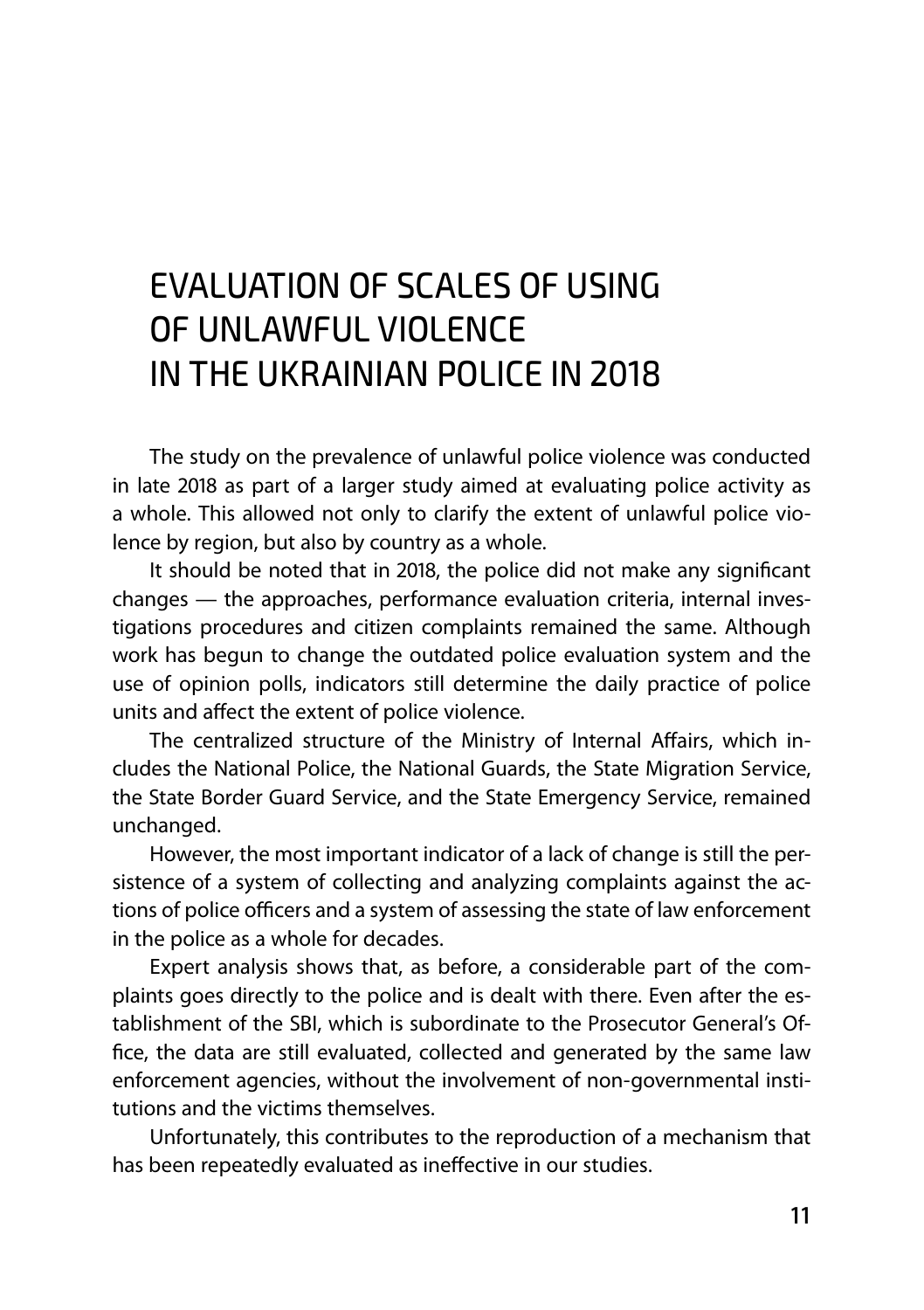## EVALUATION of SCALES of USING of UNLAWFUL VIOLENCE in THE UKRAINIAN POLICE in 2018

The study on the prevalence of unlawful police violence was conducted in late 2018 as part of a larger study aimed at evaluating police activity as a whole. This allowed not only to clarify the extent of unlawful police violence by region, but also by country as a whole.

It should be noted that in 2018, the police did not make any significant changes — the approaches, performance evaluation criteria, internal investigations procedures and citizen complaints remained the same. Although work has begun to change the outdated police evaluation system and the use of opinion polls, indicators still determine the daily practice of police units and affect the extent of police violence.

The centralized structure of the Ministry of Internal Affairs, which includes the National Police, the National Guards, the State Migration Service, the State Border Guard Service, and the State Emergency Service, remained unchanged.

However, the most important indicator of a lack of change is still the persistence of a system of collecting and analyzing complaints against the actions of police officers and a system of assessing the state of law enforcement in the police as a whole for decades.

Expert analysis shows that, as before, a considerable part of the complaints goes directly to the police and is dealt with there. Even after the establishment of the SBI, which is subordinate to the Prosecutor General's Office, the data are still evaluated, collected and generated by the same law enforcement agencies, without the involvement of non-governmental institutions and the victims themselves.

Unfortunately, this contributes to the reproduction of a mechanism that has been repeatedly evaluated as ineffective in our studies.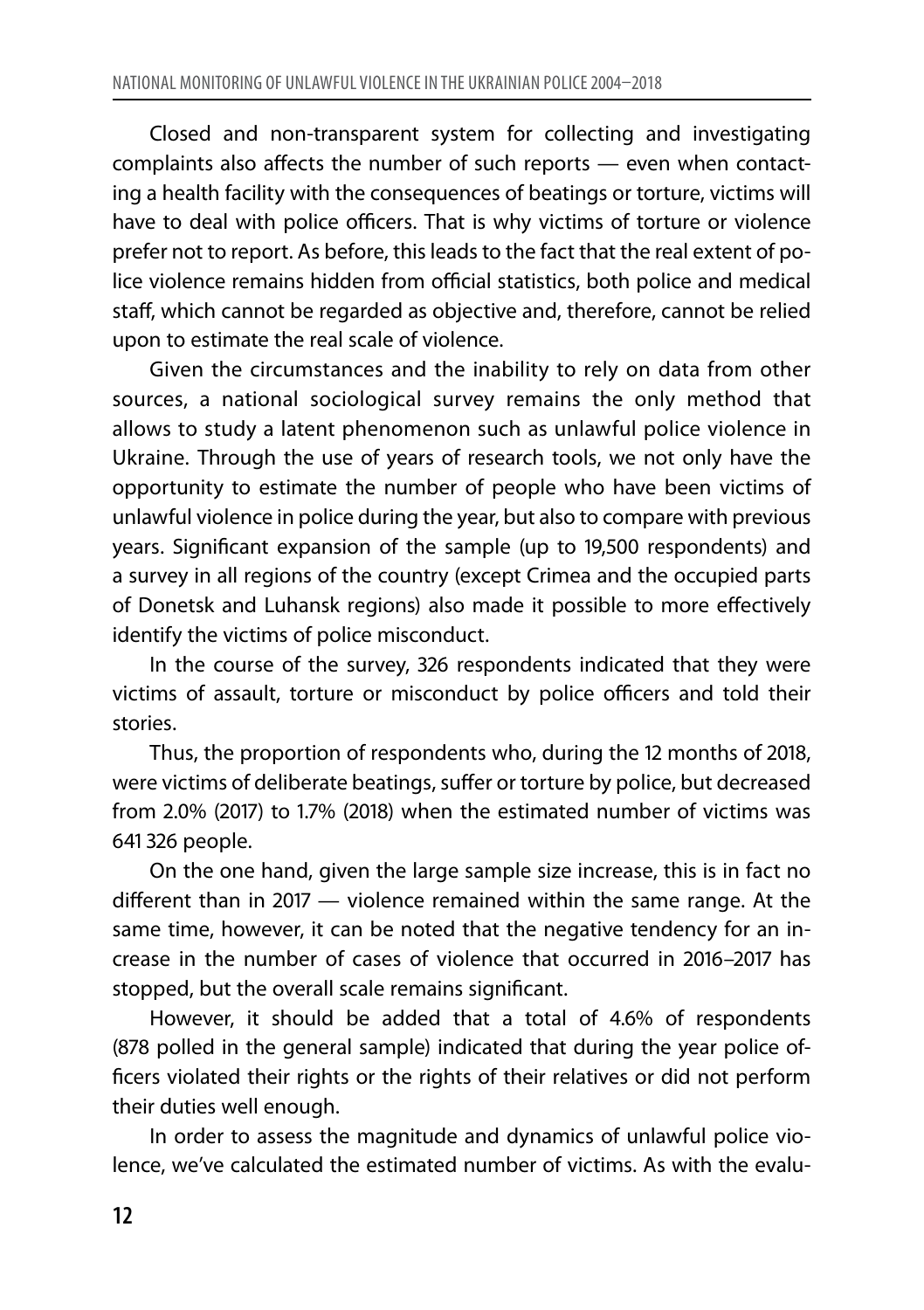Сlosed and non-transparent system for collecting and investigating complaints also affects the number of such reports — even when contacting a health facility with the consequences of beatings or torture, victims will have to deal with police officers. That is why victims of torture or violence prefer not to report. As before, this leads to the fact that the real extent of police violence remains hidden from official statistics, both police and medical staff, which cannot be regarded as objective and, therefore, cannot be relied upon to estimate the real scale of violence.

Given the circumstances and the inability to rely on data from other sources, a national sociological survey remains the only method that allows to study a latent phenomenon such as unlawful police violence in Ukraine. Through the use of years of research tools, we not only have the opportunity to estimate the number of people who have been victims of unlawful violence in police during the year, but also to compare with previous years. Significant expansion of the sample (up to 19,500 respondents) and a survey in all regions of the country (except Crimea and the occupied parts of Donetsk and Luhansk regions) also made it possible to more effectively identify the victims of police misconduct.

In the course of the survey, 326 respondents indicated that they were victims of assault, torture or misconduct by police officers and told their stories.

Thus, the proportion of respondents who, during the 12 months of 2018, were victims of deliberate beatings, suffer or torture by police, but decreased from 2.0% (2017) to 1.7% (2018) when the estimated number of victims was 641 326 people.

On the one hand, given the large sample size increase, this is in fact no different than in 2017 — violence remained within the same range. At the same time, however, it can be noted that the negative tendency for an increase in the number of cases of violence that occurred in 2016–2017 has stopped, but the overall scale remains significant.

However, it should be added that a total of 4.6% of respondents (878 polled in the general sample) indicated that during the year police officers violated their rights or the rights of their relatives or did not perform their duties well enough.

In order to assess the magnitude and dynamics of unlawful police violence, we've calculated the estimated number of victims. As with the evalu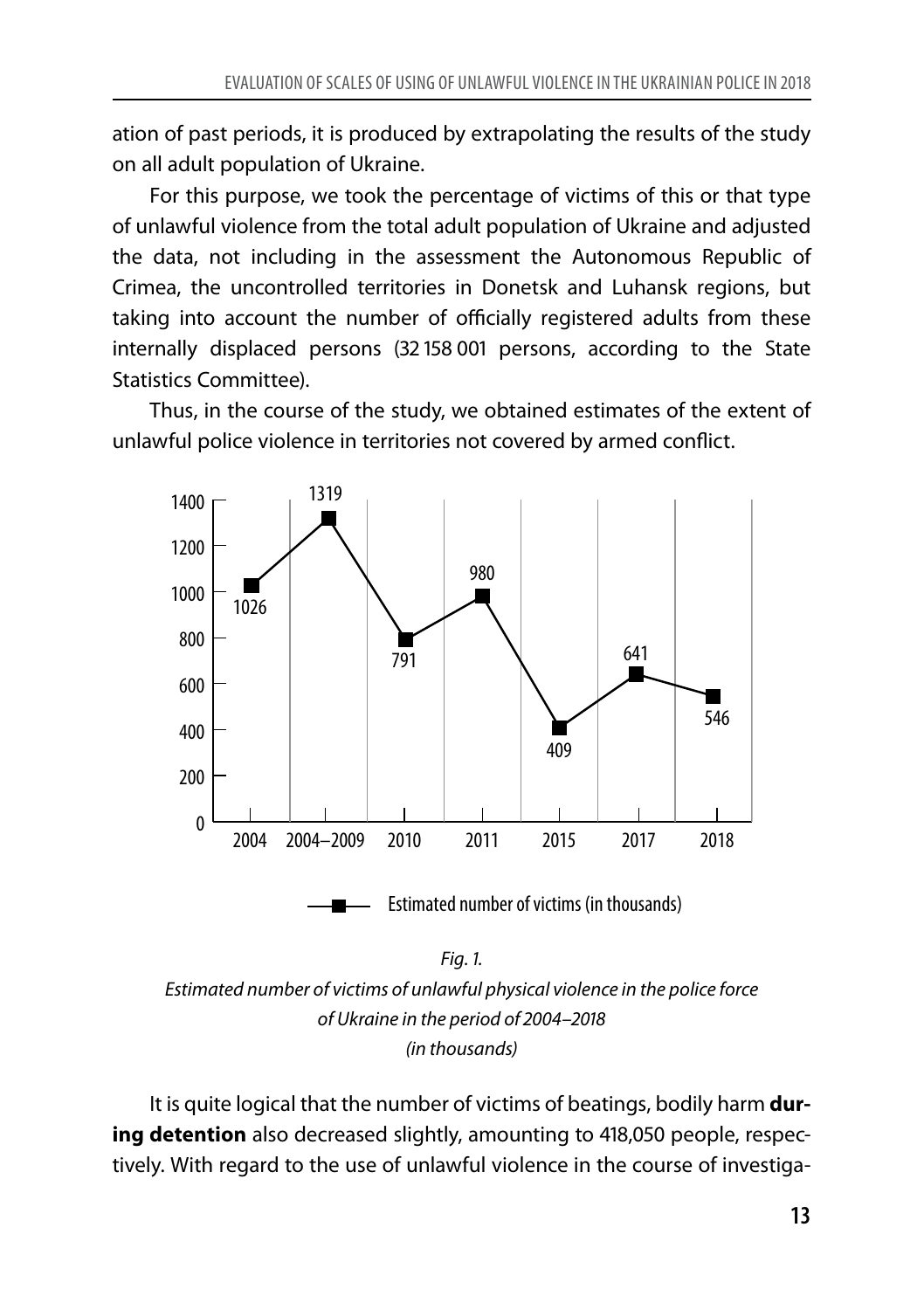ation of past periods, it is produced by extrapolating the results of the study on all adult population of Ukraine.

For this purpose, we took the percentage of victims of this or that type of unlawful violence from the total adult population of Ukraine and adjusted the data, not including in the assessment the Autonomous Republic of Crimea, the uncontrolled territories in Donetsk and Luhansk regions, but taking into account the number of officially registered adults from these internally displaced persons (32 158 001 persons, according to the State Statistics Committee).

Thus, in the course of the study, we obtained estimates of the extent of unlawful police violence in territories not covered by armed conflict.



*Estimated number of victims of unlawful physical violence in the police force of Ukraine in the period of 2004–2018 (in thousands)*

It is quite logical that the number of victims of beatings, bodily harm **during detention** also decreased slightly, amounting to 418,050 people, respectively. With regard to the use of unlawful violence in the course of investiga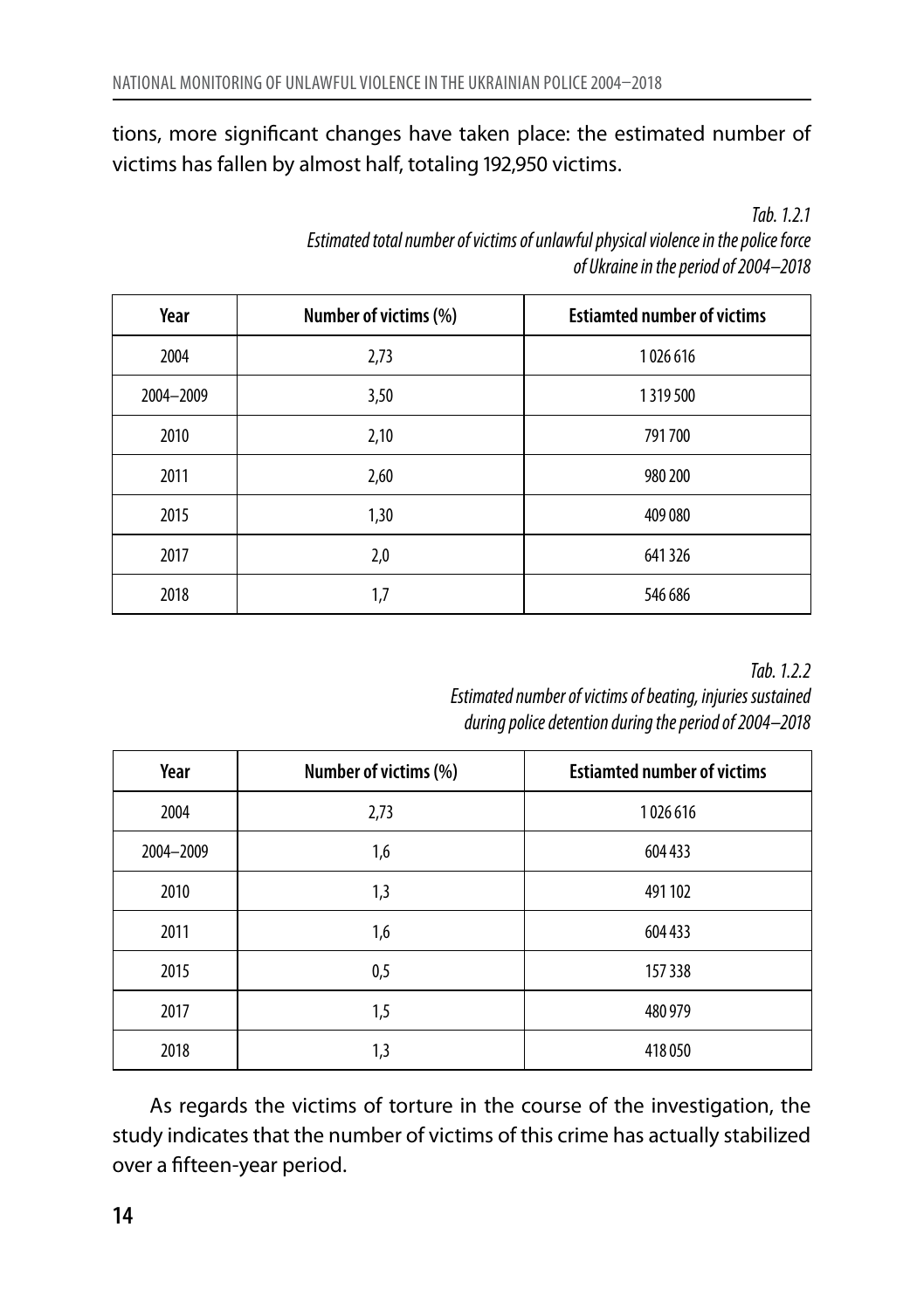tions, more significant changes have taken place: the estimated number of victims has fallen by almost half, totaling 192,950 victims.

*Tab. 1.2.1*

*Estimated total number of victims of unlawful physical violence in the police force of Ukraine in the period of 2004–2018*

| Year      | Number of victims (%) | <b>Estiamted number of victims</b> |
|-----------|-----------------------|------------------------------------|
| 2004      | 2,73                  | 1026616                            |
| 2004-2009 | 3,50                  | 1319500                            |
| 2010      | 2,10                  | 791700                             |
| 2011      | 2,60                  | 980 200                            |
| 2015      | 1,30                  | 409 080                            |
| 2017      | 2,0                   | 641326                             |
| 2018      | 1,7                   | 546 686                            |

*Tab. 1.2.2*

*Estimated number of victims of beating, injuries sustained during police detention during the period of 2004–2018*

| Year      | Number of victims (%) | <b>Estiamted number of victims</b> |
|-----------|-----------------------|------------------------------------|
| 2004      | 2,73                  | 1026 616                           |
| 2004-2009 | 1,6                   | 604 433                            |
| 2010      | 1,3                   | 491 102                            |
| 2011      | 1,6                   | 604 433                            |
| 2015      | 0,5                   | 157 338                            |
| 2017      | 1,5                   | 480 979                            |
| 2018      | 1,3                   | 418 050                            |

As regards the victims of torture in the course of the investigation, the study indicates that the number of victims of this crime has actually stabilized over a fifteen-year period.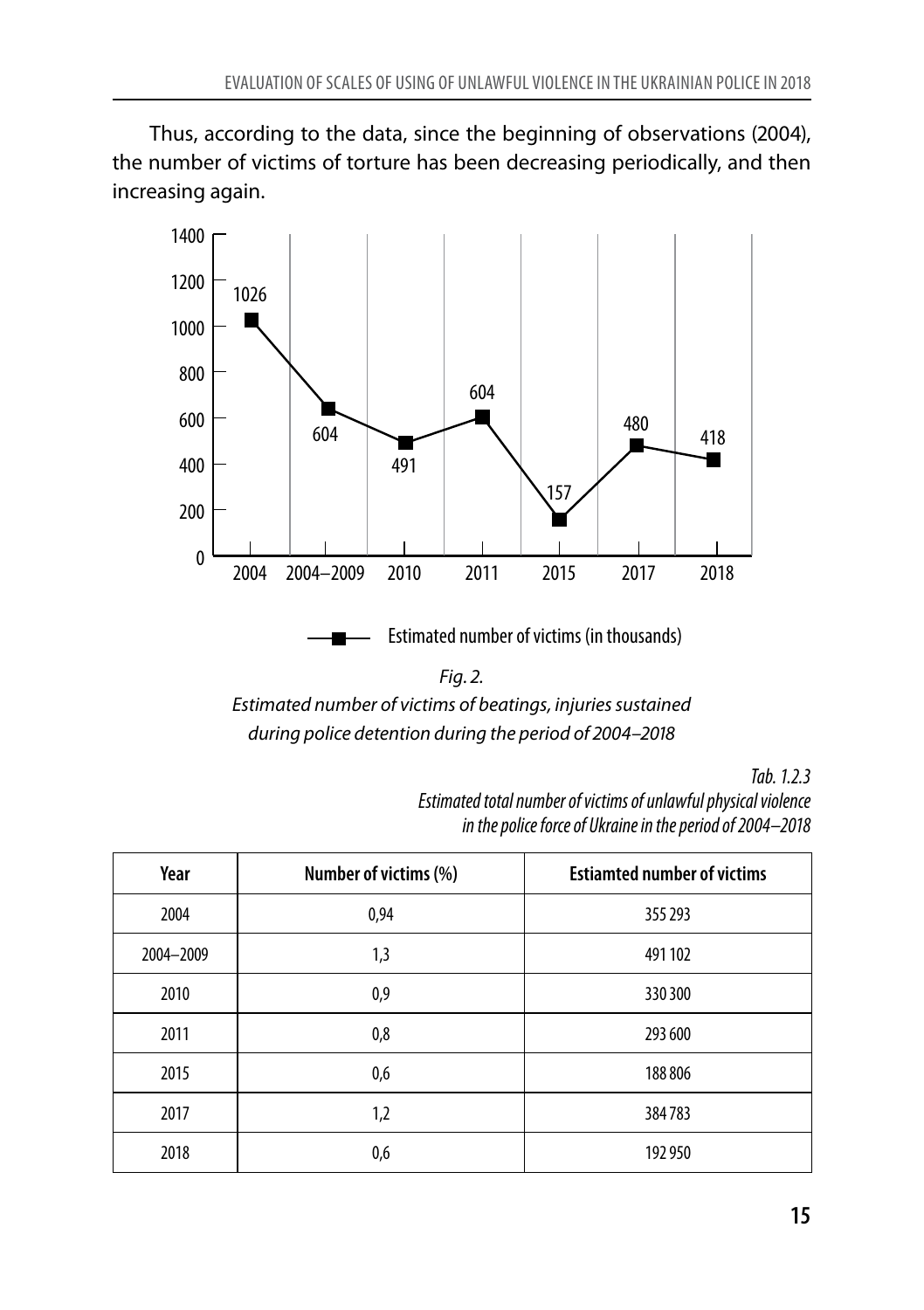Thus, according to the data, since the beginning of observations (2004), the number of victims of torture has been decreasing periodically, and then increasing again.





*Tab. 1.2.3*

*Estimated total number of victims of unlawful physical violence in the police force of Ukraine in the period of 2004–2018*

| Year      | Number of victims (%) | <b>Estiamted number of victims</b> |
|-----------|-----------------------|------------------------------------|
| 2004      | 0,94                  | 355 293                            |
| 2004-2009 | 1,3                   | 491 102                            |
| 2010      | 0,9                   | 330 300                            |
| 2011      | 0,8                   | 293 600                            |
| 2015      | 0,6                   | 188 806                            |
| 2017      | 1,2                   | 384783                             |
| 2018      | 0,6                   | 192 950                            |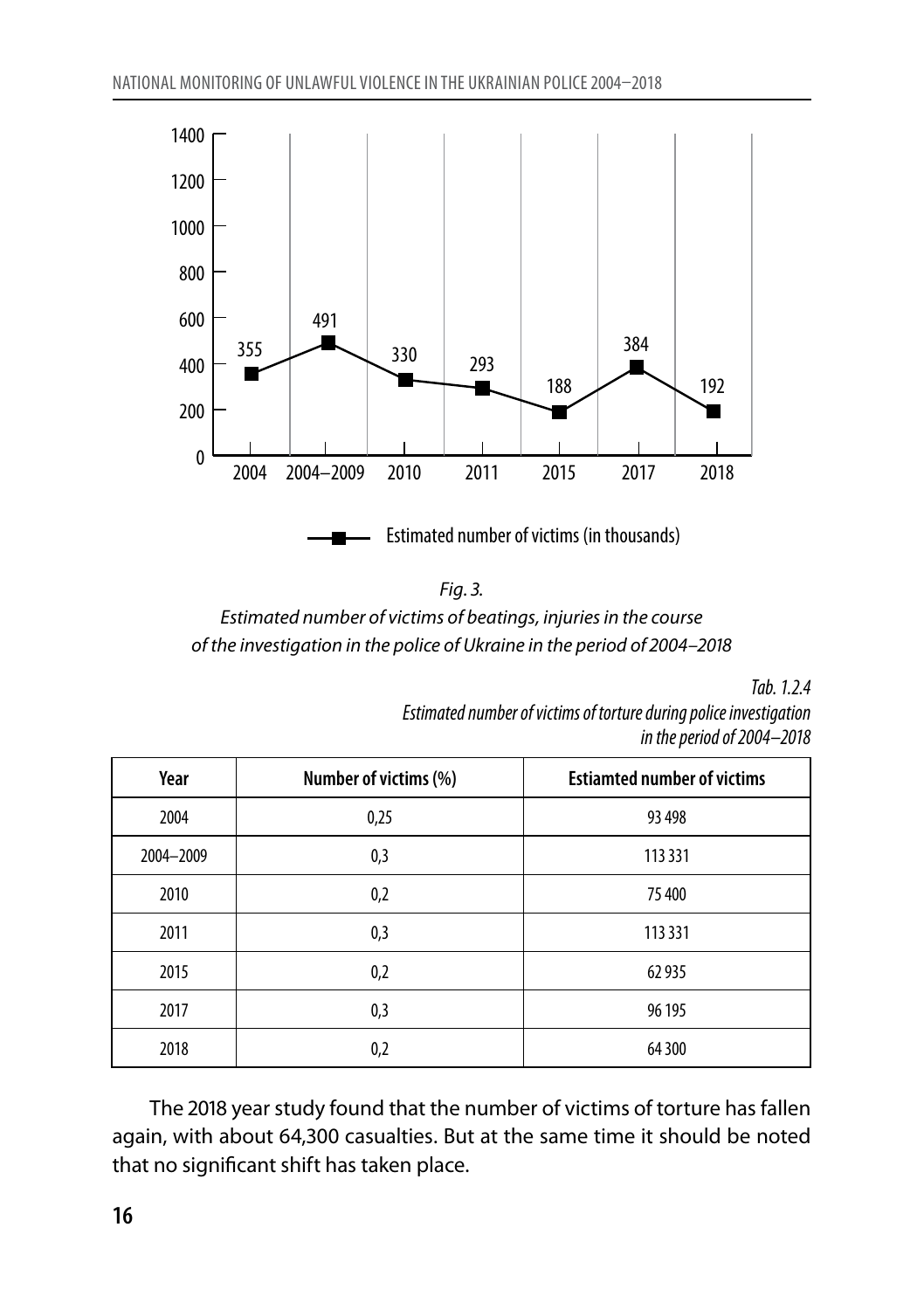

| ٧ |
|---|

*Estimated number of victims of beatings, injuriesin the course of the investigation in the police of Ukraine in the period of 2004–2018*

*Tab. 1.2.4*

*Estimated number of victims of torture during police investigation in the period of 2004–2018*

| Year      | Number of victims (%) | <b>Estiamted number of victims</b> |
|-----------|-----------------------|------------------------------------|
| 2004      | 0,25                  | 93 498                             |
| 2004-2009 | 0,3                   | 113 331                            |
| 2010      | 0,2                   | 75 400                             |
| 2011      | 0,3                   | 113 331                            |
| 2015      | 0,2                   | 62935                              |
| 2017      | 0,3                   | 96 195                             |
| 2018      | 0,2                   | 64 300                             |

The 2018 year study found that the number of victims of torture has fallen again, with about 64,300 casualties. But at the same time it should be noted that no significant shift has taken place.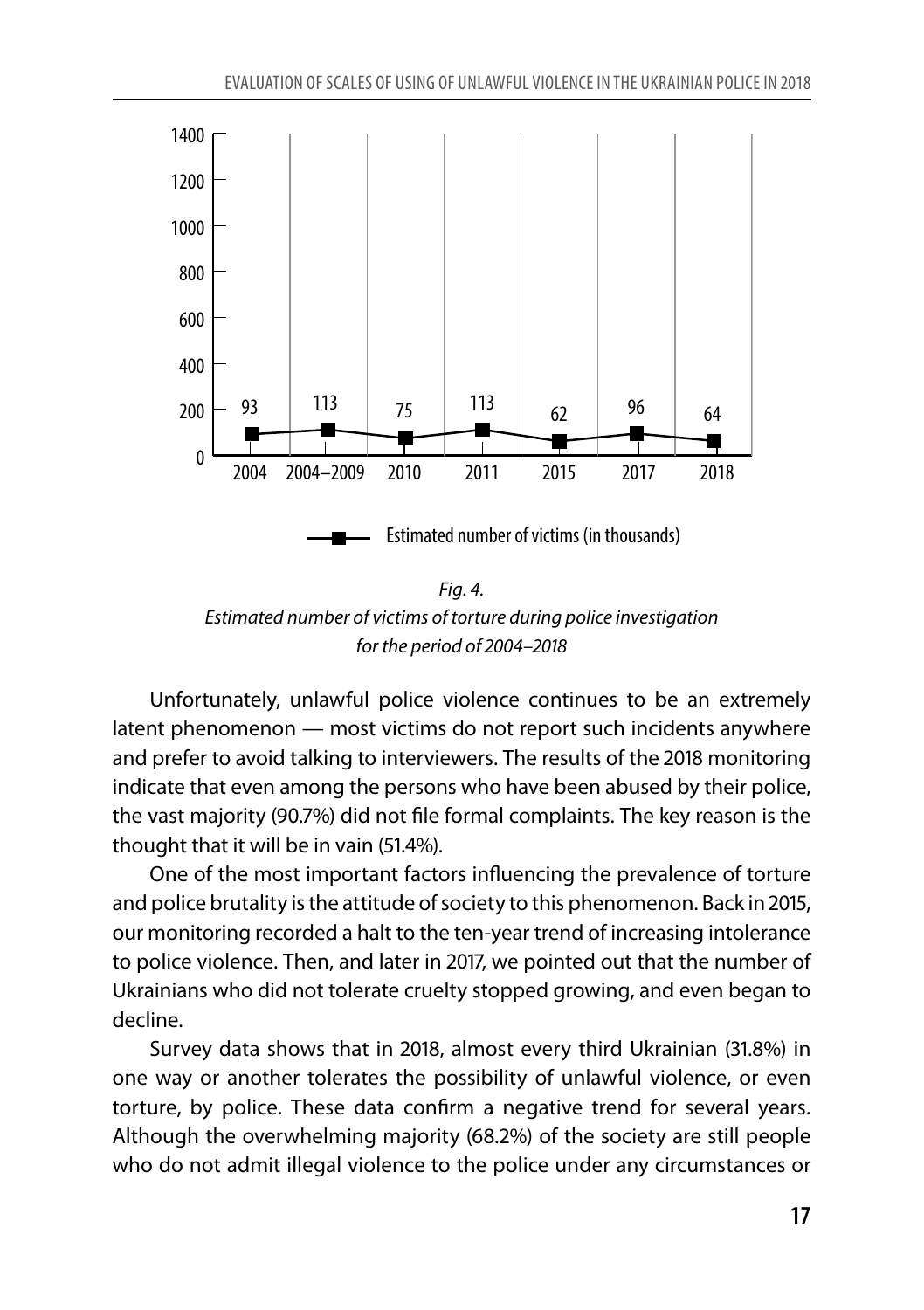

*Fig. 4. Estimated number of victims of torture during police investigation for the period of 2004–2018*

Unfortunately, unlawful police violence continues to be an extremely latent phenomenon — most victims do not report such incidents anywhere and prefer to avoid talking to interviewers. The results of the 2018 monitoring indicate that even among the persons who have been abused by their police, the vast majority (90.7%) did not file formal complaints. The key reason is the thought that it will be in vain (51.4%).

One of the most important factors influencing the prevalence of torture and police brutality is the attitude of society to this phenomenon. Back in 2015, our monitoring recorded a halt to the ten-year trend of increasing intolerance to police violence. Then, and later in 2017, we pointed out that the number of Ukrainians who did not tolerate cruelty stopped growing, and even began to decline.

Survey data shows that in 2018, almost every third Ukrainian (31.8%) in one way or another tolerates the possibility of unlawful violence, or even torture, by police. These data confirm a negative trend for several years. Although the overwhelming majority (68.2%) of the society are still people who do not admit illegal violence to the police under any circumstances or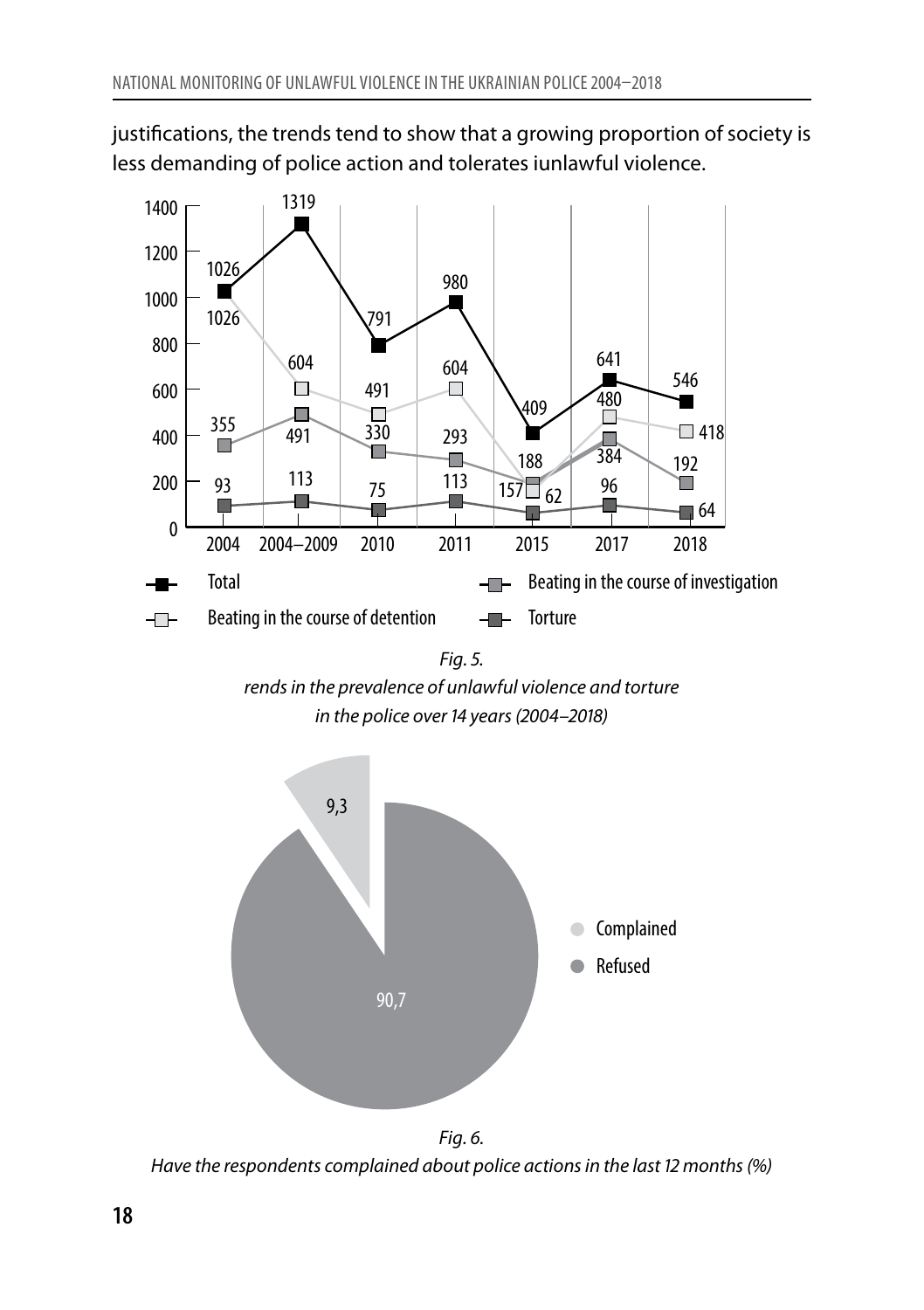justifications, the trends tend to show that a growing proportion of society is less demanding of police action and tolerates iunlawful violence.



*Fig. 5. rendsin the prevalence of unlawful violence and torture in the police over14 years(2004–2018)*



*Have the respondents complained about police actionsin the last 12 months(%)*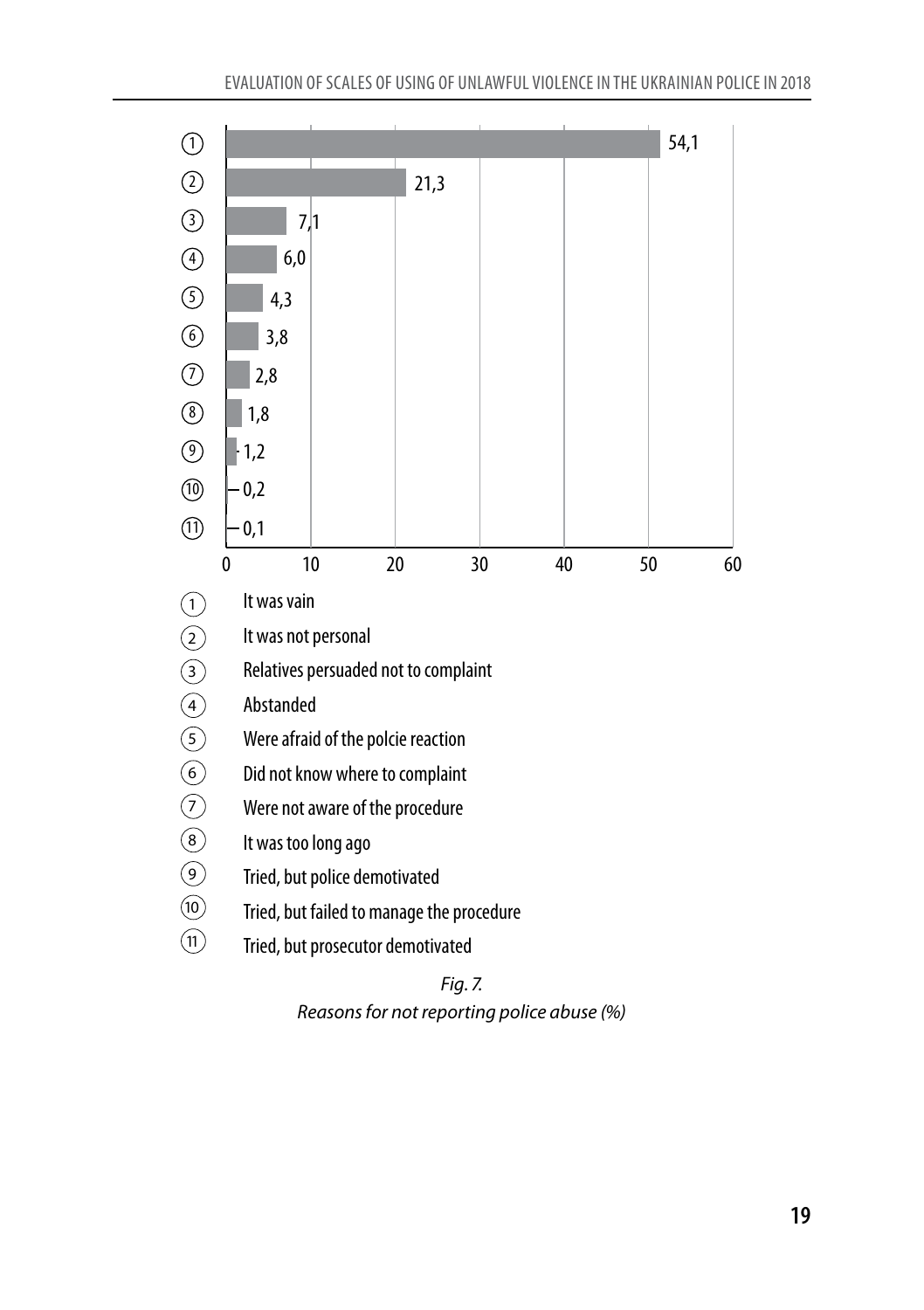

*Fig. 7. Reasonsfor not reporting police abuse (%)*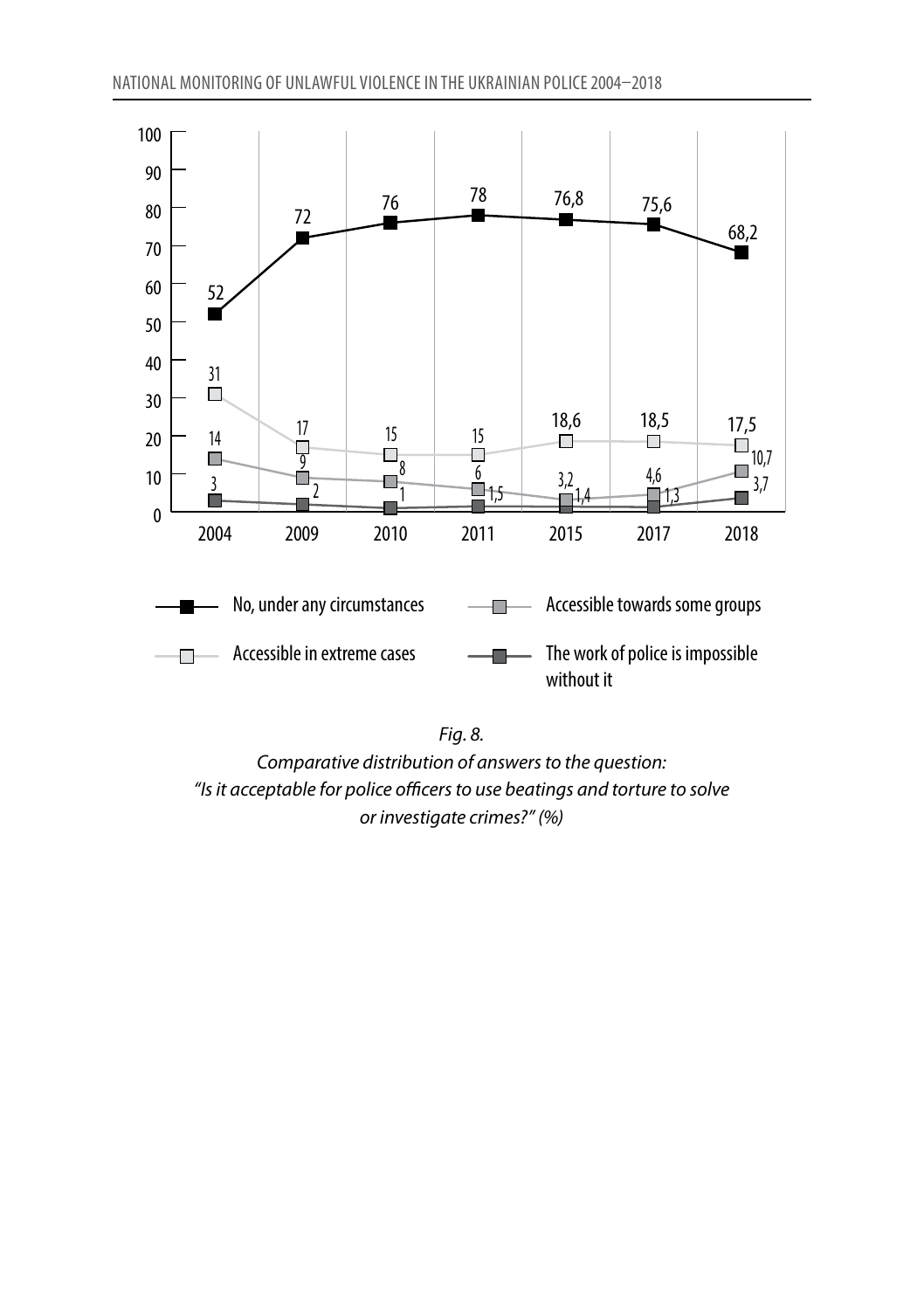



*Comparative distribution of answersto the question: "Isit acceptable for police officersto use beatings and torture to solve or investigate crimes?" (%)*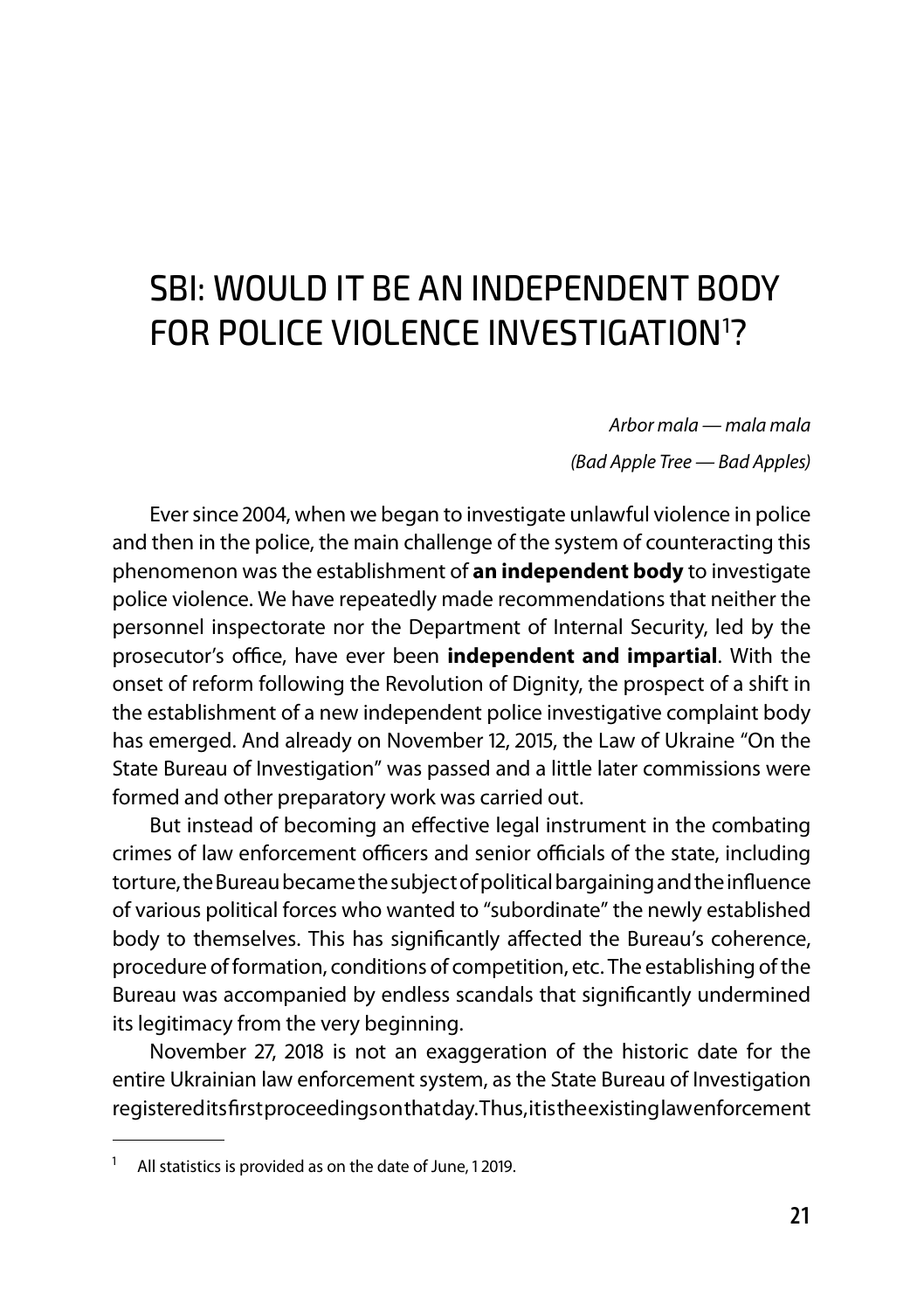## SBI: WOULD IT BE AN INDEPENDENT BODY FOR POLICE VIOLENCE INVESTIGATION<sup>1</sup>?

*Arbor mala — mala mala (Bad Apple Tree — Bad Apples)*

Ever since 2004, when we began to investigate unlawful violence in police and then in the police, the main challenge of the system of counteracting this phenomenon was the establishment of **an independent body** to investigate police violence. We have repeatedly made recommendations that neither the personnel inspectorate nor the Department of Internal Security, led by the prosecutor's office, have ever been **independent and impartial**. With the onset of reform following the Revolution of Dignity, the prospect of a shift in the establishment of a new independent police investigative complaint body has emerged. And already on November 12, 2015, the Law of Ukraine "On the State Bureau of Investigation" was passed and a little later commissions were formed and other preparatory work was carried out.

But instead of becoming an effective legal instrument in the combating crimes of law enforcement officers and senior officials of the state, including torture, the Bureau became the subject of political bargaining and the influence of various political forces who wanted to "subordinate" the newly established body to themselves. This has significantly affected the Bureau's coherence, procedure of formation, conditions of competition, etc. The establishing of the Bureau was accompanied by endless scandals that significantly undermined its legitimacy from the very beginning.

November 27, 2018 is not an exaggeration of the historic date for the entire Ukrainian law enforcement system, as the State Bureau of Investigation registered its first proceedings on that day. Thus, it is the existing law enforcement

<sup>1</sup> All statistics is provided as on the date of June, 1 2019.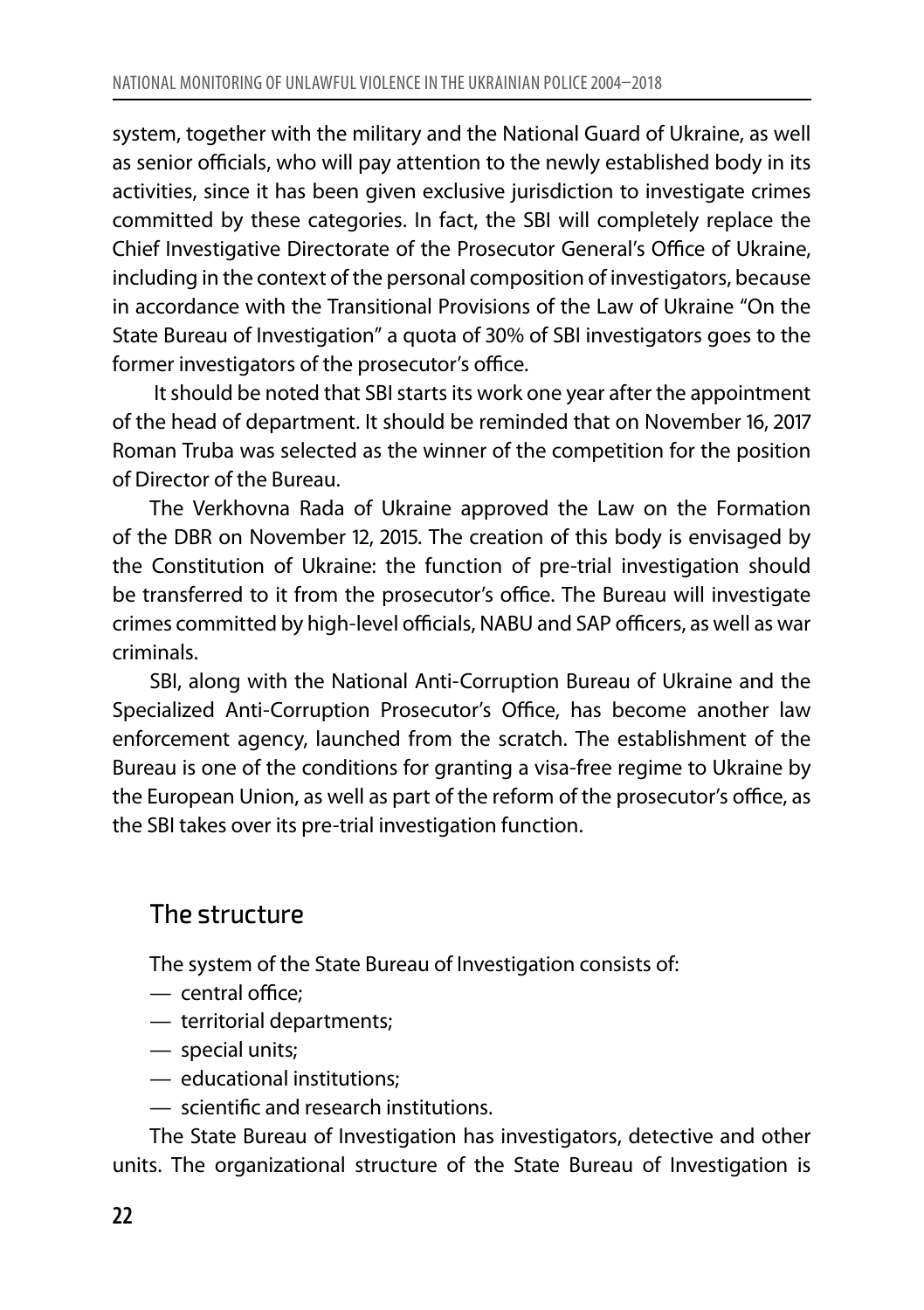system, together with the military and the National Guard of Ukraine, as well as senior officials, who will pay attention to the newly established body in its activities, since it has been given exclusive jurisdiction to investigate crimes committed by these categories. In fact, the SBI will completely replace the Chief Investigative Directorate of the Prosecutor General's Office of Ukraine, including in the context of the personal composition of investigators, because in accordance with the Transitional Provisions of the Law of Ukraine "On the State Bureau of Investigation" a quota of 30% of SBI investigators goes to the former investigators of the prosecutor's office.

It should be noted that SBI starts its work one year after the appointment of the head of department. It should be reminded that on November 16, 2017 Roman Truba was selected as the winner of the competition for the position of Director of the Bureau.

The Verkhovna Rada of Ukraine approved the Law on the Formation of the DBR on November 12, 2015. The creation of this body is envisaged by the Constitution of Ukraine: the function of pre-trial investigation should be transferred to it from the prosecutor's office. The Bureau will investigate crimes committed by high-level officials, NABU and SAP officers, as well as war criminals.

SBI, along with the National Anti-Corruption Bureau of Ukraine and the Specialized Anti-Corruption Prosecutor's Office, has become another law enforcement agency, launched from the scratch. The establishment of the Bureau is one of the conditions for granting a visa-free regime to Ukraine by the European Union, as well as part of the reform of the prosecutor's office, as the SBI takes over its pre-trial investigation function.

#### The structure

The system of the State Bureau of Investigation consists of:

- central office;
- territorial departments;
- special units;
- educational institutions;
- scientific and research institutions.

The State Bureau of Investigation has investigators, detective and other units. The organizational structure of the State Bureau of Investigation is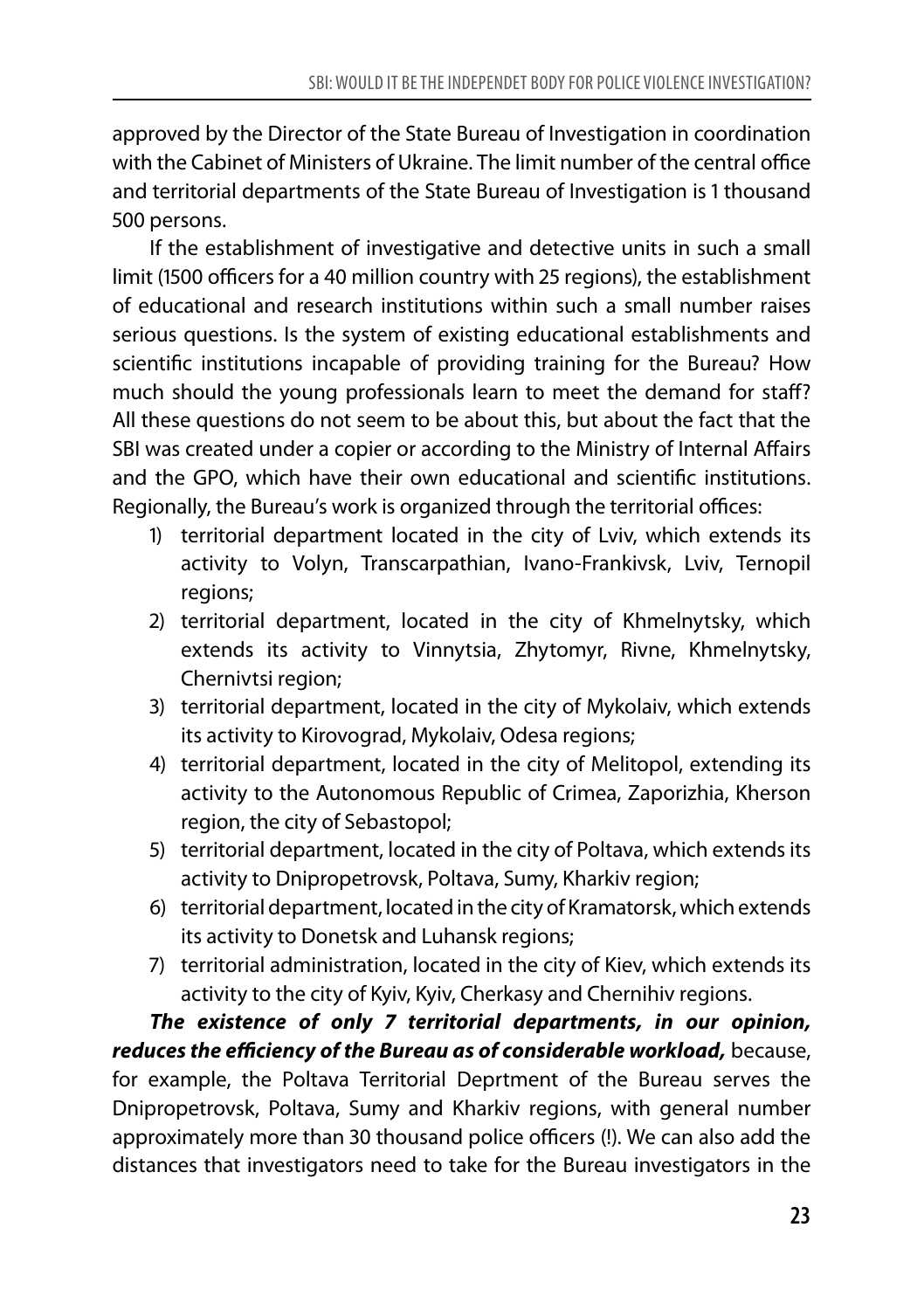approved by the Director of the State Bureau of Investigation in coordination with the Cabinet of Ministers of Ukraine. The limit number of the central office and territorial departments of the State Bureau of Investigation is 1 thousand 500 persons.

If the establishment of investigative and detective units in such a small limit (1500 officers for a 40 million country with 25 regions), the establishment of educational and research institutions within such a small number raises serious questions. Is the system of existing educational establishments and scientific institutions incapable of providing training for the Bureau? How much should the young professionals learn to meet the demand for staff? All these questions do not seem to be about this, but about the fact that the SBI was created under a copier or according to the Ministry of Internal Affairs and the GPO, which have their own educational and scientific institutions. Regionally, the Bureau's work is organized through the territorial offices:

- 1) territorial department located in the city of Lviv, which extends its activity to Volyn, Transcarpathian, Ivano-Frankivsk, Lviv, Ternopil regions;
- 2) territorial department, located in the city of Khmelnytsky, which extends its activity to Vinnytsia, Zhytomyr, Rivne, Khmelnytsky, Chernivtsi region;
- 3) territorial department, located in the city of Mykolaiv, which extends its activity to Kirovograd, Mykolaiv, Odesa regions;
- 4) territorial department, located in the city of Melitopol, extending its activity to the Autonomous Republic of Crimea, Zaporizhia, Kherson region, the city of Sebastopol;
- 5) territorial department, located in the city of Poltava, which extends its activity to Dnipropetrovsk, Poltava, Sumy, Kharkiv region;
- 6) territorial department, located in the city of Kramatorsk, which extends its activity to Donetsk and Luhansk regions;
- 7) territorial administration, located in the city of Kiev, which extends its activity to the city of Kyiv, Kyiv, Cherkasy and Chernihiv regions.

*The existence of only 7 territorial departments, in our opinion, reduces the efficiency of the Bureau as of considerable workload,* because, for example, the Poltava Territorial Deprtment of the Bureau serves the Dnipropetrovsk, Poltava, Sumy and Kharkiv regions, with general number approximately more than 30 thousand police officers (!). We can also add the distances that investigators need to take for the Bureau investigators in the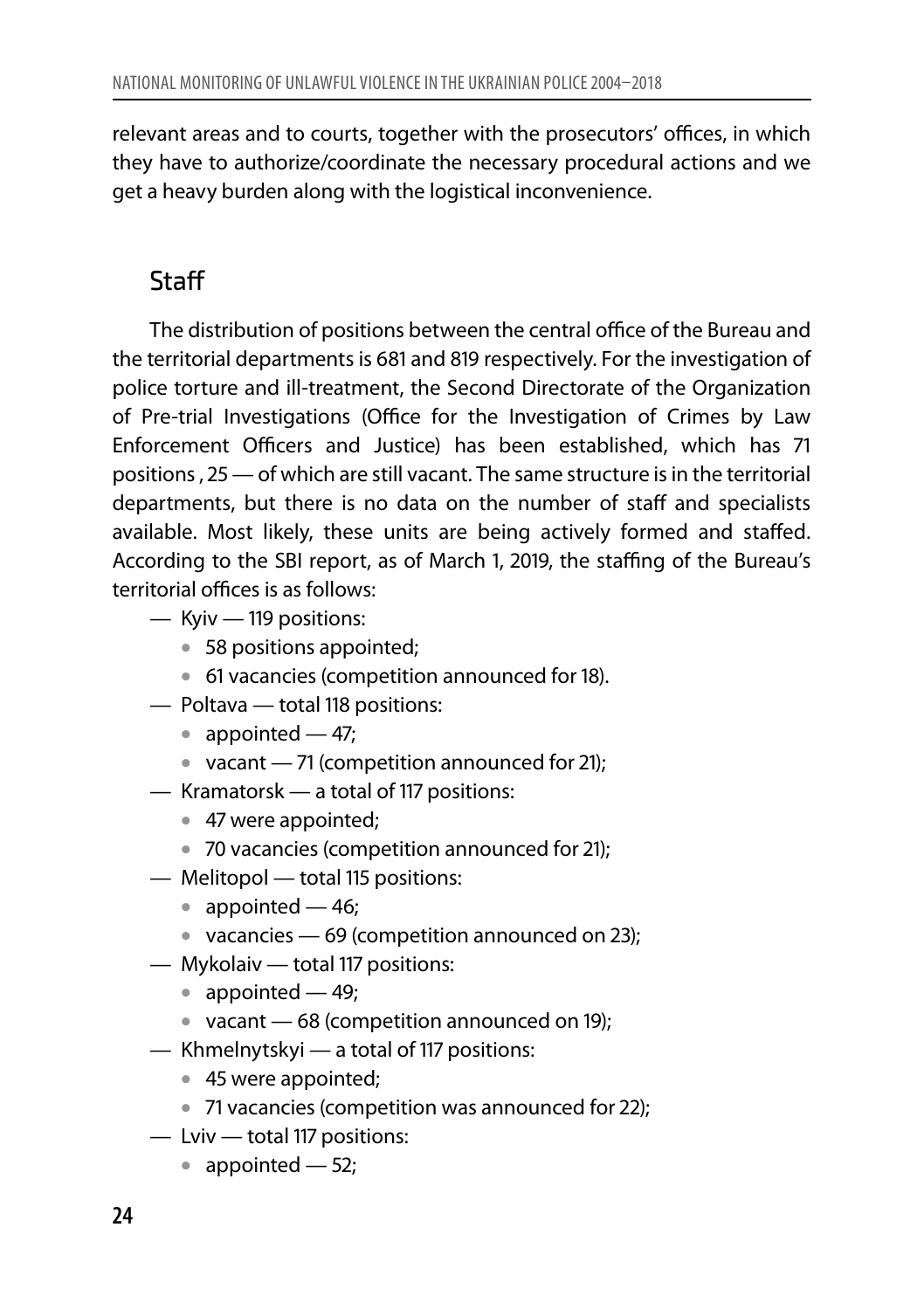relevant areas and to courts, together with the prosecutors' offices, in which they have to authorize/coordinate the necessary procedural actions and we get a heavy burden along with the logistical inconvenience.

#### Staff

The distribution of positions between the central office of the Bureau and the territorial departments is 681 and 819 respectively. For the investigation of police torture and ill-treatment, the Second Directorate of the Organization of Pre-trial Investigations (Office for the Investigation of Crimes by Law Enforcement Officers and Justice) has been established, which has 71 positions , 25 — of which are still vacant. The same structure is in the territorial departments, but there is no data on the number of staff and specialists available. Most likely, these units are being actively formed and staffed. According to the SBI report, as of March 1, 2019, the staffing of the Bureau's territorial offices is as follows:

- Kyiv 119 positions:
	- 58 positions appointed; •
	- 61 vacancies (competition announced for 18). •
- Poltava total 118 positions:
	- appointed 47;
	- vacant 71 (competition announced for 21);
- Kramatorsk a total of 117 positions:
	- 47 were appointed; •
	- 70 vacancies (competition announced for 21); •
- Melitopol total 115 positions:
	- appointed 46;
	- vacancies 69 (competition announced on 23);
- Mykolaiv total 117 positions:
	- appointed 49;
	- vacant 68 (competition announced on 19);
- Khmelnytskyi a total of 117 positions:
	- 45 were appointed; •
	- 71 vacancies (competition was announced for 22); •
- Lviv total 117 positions:
	- appointed 52;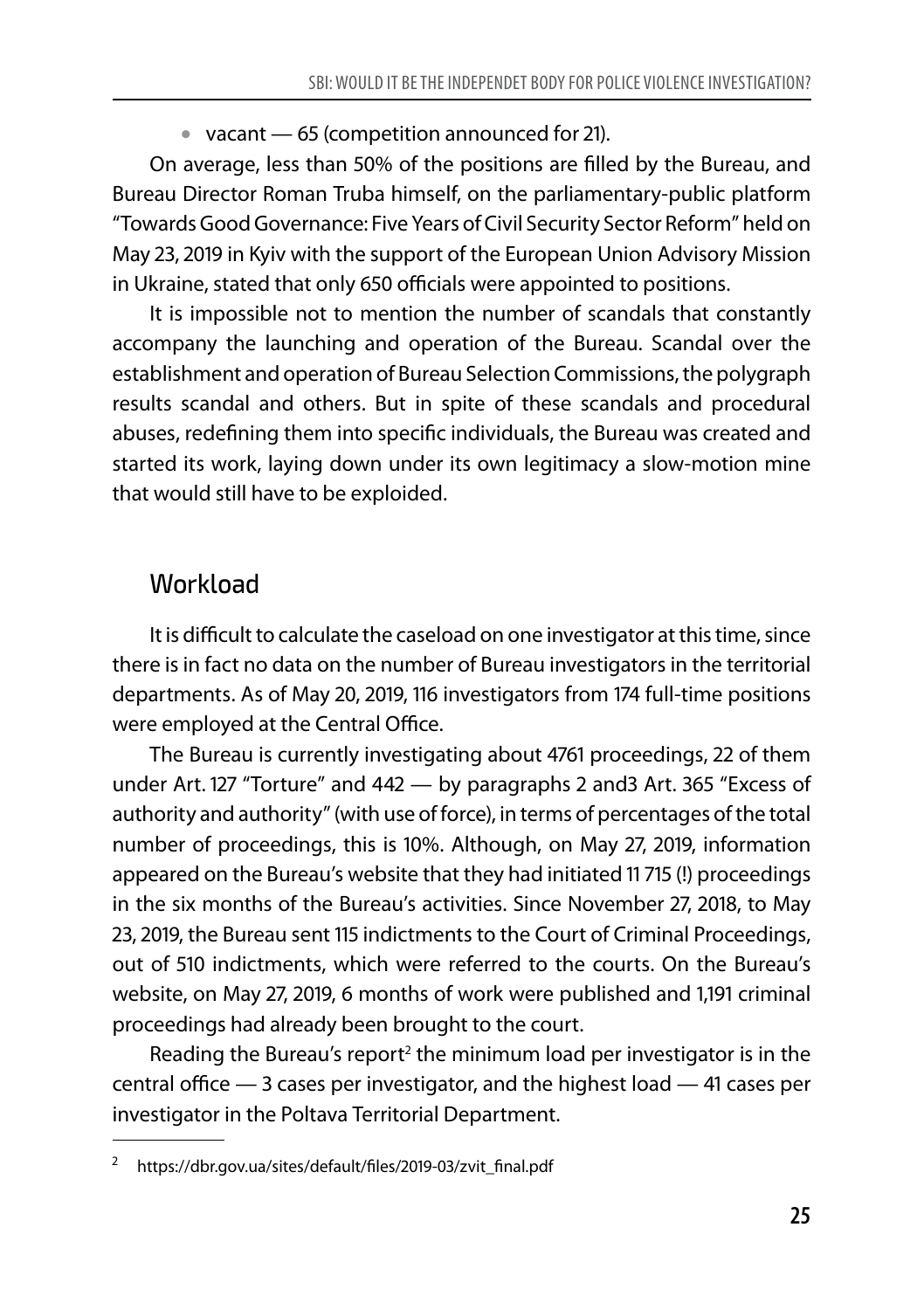$\bullet\;$  vacant — 65 (competition announced for 21).

On average, less than 50% of the positions are filled by the Bureau, and Bureau Director Roman Truba himself, on the parliamentary-public platform "Towards Good Governance: Five Years of Civil Security Sector Reform" held on May 23, 2019 in Kyiv with the support of the European Union Advisory Mission in Ukraine, stated that only 650 officials were appointed to positions.

It is impossible not to mention the number of scandals that constantly accompany the launching and operation of the Bureau. Scandal over the establishment and operation of Bureau Selection Commissions, the polygraph results scandal and others. But in spite of these scandals and procedural abuses, redefining them into specific individuals, the Bureau was created and started its work, laying down under its own legitimacy a slow-motion mine that would still have to be exploided.

#### **Workload**

It is difficult to calculate the caseload on one investigator at this time, since there is in fact no data on the number of Bureau investigators in the territorial departments. As of May 20, 2019, 116 investigators from 174 full-time positions were employed at the Central Office.

The Bureau is currently investigating about 4761 proceedings, 22 of them under Art. 127 "Torture" and 442 — by paragraphs 2 and3 Art. 365 "Excess of authority and authority" (with use of force), in terms of percentages of the total number of proceedings, this is 10%. Although, on May 27, 2019, information appeared on the Bureau's website that they had initiated 11 715 (!) proceedings in the six months of the Bureau's activities. Since November 27, 2018, to May 23, 2019, the Bureau sent 115 indictments to the Court of Criminal Proceedings, out of 510 indictments, which were referred to the courts. On the Bureau's website, on May 27, 2019, 6 months of work were published and 1,191 criminal proceedings had already been brought to the court.

Reading the Bureau's report<sup>2</sup> the minimum load per investigator is in the central office — 3 cases per investigator, and the highest load — 41 cases per investigator in the Poltava Territorial Department.

<sup>2</sup> https://dbr.gov.ua/sites/default/files/2019-03/zvit\_final.pdf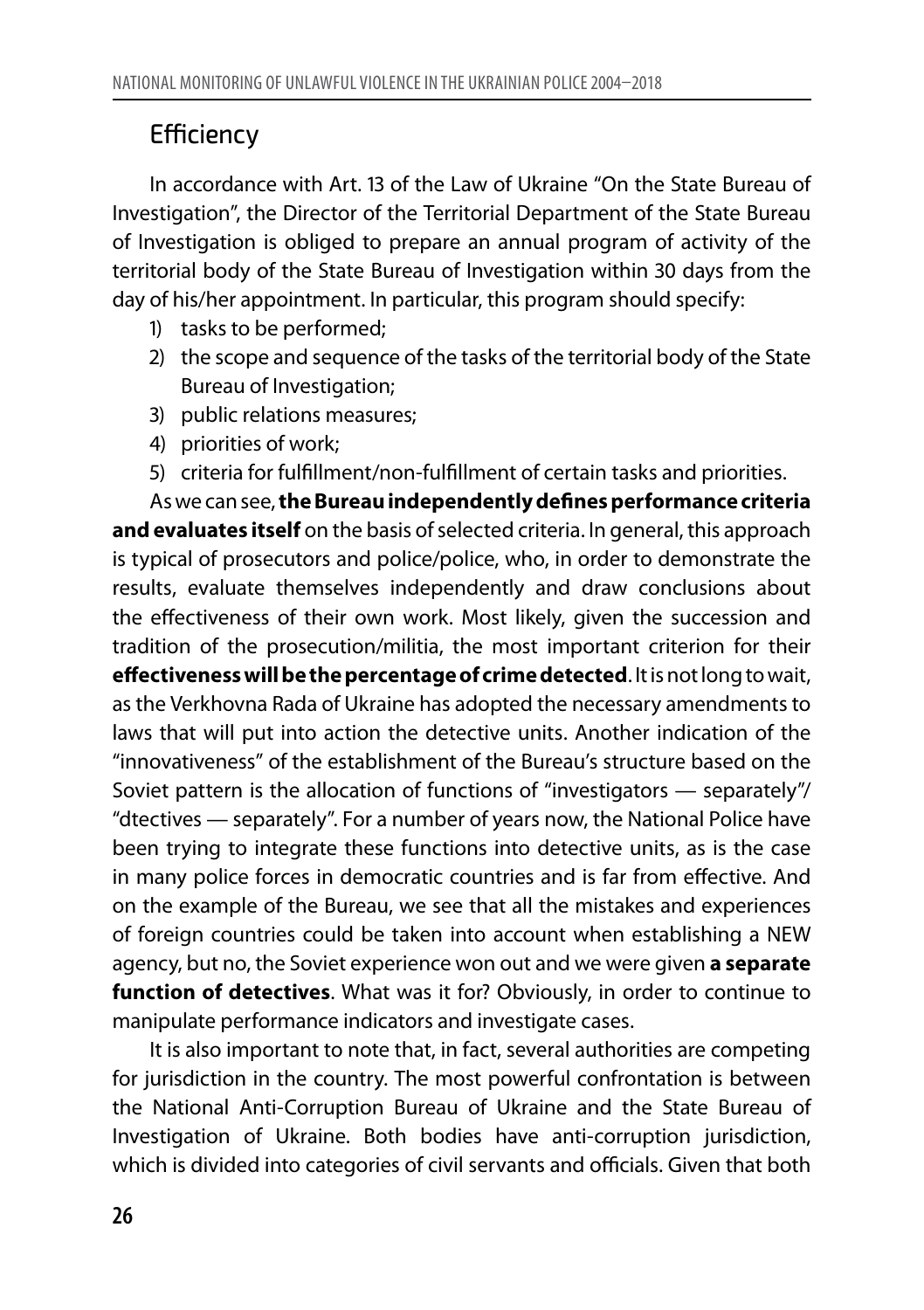### **Efficiency**

In accordance with Art. 13 of the Law of Ukraine "On the State Bureau of Investigation", the Director of the Territorial Department of the State Bureau of Investigation is obliged to prepare an annual program of activity of the territorial body of the State Bureau of Investigation within 30 days from the day of his/her appointment. In particular, this program should specify:

- 1) tasks to be performed;
- 2) the scope and sequence of the tasks of the territorial body of the State Bureau of Investigation;
- 3) public relations measures;
- 4) priorities of work;
- 5) criteria for fulfillment/non-fulfillment of certain tasks and priorities.

As we can see, **the Bureau independently defines performance criteria and evaluates itself** on the basis of selected criteria. In general, this approach is typical of prosecutors and police/police, who, in order to demonstrate the results, evaluate themselves independently and draw conclusions about the effectiveness of their own work. Most likely, given the succession and tradition of the prosecution/militia, the most important criterion for their **effectiveness will be the percentage of crime detected**. It is not long to wait, as the Verkhovna Rada of Ukraine has adopted the necessary amendments to laws that will put into action the detective units. Another indication of the "innovativeness" of the establishment of the Bureau's structure based on the Soviet pattern is the allocation of functions of "investigators — separately"/ "dtectives — separately". For a number of years now, the National Police have been trying to integrate these functions into detective units, as is the case in many police forces in democratic countries and is far from effective. And on the example of the Bureau, we see that all the mistakes and experiences of foreign countries could be taken into account when establishing a NEW agency, but no, the Soviet experience won out and we were given **a separate function of detectives**. What was it for? Obviously, in order to continue to manipulate performance indicators and investigate cases.

It is also important to note that, in fact, several authorities are competing for jurisdiction in the country. The most powerful confrontation is between the National Anti-Corruption Bureau of Ukraine and the State Bureau of Investigation of Ukraine. Both bodies have anti-corruption jurisdiction, which is divided into categories of civil servants and officials. Given that both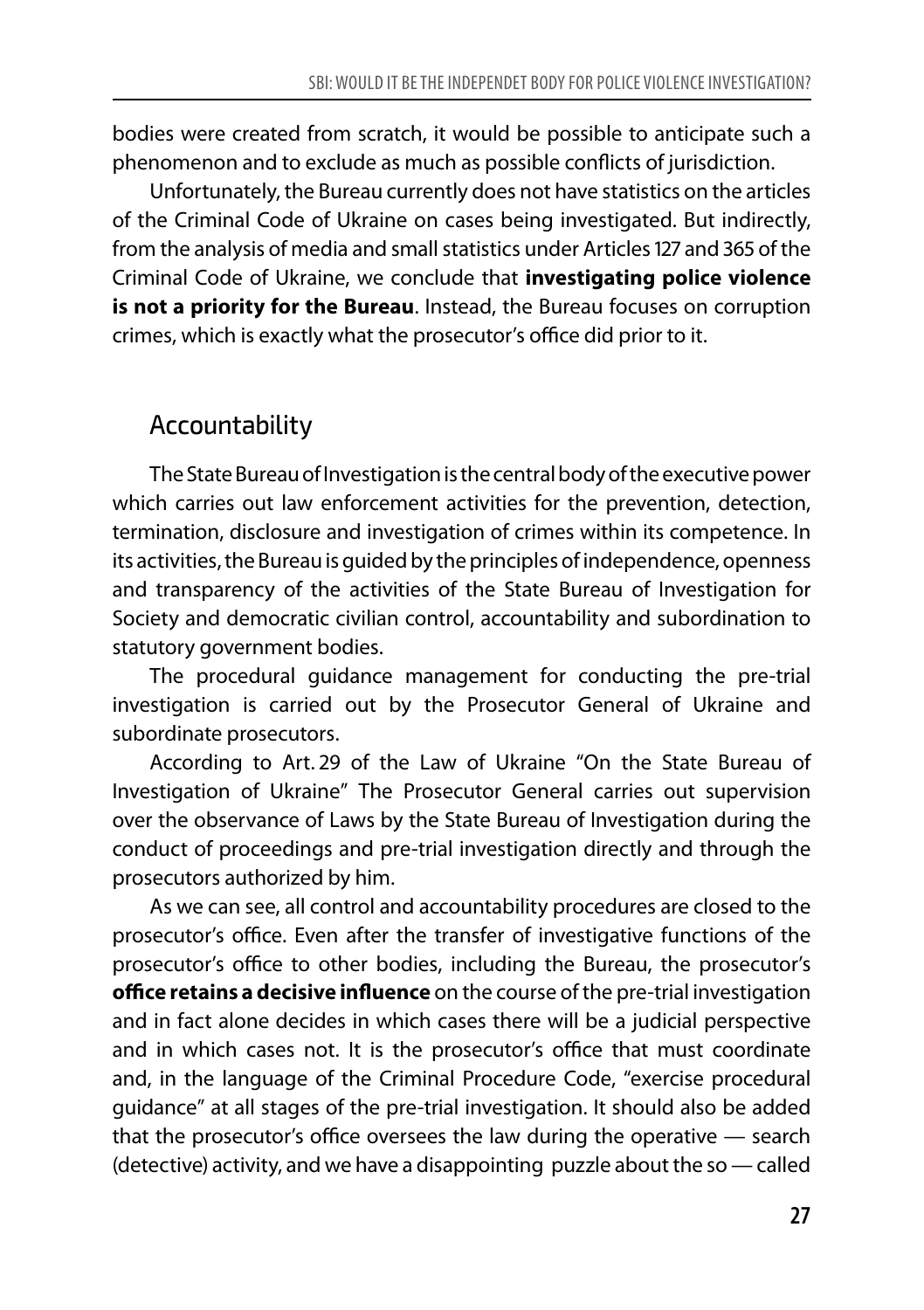bodies were created from scratch, it would be possible to anticipate such a phenomenon and to exclude as much as possible conflicts of jurisdiction.

Unfortunately, the Bureau currently does not have statistics on the articles of the Criminal Code of Ukraine on cases being investigated. But indirectly, from the analysis of media and small statistics under Articles 127 and 365 of the Criminal Code of Ukraine, we conclude that **investigating police violence is not a priority for the Bureau**. Instead, the Bureau focuses on corruption crimes, which is exactly what the prosecutor's office did prior to it.

#### Accountability

The State Bureau of Investigation is the central body of the executive power which carries out law enforcement activities for the prevention, detection, termination, disclosure and investigation of crimes within its competence. In its activities, the Bureau is guided by the principles of independence, openness and transparency of the activities of the State Bureau of Investigation for Society and democratic civilian control, accountability and subordination to statutory government bodies.

The procedural guidance management for conducting the pre-trial investigation is carried out by the Prosecutor General of Ukraine and subordinate prosecutors.

According to Art. 29 of the Law of Ukraine "On the State Bureau of Investigation of Ukraine" The Prosecutor General carries out supervision over the observance of Laws by the State Bureau of Investigation during the conduct of proceedings and pre-trial investigation directly and through the prosecutors authorized by him.

As we can see, all control and accountability procedures are closed to the prosecutor's office. Even after the transfer of investigative functions of the prosecutor's office to other bodies, including the Bureau, the prosecutor's **office retains a decisive influence** on the course of the pre-trial investigation and in fact alone decides in which cases there will be a judicial perspective and in which cases not. It is the prosecutor's office that must coordinate and, in the language of the Criminal Procedure Code, "exercise procedural guidance" at all stages of the pre-trial investigation. It should also be added that the prosecutor's office oversees the law during the operative — search (detective) activity, and we have a disappointing puzzle about the so — called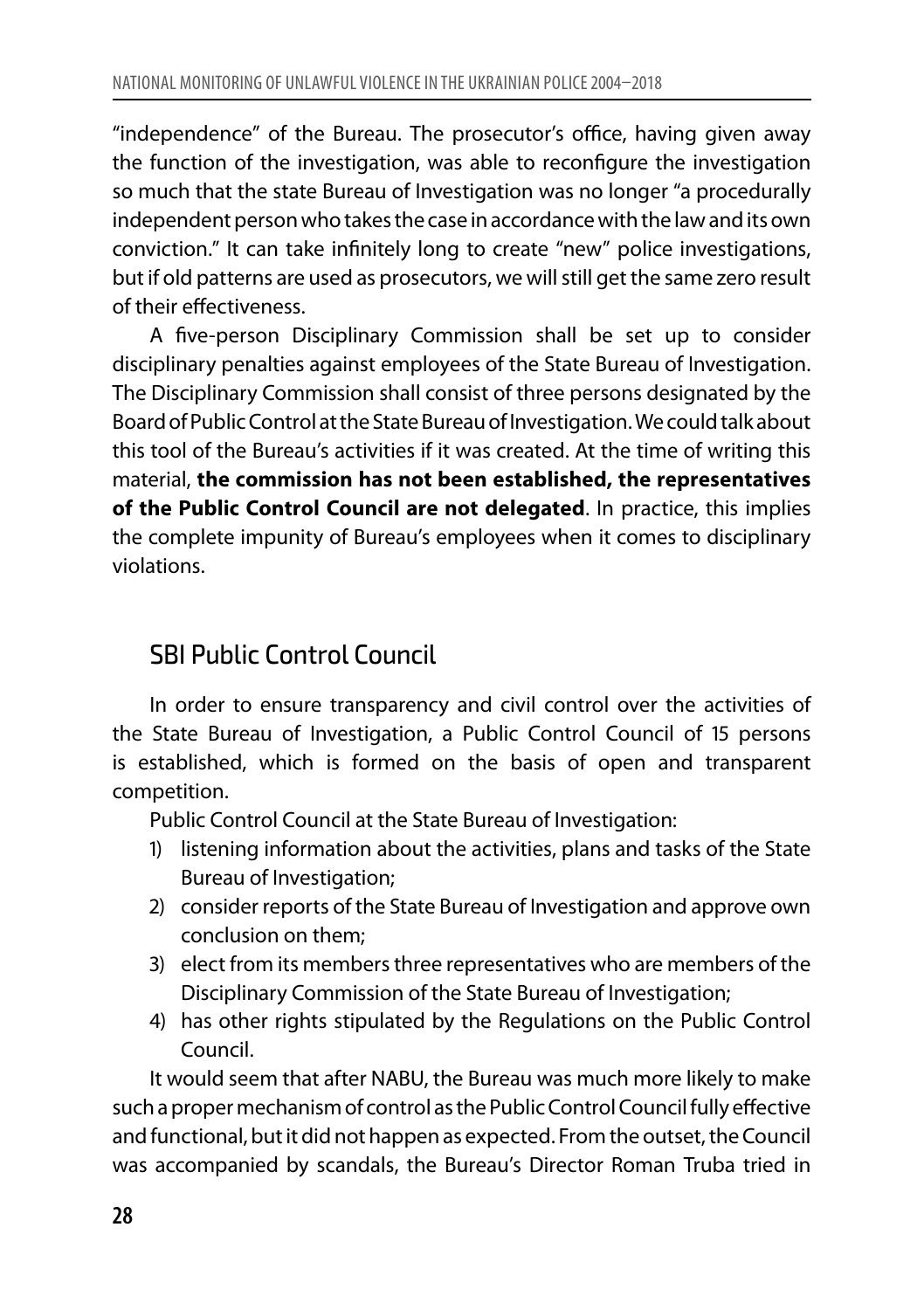"independence" of the Bureau. The prosecutor's office, having given away the function of the investigation, was able to reconfigure the investigation so much that the state Bureau of Investigation was no longer "a procedurally independent person who takes the case in accordance with the law and its own conviction." It can take infinitely long to create "new" police investigations, but if old patterns are used as prosecutors, we will still get the same zero result of their effectiveness.

A five-person Disciplinary Commission shall be set up to consider disciplinary penalties against employees of the State Bureau of Investigation. The Disciplinary Commission shall consist of three persons designated by the Board of Public Control at the State Bureau of Investigation. We could talk about this tool of the Bureau's activities if it was created. At the time of writing this material, **the commission has not been established, the representatives of the Public Control Council are not delegated**. In practice, this implies the complete impunity of Bureau's employees when it comes to disciplinary violations.

#### SBI Public Control Council

In order to ensure transparency and civil control over the activities of the State Bureau of Investigation, a Public Control Council of 15 persons is established, which is formed on the basis of open and transparent competition.

Public Control Council at the State Bureau of Investigation:

- 1) listening information about the activities, plans and tasks of the State Bureau of Investigation;
- 2) consider reports of the State Bureau of Investigation and approve own conclusion on them;
- 3) elect from its members three representatives who are members of the Disciplinary Commission of the State Bureau of Investigation;
- 4) has other rights stipulated by the Regulations on the Public Control Council.

It would seem that after NABU, the Bureau was much more likely to make such a proper mechanism of control as the Public Control Council fully effective and functional, but it did not happen as expected. From the outset, the Council was accompanied by scandals, the Bureau's Director Roman Truba tried in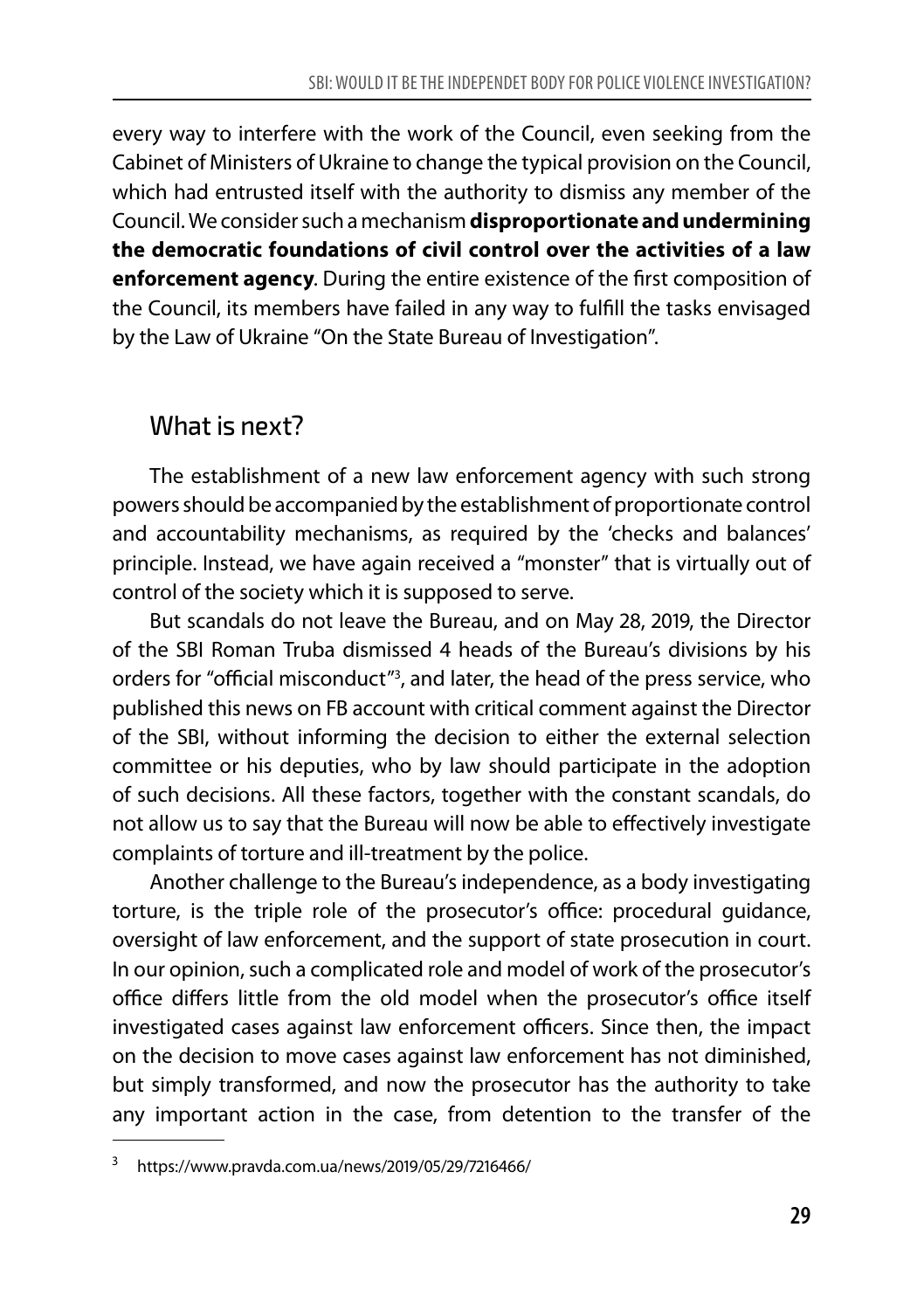every way to interfere with the work of the Council, even seeking from the Cabinet of Ministers of Ukraine to change the typical provision on the Council, which had entrusted itself with the authority to dismiss any member of the Council. We consider such a mechanism **disproportionate and undermining the democratic foundations of civil control over the activities of a law enforcement agency**. During the entire existence of the first composition of the Council, its members have failed in any way to fulfill the tasks envisaged by the Law of Ukraine "On the State Bureau of Investigation".

#### What is next?

The establishment of a new law enforcement agency with such strong powers should be accompanied by the establishment of proportionate control and accountability mechanisms, as required by the 'checks and balances' principle. Instead, we have again received a "monster" that is virtually out of control of the society which it is supposed to serve.

But scandals do not leave the Bureau, and on May 28, 2019, the Director of the SBI Roman Truba dismissed 4 heads of the Bureau's divisions by his orders for "official misconduct"3 , and later, the head of the press service, who published this news on FB account with critical comment against the Director of the SBI, without informing the decision to either the external selection committee or his deputies, who by law should participate in the adoption of such decisions. All these factors, together with the constant scandals, do not allow us to say that the Bureau will now be able to effectively investigate complaints of torture and ill-treatment by the police.

Another challenge to the Bureau's independence, as a body investigating torture, is the triple role of the prosecutor's office: procedural guidance, oversight of law enforcement, and the support of state prosecution in court. In our opinion, such a complicated role and model of work of the prosecutor's office differs little from the old model when the prosecutor's office itself investigated cases against law enforcement officers. Since then, the impact on the decision to move cases against law enforcement has not diminished, but simply transformed, and now the prosecutor has the authority to take any important action in the case, from detention to the transfer of the

<sup>3</sup> https://www.pravda.com.ua/news/2019/05/29/7216466/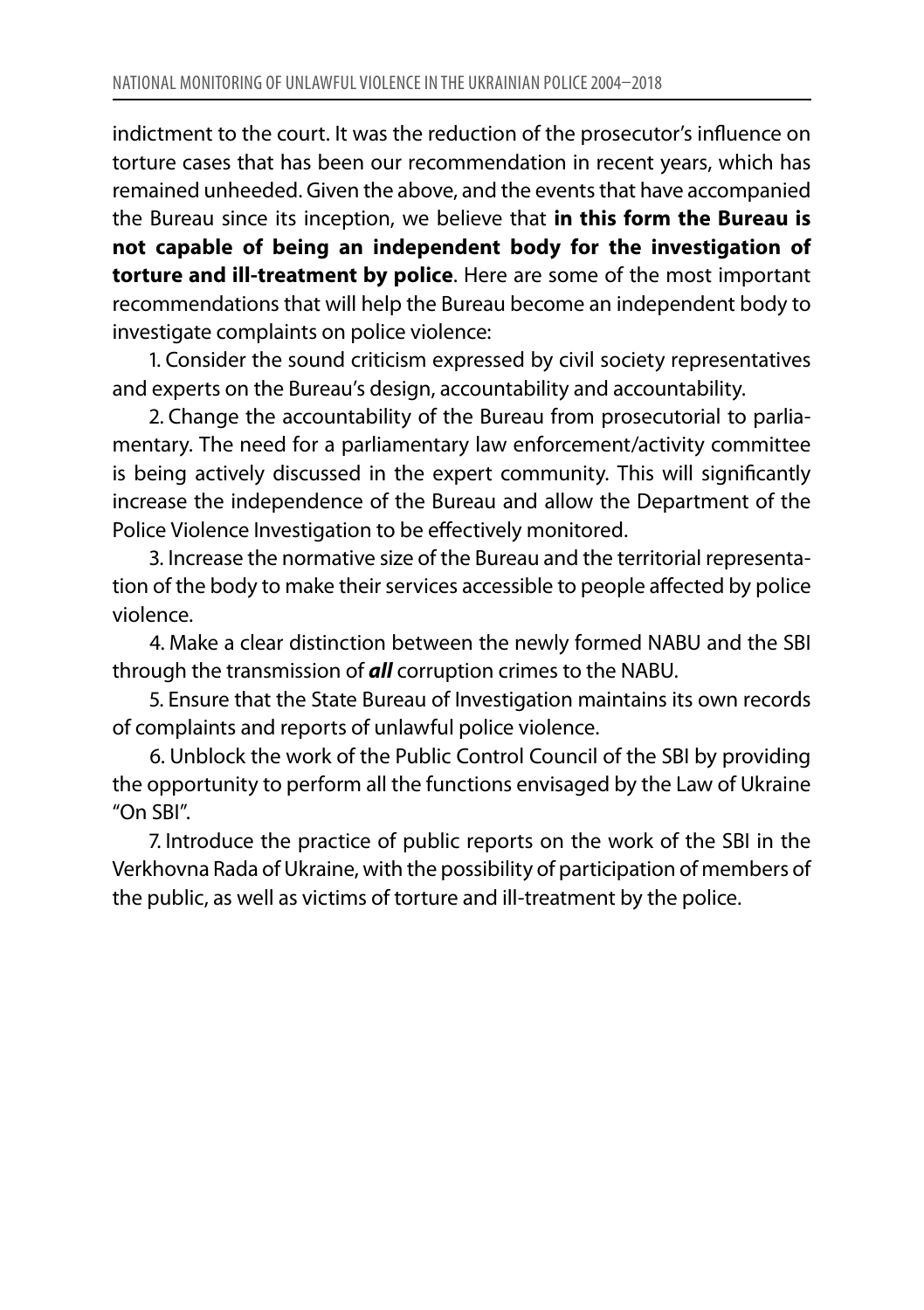indictment to the court. It was the reduction of the prosecutor's influence on torture cases that has been our recommendation in recent years, which has remained unheeded. Given the above, and the events that have accompanied the Bureau since its inception, we believe that **in this form the Bureau is not capable of being an independent body for the investigation of torture and ill-treatment by police**. Here are some of the most important recommendations that will help the Bureau become an independent body to investigate complaints on police violence:

1. Consider the sound criticism expressed by civil society representatives and experts on the Bureau's design, accountability and accountability.

2. Change the accountability of the Bureau from prosecutorial to parliamentary. The need for a parliamentary law enforcement/activity committee is being actively discussed in the expert community. This will significantly increase the independence of the Bureau and allow the Department of the Police Violence Investigation to be effectively monitored.

3. Increase the normative size of the Bureau and the territorial representation of the body to make their services accessible to people affected by police violence.

4. Make a clear distinction between the newly formed NABU and the SBI through the transmission of *all* corruption crimes to the NABU.

5. Ensure that the State Bureau of Investigation maintains its own records of complaints and reports of unlawful police violence.

6. Unblock the work of the Public Control Сouncil of the SBI by providing the opportunity to perform all the functions envisaged by the Law of Ukraine "On SBI".

7. Introduce the practice of public reports on the work of the SBI in the Verkhovna Rada of Ukraine, with the possibility of participation of members of the public, as well as victims of torture and ill-treatment by the police.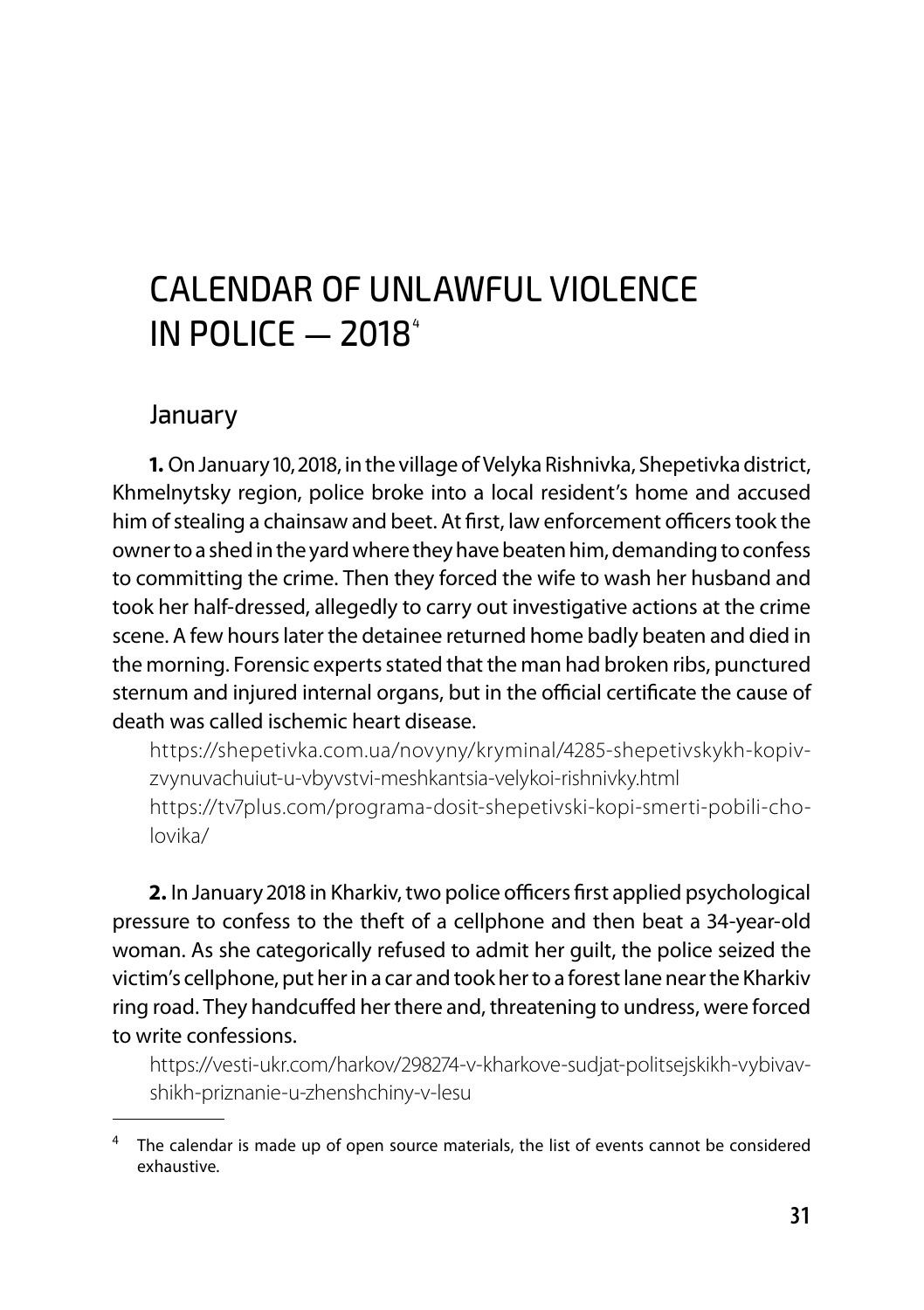## CALENDAR OF UNLAWFUL VIOLENCE IN POLICE  $-$  2018<sup> $4$ </sup>

#### January

**1.** On January 10, 2018, in the village of Velyka Rishnivka, Shepetivka district, Khmelnytsky region, police broke into a local resident's home and accused him of stealing a chainsaw and beet. At first, law enforcement officers took the owner to a shed in the yard where they have beaten him, demanding to confess to committing the crime. Then they forced the wife to wash her husband and took her half-dressed, allegedly to carry out investigative actions at the crime scene. A few hours later the detainee returned home badly beaten and died in the morning. Forensic experts stated that the man had broken ribs, punctured sternum and injured internal organs, but in the official certificate the cause of death was called ischemic heart disease.

https://shepetivka.com.ua/novyny/kryminal/4285-shepetivskykh-kopivzvynuvachuiut-u-vbyvstvi-meshkantsia-velykoi-rishnivky.html https://tv7plus.com/programa-dosit-shepetivski-kopi-smerti-pobili-cholovika/

**2.** In January 2018 in Kharkiv, two police officers first applied psychological pressure to confess to the theft of a cellphone and then beat a 34-year-old woman. As she categorically refused to admit her guilt, the police seized the victim's cellphone, put her in a car and took her to a forest lane near the Kharkiv ring road. They handcuffed her there and, threatening to undress, were forced to write confessions.

https://vesti-ukr.com/harkov/298274-v-kharkove-sudjat-politsejskikh-vybivavshikh-priznanie-u-zhenshchiny-v-lesu

 $4$  The calendar is made up of open source materials, the list of events cannot be considered exhaustive.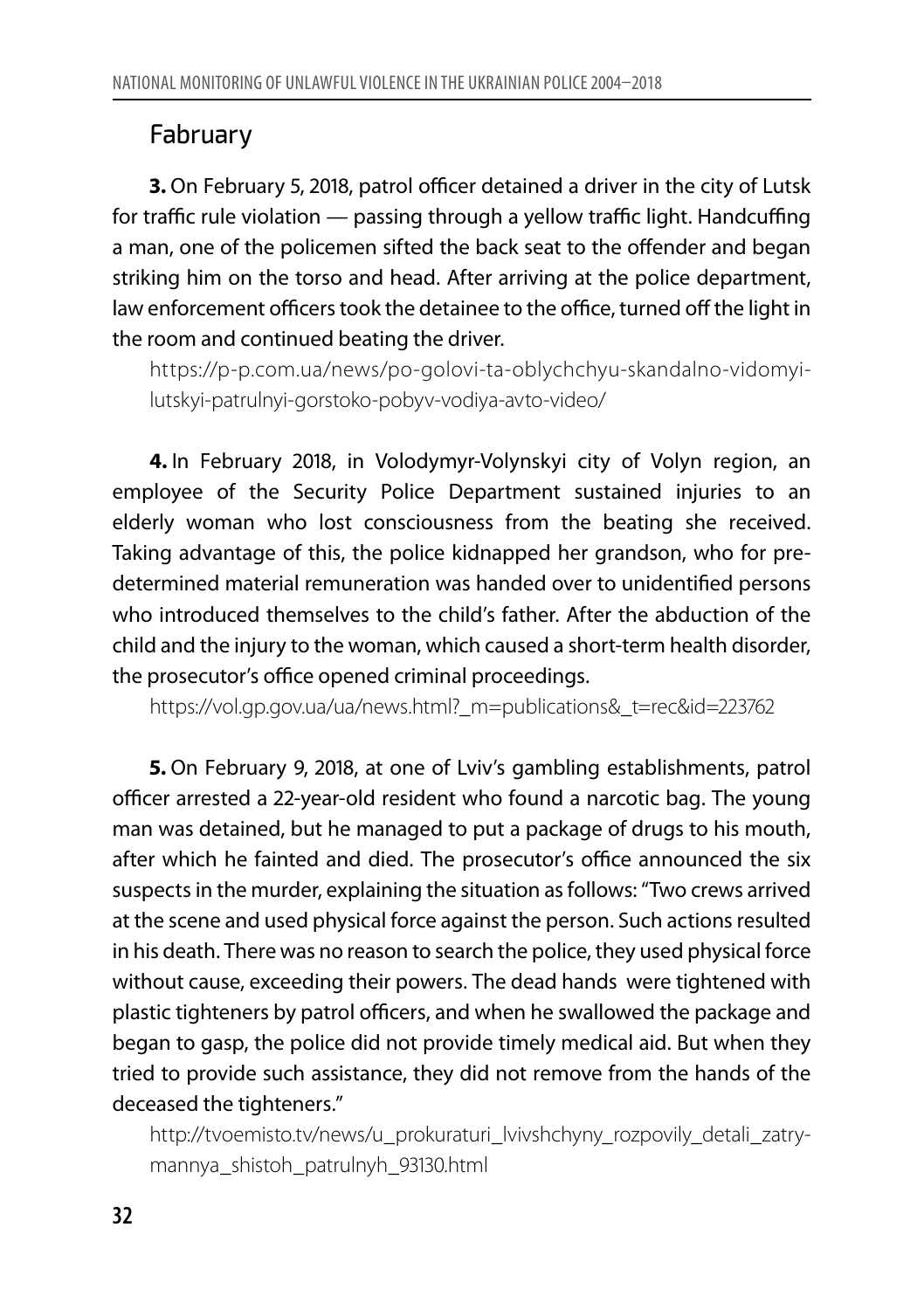#### Fabruary

**3.** On February 5, 2018, patrol officer detained a driver in the city of Lutsk for traffic rule violation — passing through a yellow traffic light. Handcuffing a man, one of the policemen sifted the back seat to the offender and began striking him on the torso and head. After arriving at the police department, law enforcement officers took the detainee to the office, turned off the light in the room and continued beating the driver.

https://p-p.com.ua/news/po-golovi-ta-oblychchyu-skandalno-vidomyilutskyi-patrulnyi-gorstoko-pobyv-vodiya-avto-video/

**4.** In February 2018, in Volodymyr-Volynskyi city of Volyn region, an employee of the Security Police Department sustained injuries to an elderly woman who lost consciousness from the beating she received. Taking advantage of this, the police kidnapped her grandson, who for predetermined material remuneration was handed over to unidentified persons who introduced themselves to the child's father. After the abduction of the child and the injury to the woman, which caused a short-term health disorder, the prosecutor's office opened criminal proceedings.

https://vol.gp.gov.ua/ua/news.html?\_m=publications&\_t=rec&id=223762

**5.** On February 9, 2018, at one of Lviv's gambling establishments, patrol officer arrested a 22-year-old resident who found a narcotic bag. The young man was detained, but he managed to put a package of drugs to his mouth, after which he fainted and died. The prosecutor's office announced the six suspects in the murder, explaining the situation as follows: "Two crews arrived at the scene and used physical force against the person. Such actions resulted in his death. There was no reason to search the police, they used physical force without cause, exceeding their powers. The dead hands were tightened with plastic tighteners by patrol officers, and when he swallowed the package and began to gasp, the police did not provide timely medical aid. But when they tried to provide such assistance, they did not remove from the hands of the deceased the tighteners."

http://tvoemisto.tv/news/u\_prokuraturi\_lvivshchyny\_rozpovily\_detali\_zatrymannya\_shistoh\_patrulnyh\_93130.html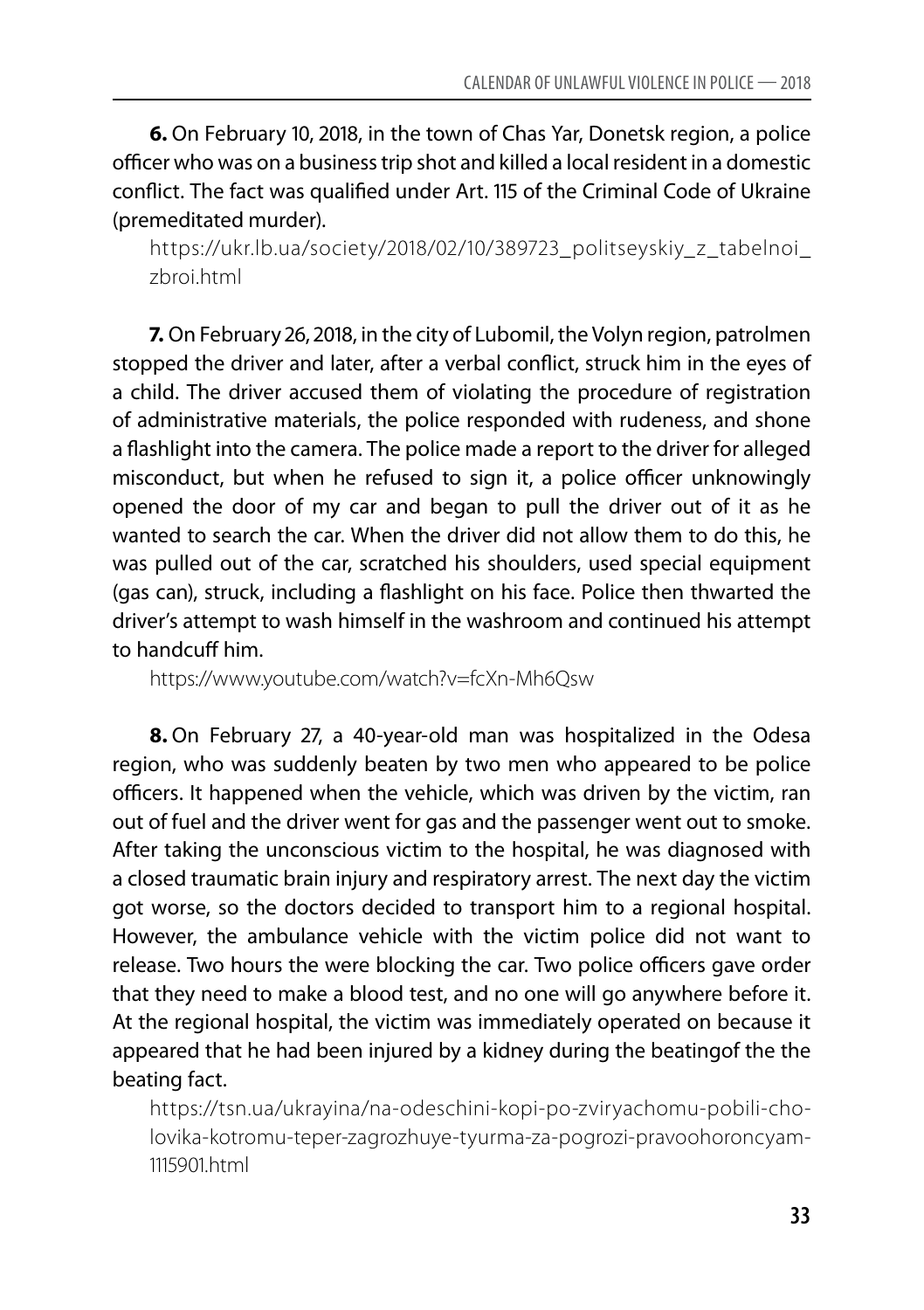**6.** On February 10, 2018, in the town of Chas Yar, Donetsk region, a police officer who was on a business trip shot and killed a local resident in a domestic conflict. The fact was qualified under Art. 115 of the Criminal Code of Ukraine (premeditated murder).

https://ukr.lb.ua/society/2018/02/10/389723\_politseyskiy\_z\_tabelnoi\_ zhroi html

**7.** On February 26, 2018, in the city of Lubomil, the Volyn region, patrolmen stopped the driver and later, after a verbal conflict, struck him in the eyes of a child. The driver accused them of violating the procedure of registration of administrative materials, the police responded with rudeness, and shone a flashlight into the camera. The police made a report to the driver for alleged misconduct, but when he refused to sign it, a police officer unknowingly opened the door of my car and began to pull the driver out of it as he wanted to search the car. When the driver did not allow them to do this, he was pulled out of the car, scratched his shoulders, used special equipment (gas can), struck, including a flashlight on his face. Police then thwarted the driver's attempt to wash himself in the washroom and continued his attempt to handcuff him.

https://www.youtube.com/watch?v=fcXn-Mh6Qsw

**8.** On February 27, a 40-year-old man was hospitalized in the Odesa region, who was suddenly beaten by two men who appeared to be police officers. It happened when the vehicle, which was driven by the victim, ran out of fuel and the driver went for gas and the passenger went out to smoke. After taking the unconscious victim to the hospital, he was diagnosed with a closed traumatic brain injury and respiratory arrest. The next day the victim got worse, so the doctors decided to transport him to a regional hospital. However, the ambulance vehicle with the victim police did not want to release. Two hours the were blocking the car. Two police officers gave order that they need to make a blood test, and no one will go anywhere before it. At the regional hospital, the victim was immediately operated on because it appeared that he had been injured by a kidney during the beatingof the the beating fact.

https://tsn.ua/ukrayina/na-odeschini-kopi-po-zviryachomu-pobili-cholovika-kotromu-teper-zagrozhuye-tyurma-za-pogrozi-pravoohoroncyam-1115901.html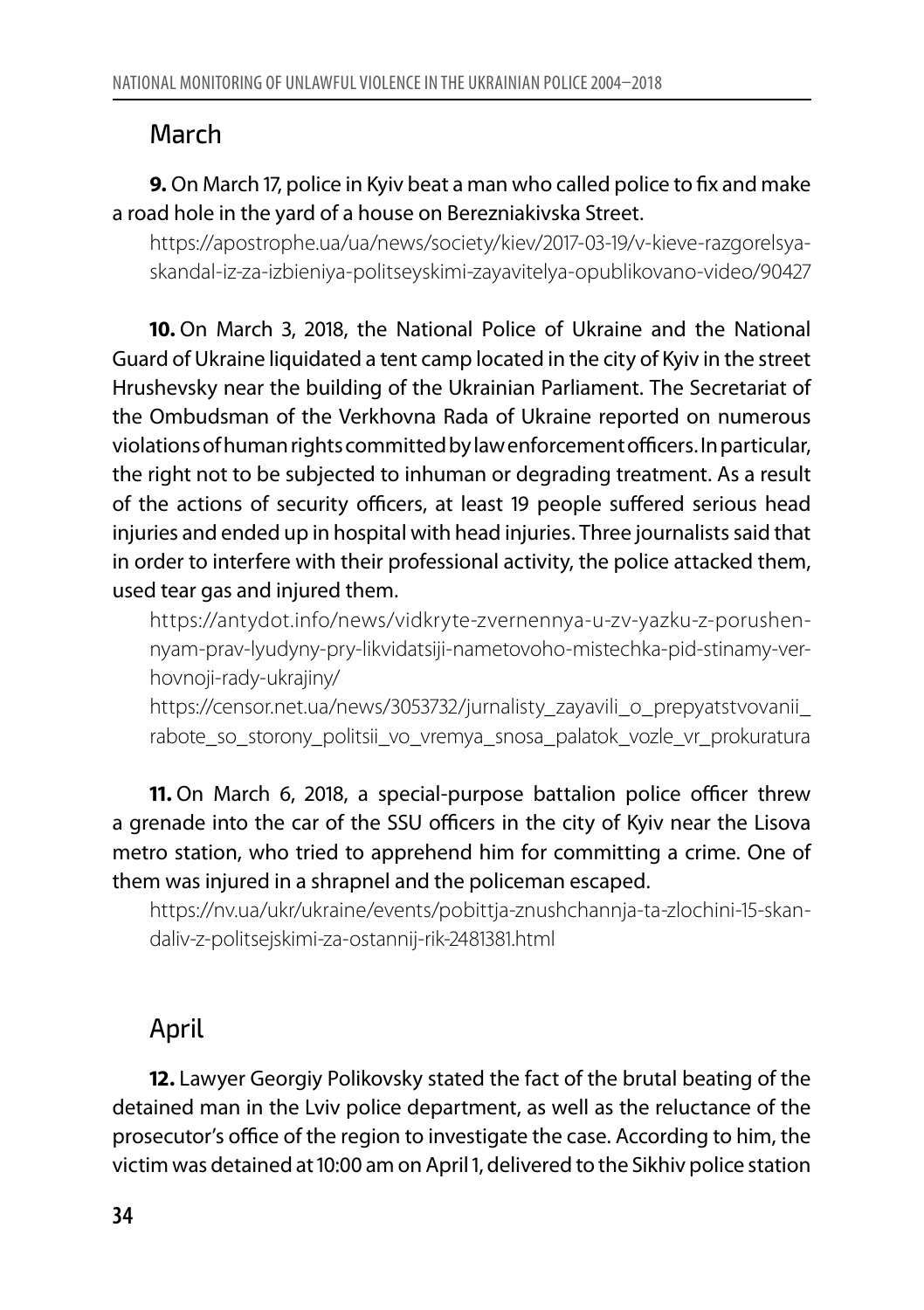#### March

#### **9.** On March 17, police in Kyiv beat a man who called police to fix and make a road hole in the yard of a house on Berezniakivska Street.

https://apostrophe.ua/ua/news/society/kiev/2017-03-19/v-kieve-razgorelsyaskandal-iz-za-izbieniya-politseyskimi-zayavitelya-opublikovano-video/90427

**10.** On March 3, 2018, the National Police of Ukraine and the National Guard of Ukraine liquidated a tent camp located in the city of Kyiv in the street Hrushevsky near the building of the Ukrainian Parliament. The Secretariat of the Ombudsman of the Verkhovna Rada of Ukraine reported on numerous violations of human rights committed by law enforcement officers. In particular, the right not to be subjected to inhuman or degrading treatment. As a result of the actions of security officers, at least 19 people suffered serious head injuries and ended up in hospital with head injuries. Three journalists said that in order to interfere with their professional activity, the police attacked them, used tear gas and injured them.

https://antydot.info/news/vidkryte-zvernennya-u-zv-yazku-z-porushennyam-prav-lyudyny-pry-likvidatsiji-nametovoho-mistechka-pid-stinamy-verhovnoji-rady-ukrajiny/

https://censor.net.ua/news/3053732/jurnalisty\_zayavili\_o\_prepyatstvovanii rabote\_so\_storony\_politsii\_vo\_vremya\_snosa\_palatok\_vozle\_vr\_prokuratura

**11.** On March 6, 2018, a special-purpose battalion police officer threw a grenade into the car of the SSU officers in the city of Kyiv near the Lisova metro station, who tried to apprehend him for committing a crime. One of them was injured in a shrapnel and the policeman escaped.

https://nv.ua/ukr/ukraine/events/pobittja-znushchannja-ta-zlochini-15-skandaliv-z-politsejskimi-za-ostannij-rik-2481381.html

## April

**12.** Lawyer Georgiy Polikovsky stated the fact of the brutal beating of the detained man in the Lviv police department, as well as the reluctance of the prosecutor's office of the region to investigate the case. According to him, the victim was detained at 10:00 am on April 1, delivered to the Sikhiv police station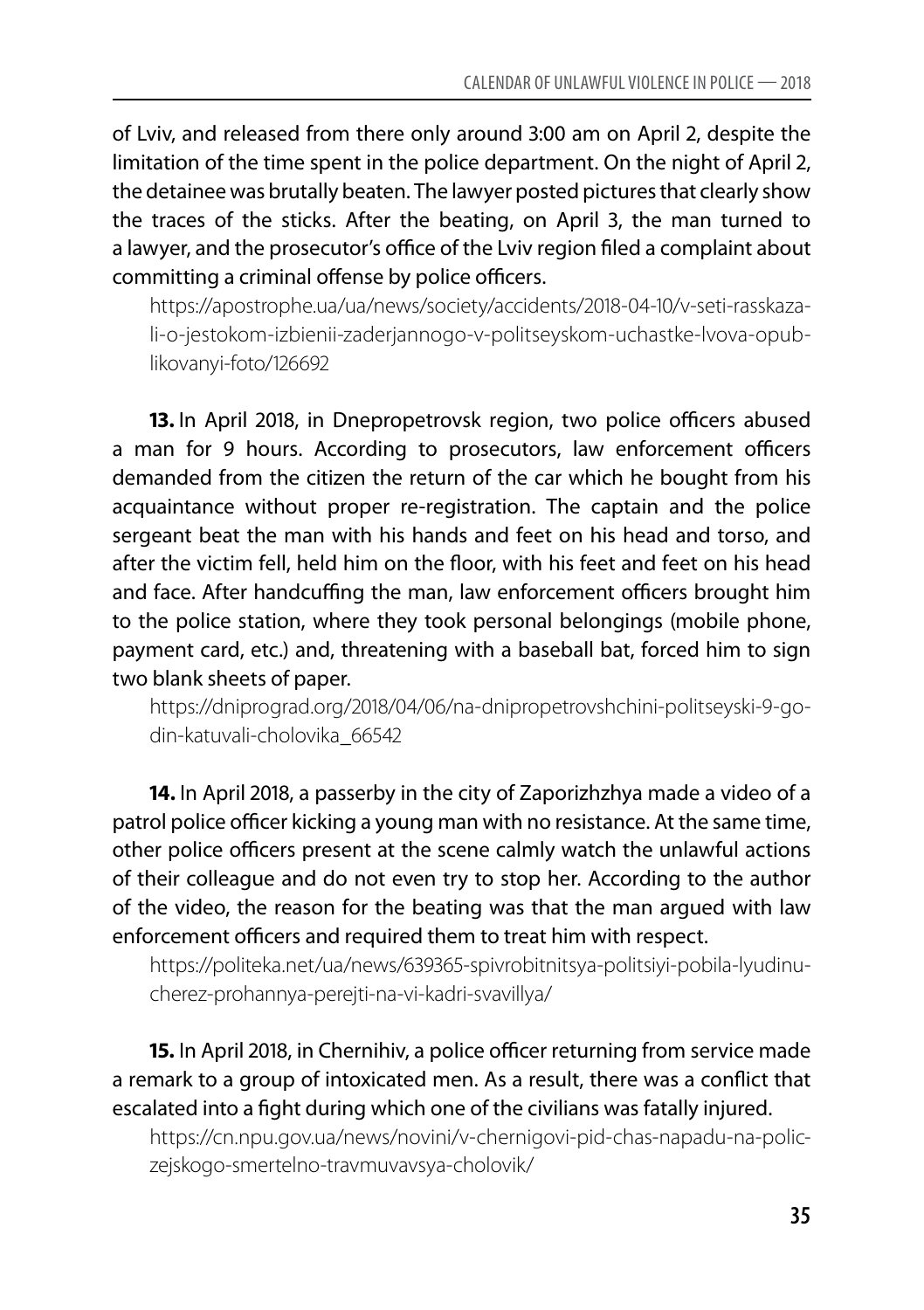of Lviv, and released from there only around 3:00 am on April 2, despite the limitation of the time spent in the police department. On the night of April 2, the detainee was brutally beaten. The lawyer posted pictures that clearly show the traces of the sticks. After the beating, on April 3, the man turned to a lawyer, and the prosecutor's office of the Lviv region filed a complaint about committing a criminal offense by police officers.

https://apostrophe.ua/ua/news/society/accidents/2018-04-10/v-seti-rasskazali-o-jestokom-izbienii-zaderjannogo-v-politseyskom-uchastke-lvova-opublikovanyi-foto/126692

**13.** In April 2018, in Dnepropetrovsk region, two police officers abused a man for 9 hours. According to prosecutors, law enforcement officers demanded from the citizen the return of the car which he bought from his acquaintance without proper re-registration. The captain and the police sergeant beat the man with his hands and feet on his head and torso, and after the victim fell, held him on the floor, with his feet and feet on his head and face. After handcuffing the man, law enforcement officers brought him to the police station, where they took personal belongings (mobile phone, payment card, etc.) and, threatening with a baseball bat, forced him to sign two blank sheets of paper.

https://dniprograd.org/2018/04/06/na-dnipropetrovshchini-politseyski-9-godin-katuvali-cholovika\_66542

**14.** In April 2018, a passerby in the city of Zaporizhzhya made a video of a patrol police officer kicking a young man with no resistance. At the same time, other police officers present at the scene calmly watch the unlawful actions of their colleague and do not even try to stop her. According to the author of the video, the reason for the beating was that the man argued with law enforcement officers and required them to treat him with respect.

https://politeka.net/ua/news/639365-spivrobitnitsya-politsiyi-pobila-lyudinucherez-prohannya-perejti-na-vi-kadri-svavillya/

**15.** In April 2018, in Chernihiv, a police officer returning from service made a remark to a group of intoxicated men. As a result, there was a conflict that escalated into a fight during which one of the civilians was fatally injured.

https://cn.npu.gov.ua/news/novini/v-chernigovi-pid-chas-napadu-na-policzejskogo-smertelno-travmuvavsya-cholovik/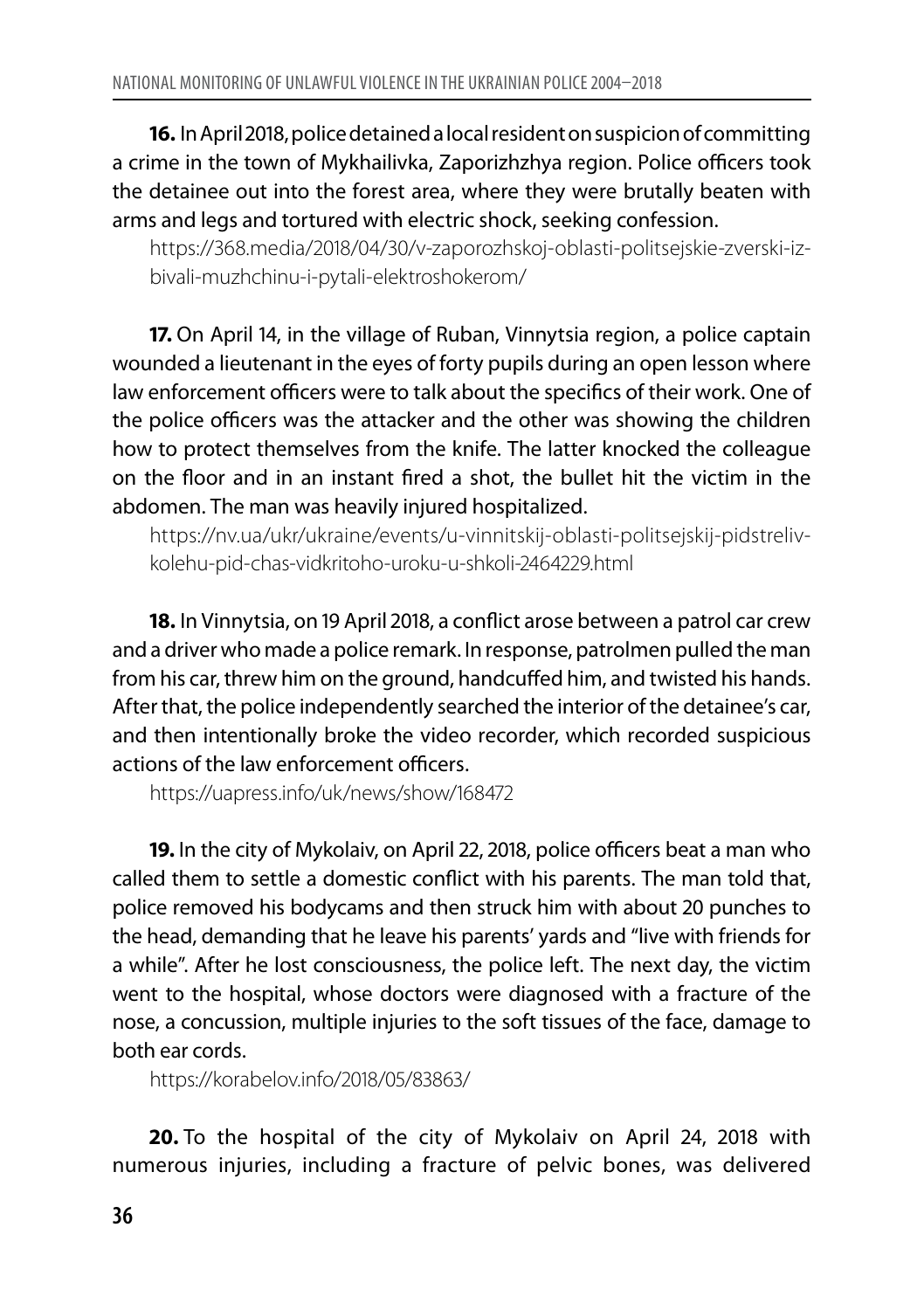**16.** In April 2018, police detained a local resident on suspicion of committing a crime in the town of Mykhailivka, Zaporizhzhya region. Police officers took the detainee out into the forest area, where they were brutally beaten with arms and legs and tortured with electric shock, seeking confession.

https://368.media/2018/04/30/v-zaporozhskoj-oblasti-politsejskie-zverski-izbivali-muzhchinu-i-pytali-elektroshokerom/

**17.** On April 14, in the village of Ruban, Vinnytsia region, a police captain wounded a lieutenant in the eyes of forty pupils during an open lesson where law enforcement officers were to talk about the specifics of their work. One of the police officers was the attacker and the other was showing the children how to protect themselves from the knife. The latter knocked the colleague on the floor and in an instant fired a shot, the bullet hit the victim in the abdomen. The man was heavily injured hospitalized.

https://nv.ua/ukr/ukraine/events/u-vinnitskij-oblasti-politsejskij-pidstrelivkolehu-pid-chas-vidkritoho-uroku-u-shkoli-2464229.html

**18.** In Vinnytsia, on 19 April 2018, a conflict arose between a patrol car crew and a driver who made a police remark. In response, patrolmen pulled the man from his car, threw him on the ground, handcuffed him, and twisted his hands. After that, the police independently searched the interior of the detainee's car, and then intentionally broke the video recorder, which recorded suspicious actions of the law enforcement officers.

https://uapress.info/uk/news/show/168472

**19.** In the city of Mykolaiv, on April 22, 2018, police officers beat a man who called them to settle a domestic conflict with his parents. The man told that, police removed his bodycams and then struck him with about 20 punches to the head, demanding that he leave his parents' yards and "live with friends for a while". After he lost consciousness, the police left. The next day, the victim went to the hospital, whose doctors were diagnosed with a fracture of the nose, a concussion, multiple injuries to the soft tissues of the face, damage to both ear cords.

https://korabelov.info/2018/05/83863/

**20.** To the hospital of the city of Mykolaiv on April 24, 2018 with numerous injuries, including a fracture of pelvic bones, was delivered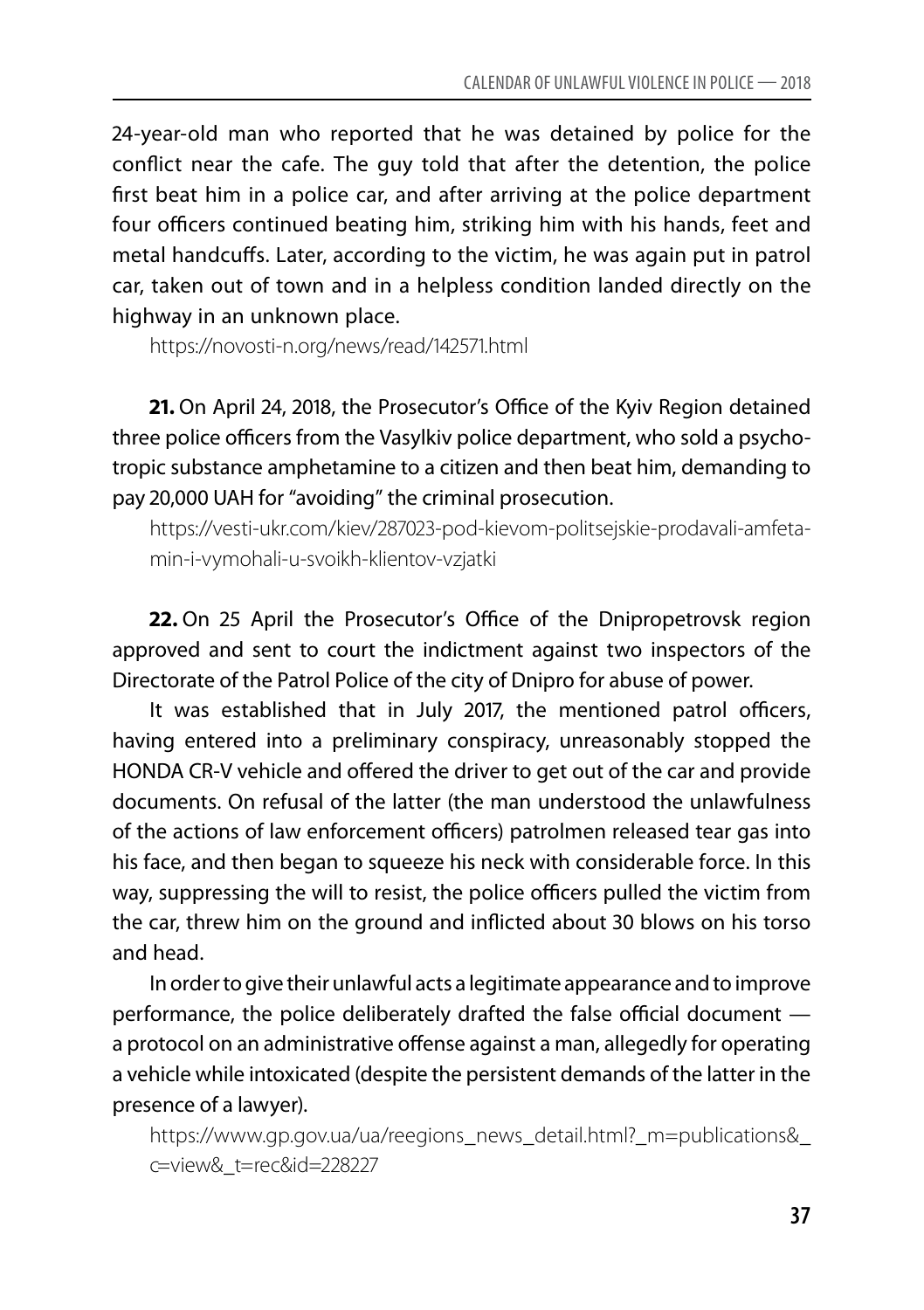24-year-old man who reported that he was detained by police for the conflict near the cafe. The guy told that after the detention, the police first beat him in a police car, and after arriving at the police department four officers continued beating him, striking him with his hands, feet and metal handcuffs. Later, according to the victim, he was again put in patrol car, taken out of town and in a helpless condition landed directly on the highway in an unknown place.

https://novosti-n.org/news/read/142571.html

**21.** On April 24, 2018, the Prosecutor's Office of the Kyiv Region detained three police officers from the Vasylkiv police department, who sold a psychotropic substance amphetamine to a citizen and then beat him, demanding to pay 20,000 UAH for "avoiding" the criminal prosecution.

https://vesti-ukr.com/kiev/287023-pod-kievom-politsejskie-prodavali-amfetamin-i-vymohali-u-svoikh-klientov-vzjatki

**22.** On 25 April the Prosecutor's Office of the Dnipropetrovsk region approved and sent to court the indictment against two inspectors of the Directorate of the Patrol Police of the city of Dnipro for abuse of power.

It was established that in July 2017, the mentioned patrol officers, having entered into a preliminary conspiracy, unreasonably stopped the HONDA CR-V vehicle and offered the driver to get out of the car and provide documents. On refusal of the latter (the man understood the unlawfulness of the actions of law enforcement officers) patrolmen released tear gas into his face, and then began to squeeze his neck with considerable force. In this way, suppressing the will to resist, the police officers pulled the victim from the car, threw him on the ground and inflicted about 30 blows on his torso and head.

In order to give their unlawful acts a legitimate appearance and to improve performance, the police deliberately drafted the false official document a protocol on an administrative offense against a man, allegedly for operating a vehicle while intoxicated (despite the persistent demands of the latter in the presence of a lawyer).

https://www.gp.gov.ua/ua/reegions\_news\_detail.html?\_m=publications& c=view&\_t=rec&id=228227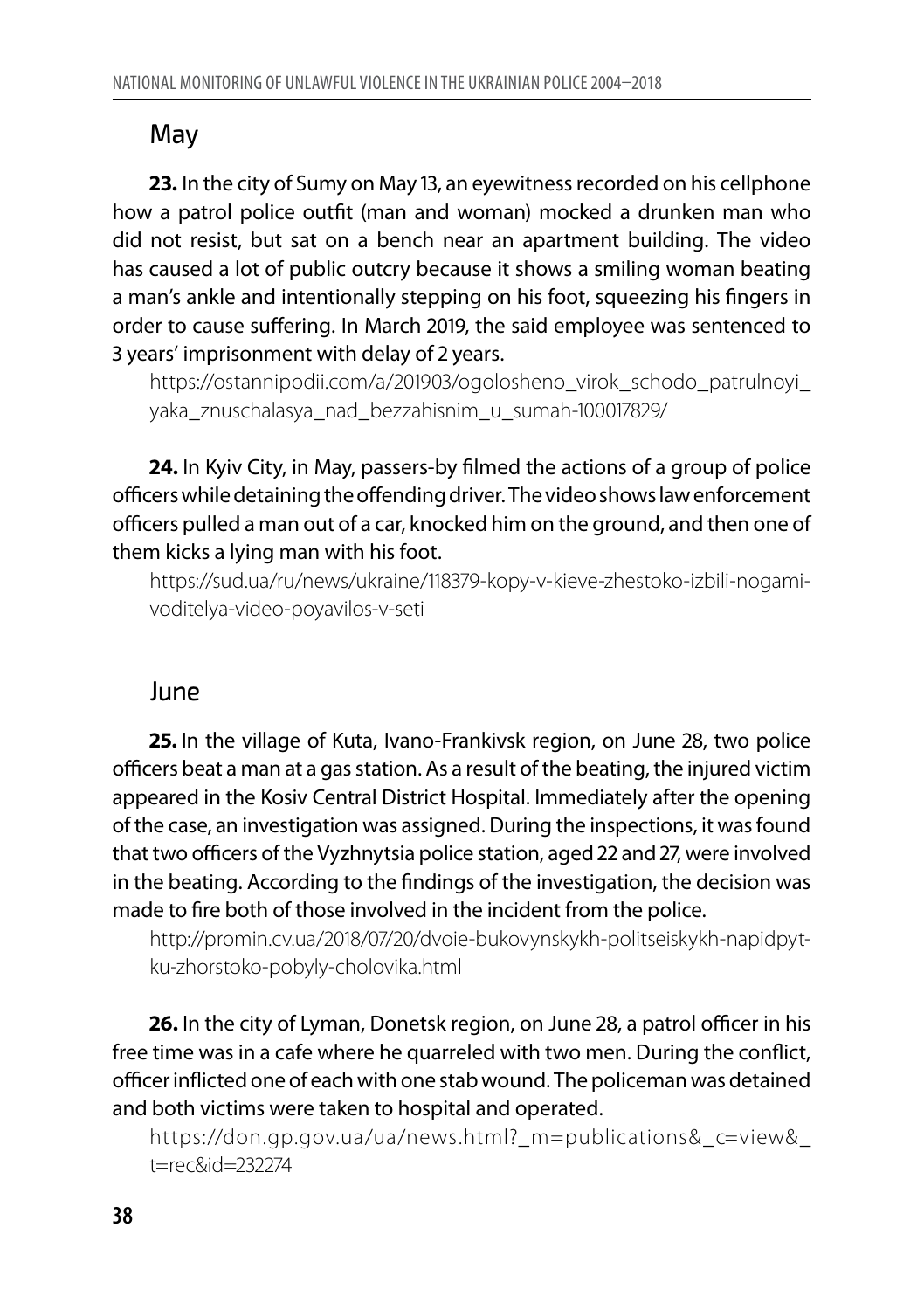#### May

**23.** In the city of Sumy on May 13, an eyewitness recorded on his cellphone how a patrol police outfit (man and woman) mocked a drunken man who did not resist, but sat on a bench near an apartment building. The video has caused a lot of public outcry because it shows a smiling woman beating a man's ankle and intentionally stepping on his foot, squeezing his fingers in order to cause suffering. In March 2019, the said employee was sentenced to 3 years' imprisonment with delay of 2 years.

https://ostannipodii.com/a/201903/ogolosheno\_virok\_schodo\_patrulnoyi\_ yaka\_znuschalasya\_nad\_bezzahisnim\_u\_sumah-100017829/

**24.** In Kyiv City, in May, passers-by filmed the actions of a group of police officers while detaining the offending driver. The video shows law enforcement officers pulled a man out of a car, knocked him on the ground, and then one of them kicks a lying man with his foot.

https://sud.ua/ru/news/ukraine/118379-kopy-v-kieve-zhestoko-izbili-nogamivoditelya-video-poyavilos-v-seti

#### June

**25.** In the village of Kuta, Ivano-Frankivsk region, on June 28, two police officers beat a man at a gas station. As a result of the beating, the injured victim appeared in the Kosiv Central District Hospital. Immediately after the opening of the case, an investigation was assigned. During the inspections, it was found that two officers of the Vyzhnytsia police station, aged 22 and 27, were involved in the beating. According to the findings of the investigation, the decision was made to fire both of those involved in the incident from the police.

http://promin.cv.ua/2018/07/20/dvoie-bukovynskykh-politseiskykh-napidpytku-zhorstoko-pobyly-cholovika.html

**26.** In the city of Lyman, Donetsk region, on June 28, a patrol officer in his free time was in a cafe where he quarreled with two men. During the conflict, officer inflicted one of each with one stab wound. The policeman was detained and both victims were taken to hospital and operated.

https://don.gp.gov.ua/ua/news.html?\_m=publications&\_c=view&\_ t=rec&id=232274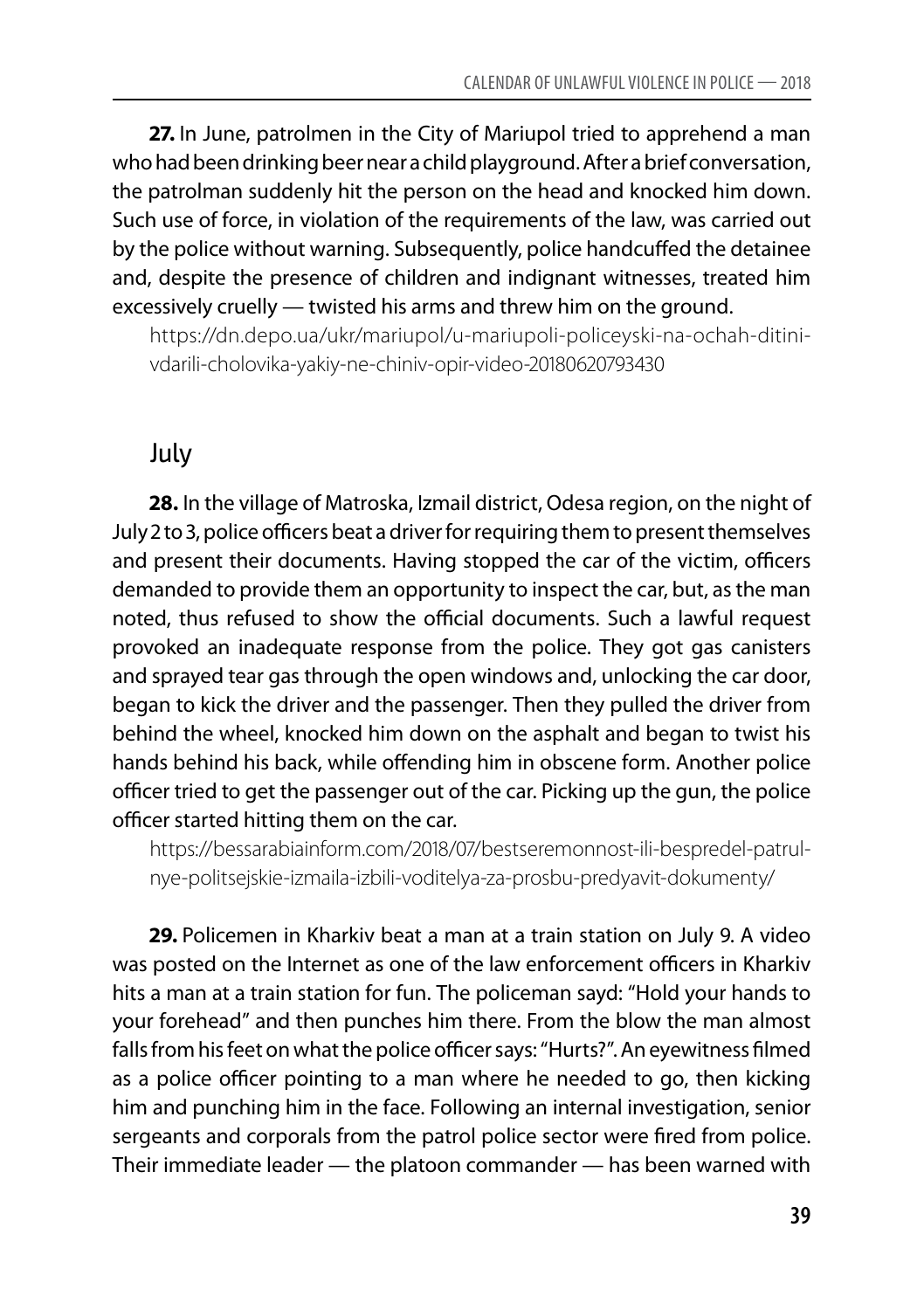**27.** In June, patrolmen in the City of Mariupol tried to apprehend a man who had been drinking beer near a child playground. After a brief conversation, the patrolman suddenly hit the person on the head and knocked him down. Such use of force, in violation of the requirements of the law, was carried out by the police without warning. Subsequently, police handcuffed the detainee and, despite the presence of children and indignant witnesses, treated him excessively cruelly — twisted his arms and threw him on the ground.

https://dn.depo.ua/ukr/mariupol/u-mariupoli-policeyski-na-ochah-ditinivdarili-cholovika-yakiy-ne-chiniv-opir-video-20180620793430

#### July

**28.** In the village of Matroska, Izmail district, Odesa region, on the night of July 2 to 3, police officers beat a driver for requiring them to present themselves and present their documents. Having stopped the car of the victim, officers demanded to provide them an opportunity to inspect the car, but, as the man noted, thus refused to show the official documents. Such a lawful request provoked an inadequate response from the police. They got gas canisters and sprayed tear gas through the open windows and, unlocking the car door, began to kick the driver and the passenger. Then they pulled the driver from behind the wheel, knocked him down on the asphalt and began to twist his hands behind his back, while offending him in obscene form. Another police officer tried to get the passenger out of the car. Picking up the gun, the police officer started hitting them on the car.

https://bessarabiainform.com/2018/07/bestseremonnost-ili-bespredel-patrulnye-politsejskie-izmaila-izbili-voditelya-za-prosbu-predyavit-dokumenty/

**29.** Policemen in Kharkiv beat a man at a train station on July 9. A video was posted on the Internet as one of the law enforcement officers in Kharkiv hits a man at a train station for fun. The policeman sayd: "Hold your hands to your forehead" and then punches him there. From the blow the man almost falls from his feet on what the police officer says: "Hurts?". An eyewitness filmed as a police officer pointing to a man where he needed to go, then kicking him and punching him in the face. Following an internal investigation, senior sergeants and corporals from the patrol police sector were fired from police. Their immediate leader — the platoon commander — has been warned with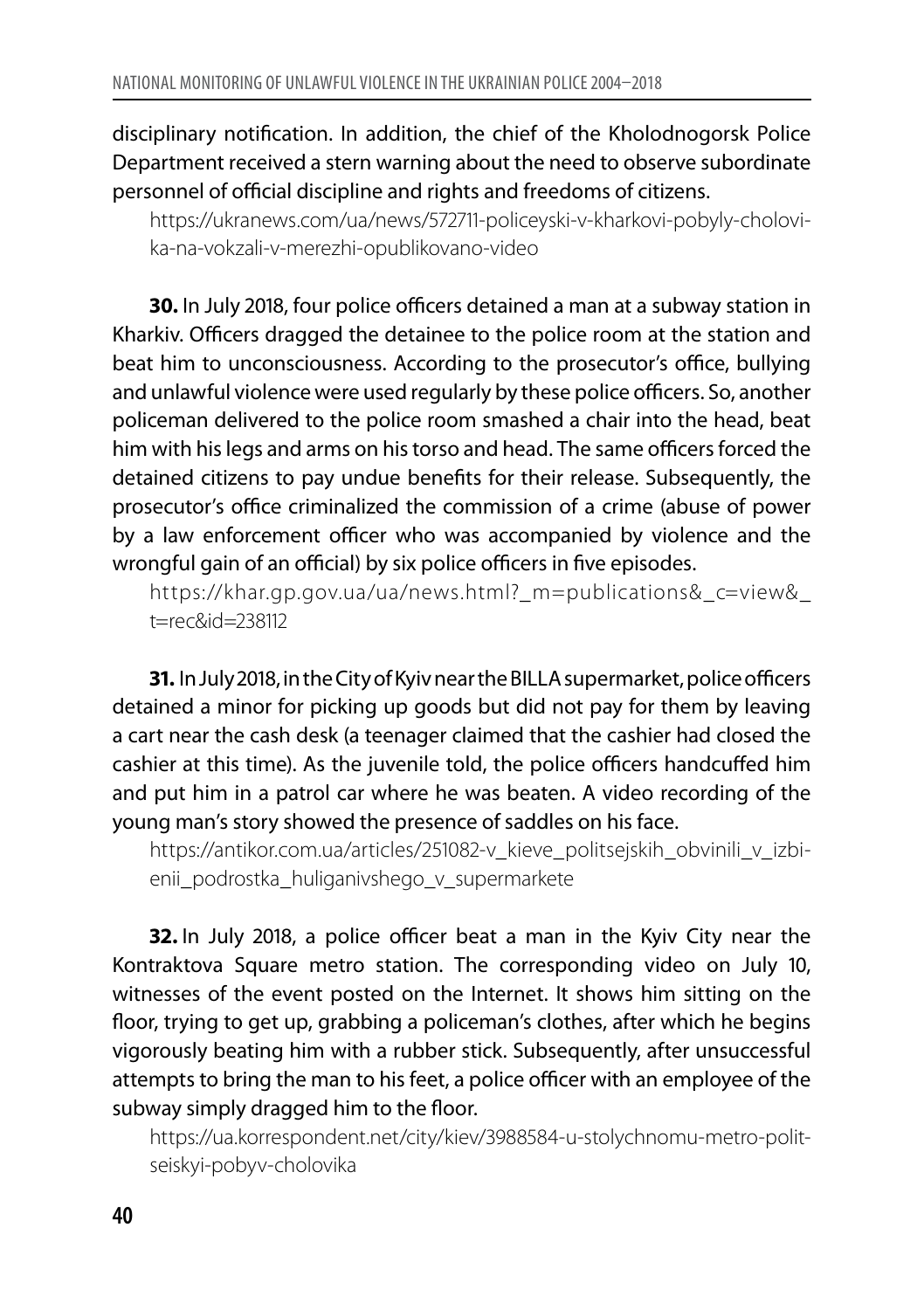disciplinary notification. In addition, the chief of the Kholodnogorsk Police Department received a stern warning about the need to observe subordinate personnel of official discipline and rights and freedoms of citizens.

https://ukranews.com/ua/news/572711-policeyski-v-kharkovi-pobyly-cholovika-na-vokzali-v-merezhi-opublikovano-video

**30.** In July 2018, four police officers detained a man at a subway station in Kharkiv. Officers dragged the detainee to the police room at the station and beat him to unconsciousness. According to the prosecutor's office, bullying and unlawful violence were used regularly by these police officers. So, another policeman delivered to the police room smashed a chair into the head, beat him with his legs and arms on his torso and head. The same officers forced the detained citizens to pay undue benefits for their release. Subsequently, the prosecutor's office criminalized the commission of a crime (abuse of power by a law enforcement officer who was accompanied by violence and the wrongful gain of an official) by six police officers in five episodes.

https://khar.gp.gov.ua/ua/news.html?\_m=publications&\_c=view& t=rec&id=238112

**31.** In July 2018, in the City of Kyiv near the BILLA supermarket, police officers detained a minor for picking up goods but did not pay for them by leaving a cart near the cash desk (a teenager claimed that the cashier had closed the cashier at this time). As the juvenile told, the police officers handcuffed him and put him in a patrol car where he was beaten. A video recording of the young man's story showed the presence of saddles on his face.

https://antikor.com.ua/articles/251082-v kieve politsejskih obvinili v izbienii\_podrostka\_huliganivshego\_v\_supermarkete

**32.** In July 2018, a police officer beat a man in the Kyiv City near the Kontraktova Square metro station. The corresponding video on July 10, witnesses of the event posted on the Internet. It shows him sitting on the floor, trying to get up, grabbing a policeman's clothes, after which he begins vigorously beating him with a rubber stick. Subsequently, after unsuccessful attempts to bring the man to his feet, a police officer with an employee of the subway simply dragged him to the floor.

https://ua.korrespondent.net/city/kiev/3988584-u-stolychnomu-metro-politseiskyi-pobyv-cholovika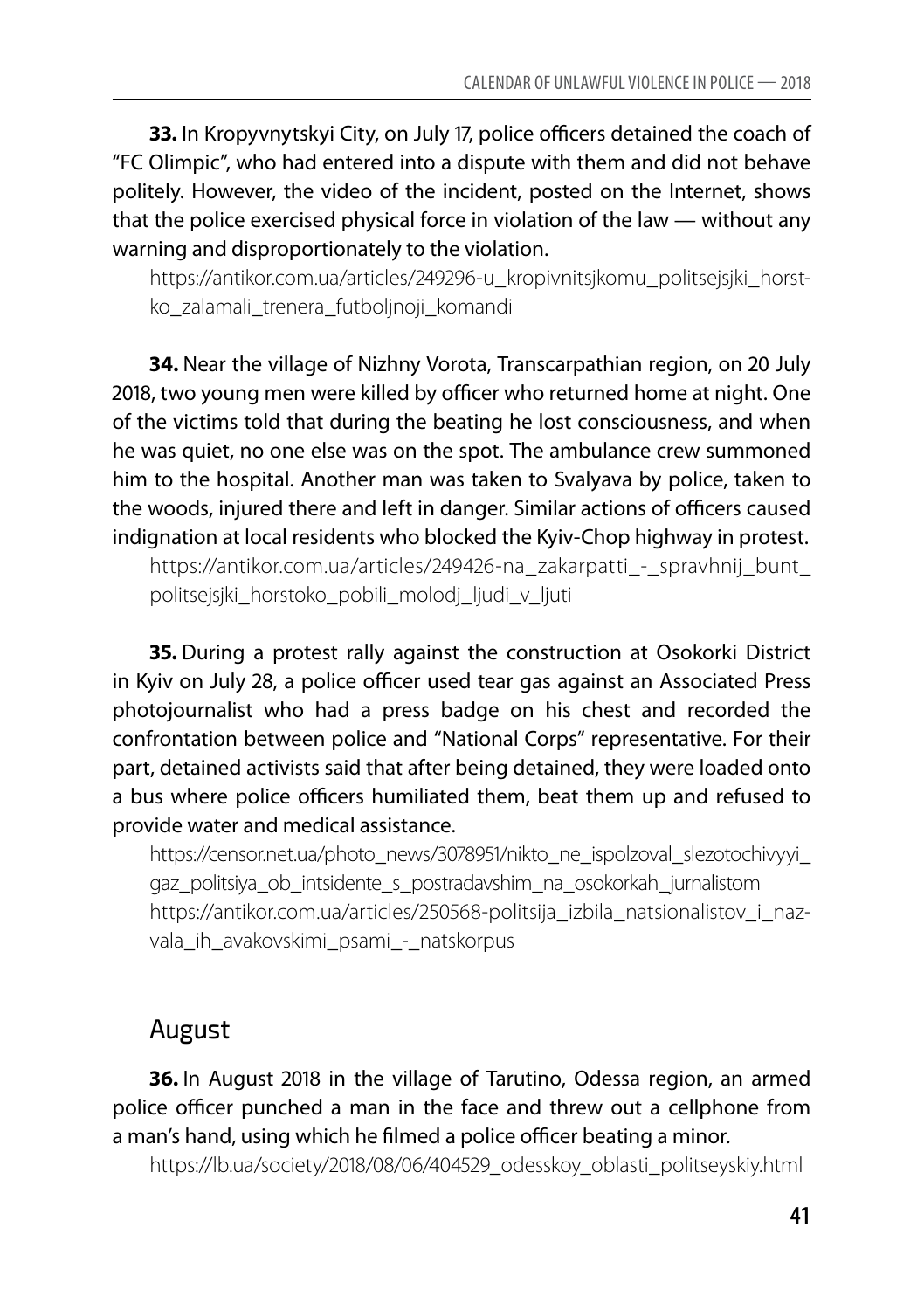**33.** In Kropyvnytskyi City, on July 17, police officers detained the coach of "FC Olimpic", who had entered into a dispute with them and did not behave politely. However, the video of the incident, posted on the Internet, shows that the police exercised physical force in violation of the law — without any warning and disproportionately to the violation.

https://antikor.com.ua/articles/249296-u kropivnitsjkomu politsejsjki horstko\_zalamali\_trenera\_futboljnoji\_komandi

**34.** Near the village of Nizhny Vorota, Transcarpathian region, on 20 July 2018, two young men were killed by officer who returned home at night. One of the victims told that during the beating he lost consciousness, and when he was quiet, no one else was on the spot. The ambulance crew summoned him to the hospital. Another man was taken to Svalyava by police, taken to the woods, injured there and left in danger. Similar actions of officers caused indignation at local residents who blocked the Kyiv-Chop highway in protest.

https://antikor.com.ua/articles/249426-na\_zakarpatti\_-\_spravhnij\_bunt\_ politsejsjki\_horstoko\_pobili\_molodj\_ljudi\_v\_ljuti

**35.** During a protest rally against the construction at Osokorki District in Kyiv on July 28, a police officer used tear gas against an Associated Press photojournalist who had a press badge on his chest and recorded the confrontation between police and "National Corps" representative. For their part, detained activists said that after being detained, they were loaded onto a bus where police officers humiliated them, beat them up and refused to provide water and medical assistance.

https://censor.net.ua/photo\_news/3078951/nikto\_ne\_ispolzoval\_slezotochivyyi gaz\_politsiya\_ob\_intsidente\_s\_postradavshim\_na\_osokorkah\_jurnalistom https://antikor.com.ua/articles/250568-politsija izbila natsionalistov i nazvala ih avakovskimi psami - natskorpus

#### August

**36.** In August 2018 in the village of Tarutino, Odessa region, an armed police officer punched a man in the face and threw out a cellphone from a man's hand, using which he filmed a police officer beating a minor.

https://lb.ua/society/2018/08/06/404529\_odesskoy\_oblasti\_politseyskiy.html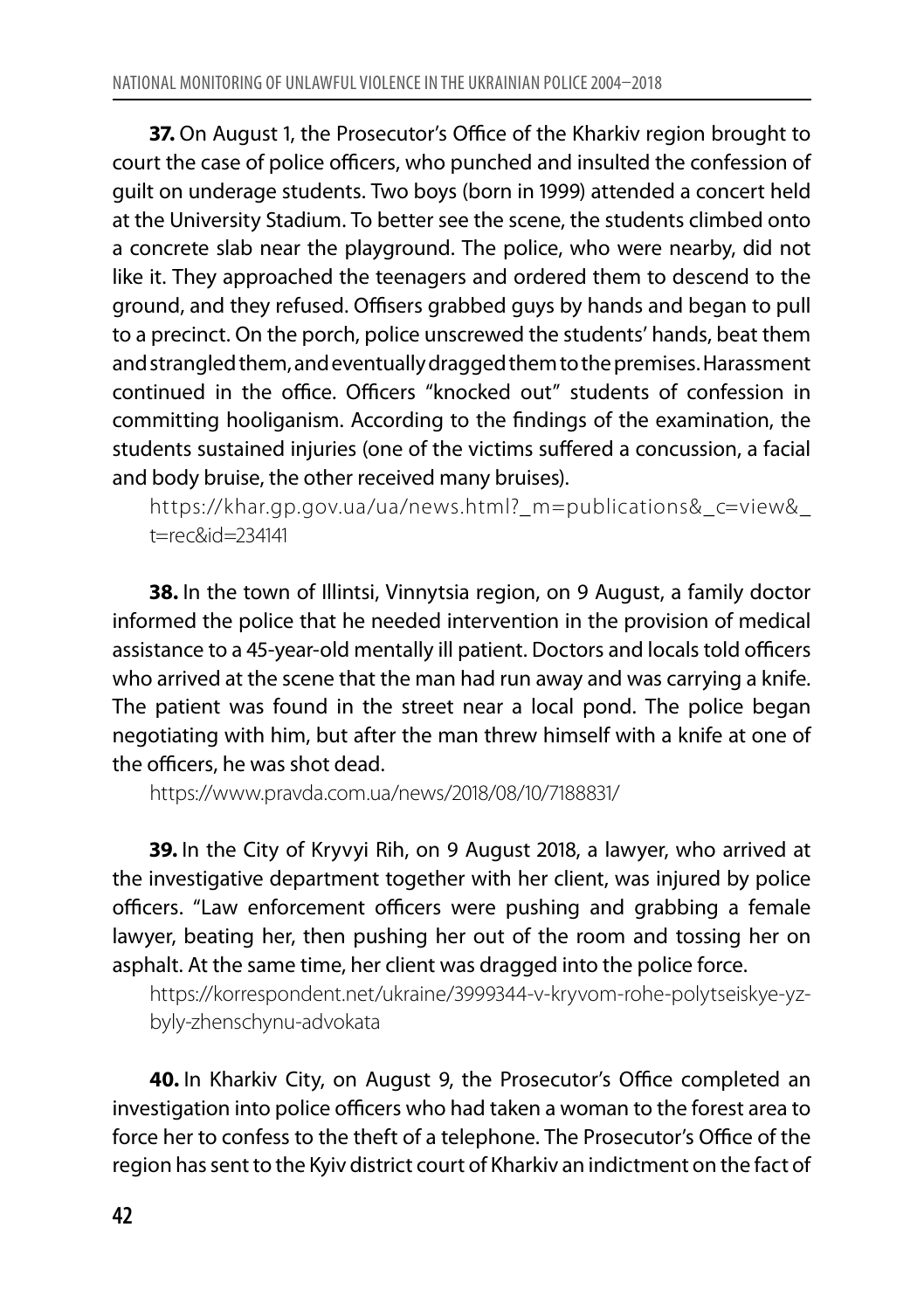**37.** On August 1, the Prosecutor's Office of the Kharkiv region brought to court the case of police officers, who punched and insulted the confession of guilt on underage students. Two boys (born in 1999) attended a concert held at the University Stadium. To better see the scene, the students climbed onto a concrete slab near the playground. The police, who were nearby, did not like it. They approached the teenagers and ordered them to descend to the ground, and they refused. Offisers grabbed guys by hands and began to pull to a precinct. On the porch, police unscrewed the students' hands, beat them and strangled them, and eventually dragged them to the premises. Harassment continued in the office. Officers "knocked out" students of confession in committing hooliganism. According to the findings of the examination, the students sustained injuries (one of the victims suffered a concussion, a facial and body bruise, the other received many bruises).

https://khar.gp.gov.ua/ua/news.html?\_m=publications&\_c=view& t=rec&id=234141

**38.** In the town of Illintsi, Vinnytsia region, on 9 August, a family doctor informed the police that he needed intervention in the provision of medical assistance to a 45-year-old mentally ill patient. Doctors and locals told officers who arrived at the scene that the man had run away and was carrying a knife. The patient was found in the street near a local pond. The police began negotiating with him, but after the man threw himself with a knife at one of the officers, he was shot dead.

https://www.pravda.com.ua/news/2018/08/10/7188831/

**39.** In the City of Kryvyi Rih, on 9 August 2018, a lawyer, who arrived at the investigative department together with her client, was injured by police officers. "Law enforcement officers were pushing and grabbing a female lawyer, beating her, then pushing her out of the room and tossing her on asphalt. At the same time, her client was dragged into the police force.

https://korrespondent.net/ukraine/3999344-v-kryvom-rohe-polytseiskye-yzbyly-zhenschynu-advokata

**40.** In Kharkiv City, on August 9, the Prosecutor's Office completed an investigation into police officers who had taken a woman to the forest area to force her to confess to the theft of a telephone. The Prosecutor's Office of the region has sent to the Kyiv district court of Kharkiv an indictment on the fact of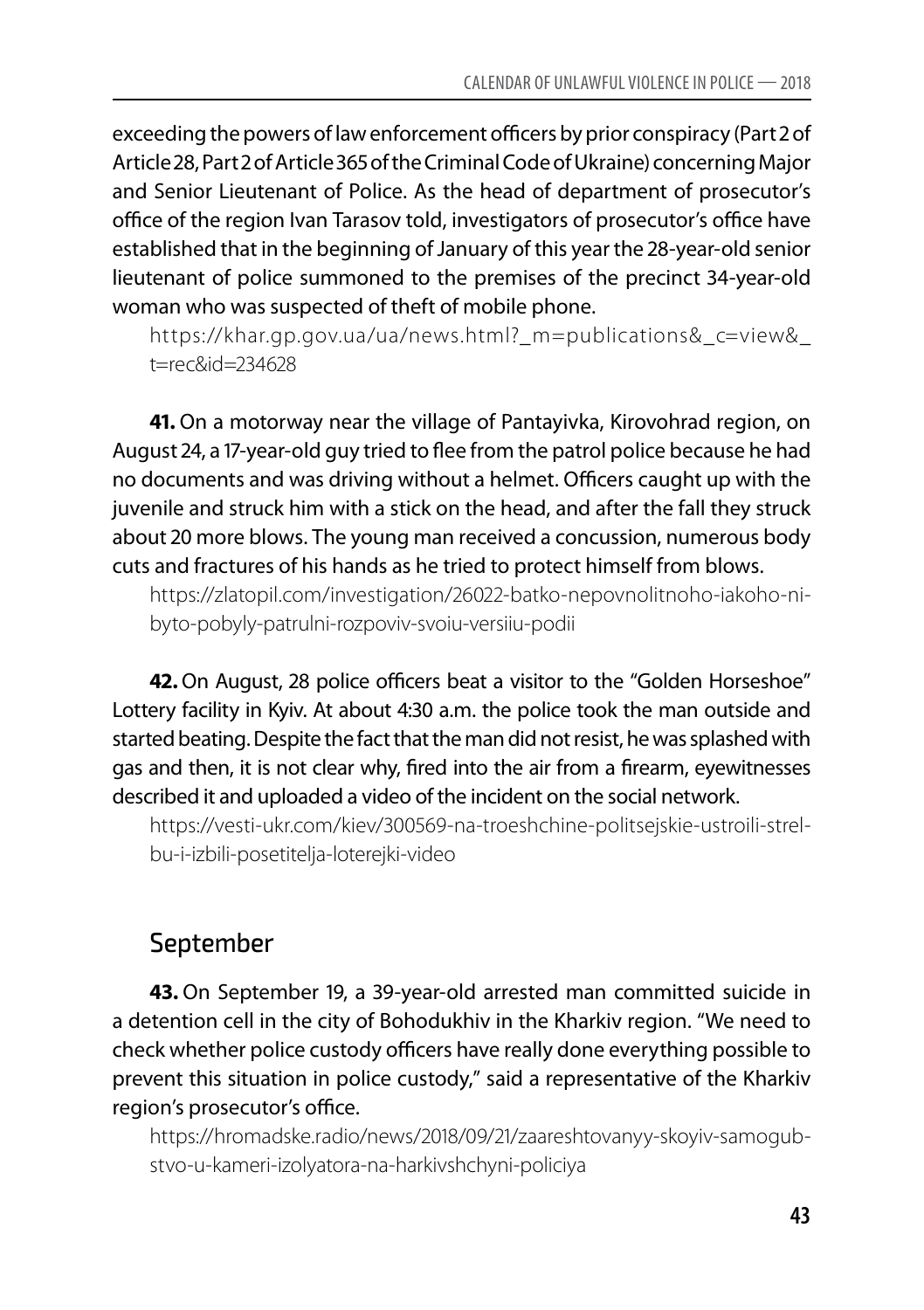exceeding the powers of law enforcement officers by prior conspiracy (Part 2 of Article 28, Part 2 of Article 365 of the Criminal Code of Ukraine) concerning Major and Senior Lieutenant of Police. As the head of department of prosecutor's office of the region Ivan Tarasov told, investigators of prosecutor's office have established that in the beginning of January of this year the 28-year-old senior lieutenant of police summoned to the premises of the precinct 34-year-old woman who was suspected of theft of mobile phone.

https://khar.gp.gov.ua/ua/news.html? m=publications& c=view& t=rec&id=234628

**41.** On a motorway near the village of Pantayivka, Kirovohrad region, on August 24, a 17-year-old guy tried to flee from the patrol police because he had no documents and was driving without a helmet. Officers caught up with the juvenile and struck him with a stick on the head, and after the fall they struck about 20 more blows. The young man received a concussion, numerous body cuts and fractures of his hands as he tried to protect himself from blows.

https://zlatopil.com/investigation/26022-batko-nepovnolitnoho-iakoho-nibyto-pobyly-patrulni-rozpoviv-svoiu-versiiu-podii

**42.** On August, 28 police officers beat a visitor to the "Golden Horseshoe" Lottery facility in Kyiv. At about 4:30 a.m. the police took the man outside and started beating. Despite the fact that the man did not resist, he was splashed with gas and then, it is not clear why, fired into the air from a firearm, eyewitnesses described it and uploaded a video of the incident on the social network.

https://vesti-ukr.com/kiev/300569-na-troeshchine-politsejskie-ustroili-strelbu-i-izbili-posetitelja-loterejki-video

### September

**43.** On September 19, a 39-year-old arrested man committed suicide in a detention cell in the city of Bohodukhiv in the Kharkiv region. "We need to check whether police custody officers have really done everything possible to prevent this situation in police custody," said a representative of the Kharkiv region's prosecutor's office.

https://hromadske.radio/news/2018/09/21/zaareshtovanyy-skoyiv-samogubstvo-u-kameri-izolyatora-na-harkivshchyni-policiya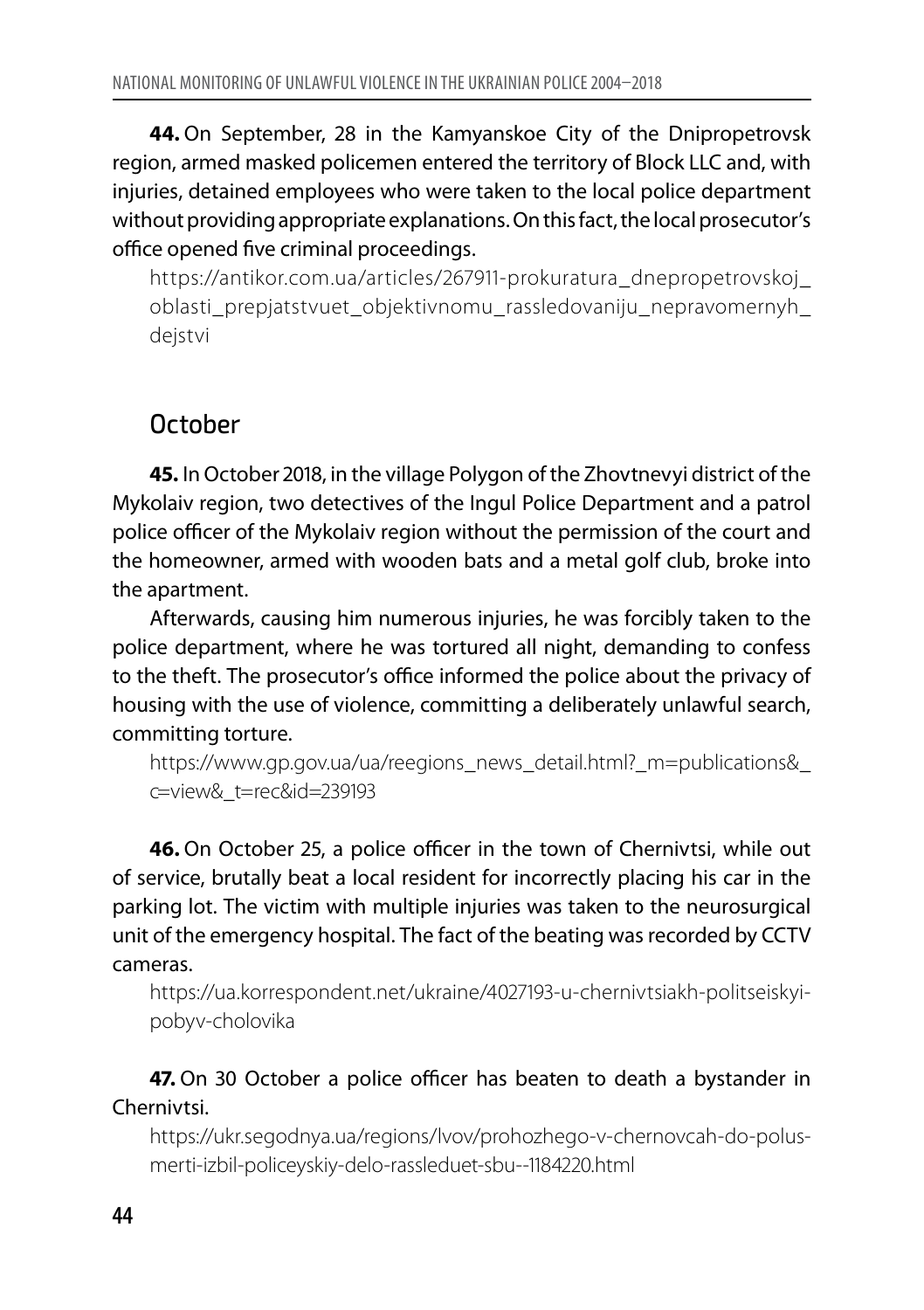**44.** On September, 28 in the Kamyanskoe City of the Dnipropetrovsk region, armed masked policemen entered the territory of Block LLC and, with injuries, detained employees who were taken to the local police department without providing appropriate explanations. On this fact, the local prosecutor's office opened five criminal proceedings.

https://antikor.com.ua/articles/267911-prokuratura\_dnepropetrovskoj\_ oblasti\_prepjatstvuet\_objektivnomu\_rassledovaniju\_nepravomernyh\_ dejstvi

#### **October**

**45.** In October 2018, in the village Polygon of the Zhovtnevyi district of the Mykolaiv region, two detectives of the Ingul Police Department and a patrol police officer of the Mykolaiv region without the permission of the court and the homeowner, armed with wooden bats and a metal golf club, broke into the apartment.

Afterwards, causing him numerous injuries, he was forcibly taken to the police department, where he was tortured all night, demanding to confess to the theft. The prosecutor's office informed the police about the privacy of housing with the use of violence, committing a deliberately unlawful search, committing torture.

https://www.gp.gov.ua/ua/reegions\_news\_detail.html?\_m=publications& c=view&\_t=rec&id=239193

**46.** On October 25, a police officer in the town of Chernivtsi, while out of service, brutally beat a local resident for incorrectly placing his car in the parking lot. The victim with multiple injuries was taken to the neurosurgical unit of the emergency hospital. The fact of the beating was recorded by CCTV cameras.

https://ua.korrespondent.net/ukraine/4027193-u-chernivtsiakh-politseiskyipobyv-cholovika

**47.** On 30 October a police officer has beaten to death a bystander in Chernivtsi.

https://ukr.segodnya.ua/regions/lvov/prohozhego-v-chernovcah-do-polusmerti-izbil-policeyskiy-delo-rassleduet-sbu--1184220.html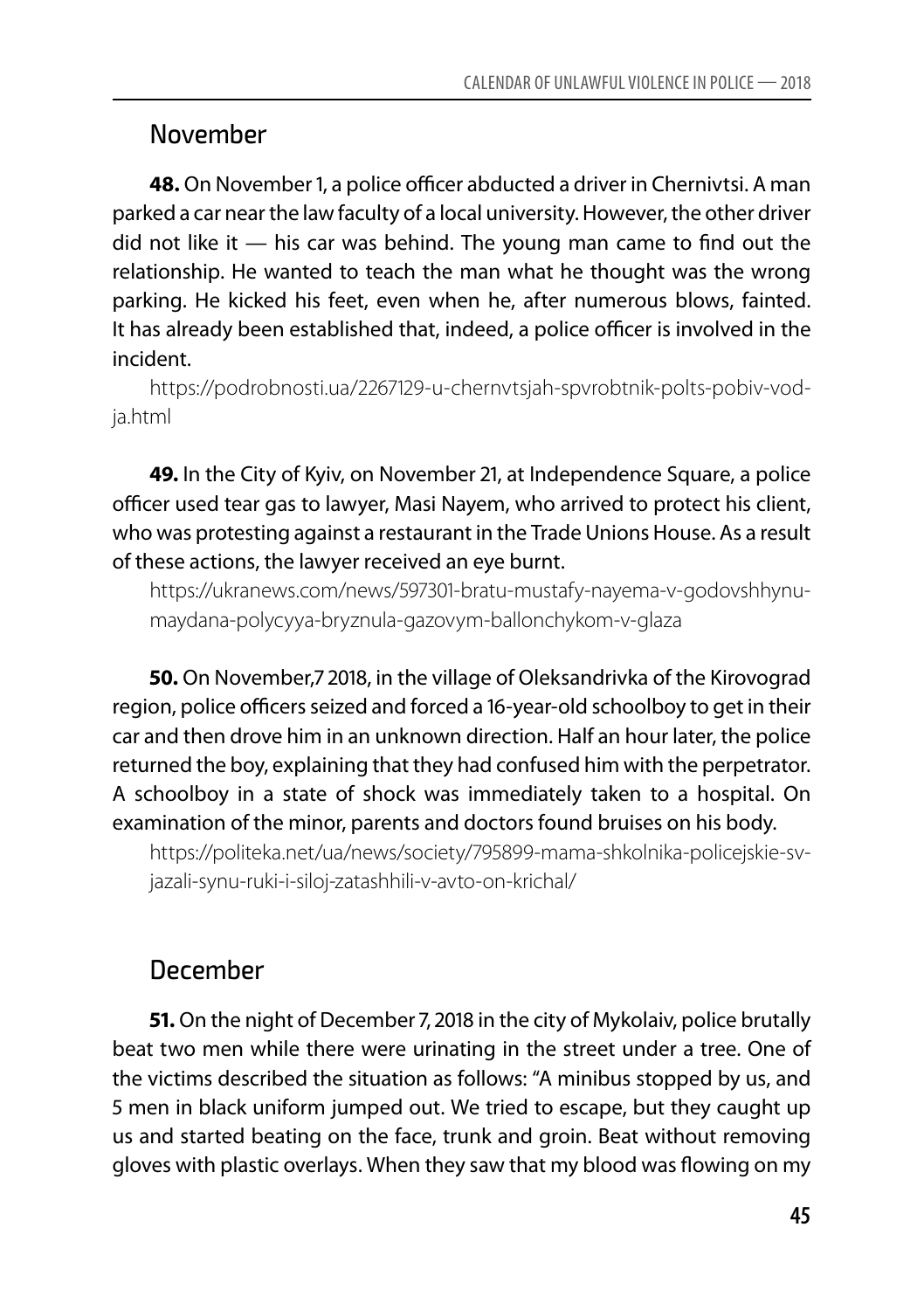#### November

**48.** On November 1, a police officer abducted a driver in Chernivtsi. A man parked a car near the law faculty of a local university. However, the other driver did not like it — his car was behind. The young man came to find out the relationship. He wanted to teach the man what he thought was the wrong parking. He kicked his feet, even when he, after numerous blows, fainted. It has already been established that, indeed, a police officer is involved in the incident.

https://podrobnosti.ua/2267129-u-chernvtsjah-spvrobtnik-polts-pobiv-vodja.html

**49.** In the City of Kyiv, on November 21, at Independence Square, a police officer used tear gas to lawyer, Masi Nayem, who arrived to protect his client, who was protesting against a restaurant in the Trade Unions House. As a result of these actions, the lawyer received an eye burnt.

https://ukranews.com/news/597301-bratu-mustafy-nayema-v-godovshhynumaydana-polycyya-bryznula-gazovym-ballonchykom-v-glaza

**50.** On November,7 2018, in the village of Oleksandrivka of the Kirovograd region, police officers seized and forced a 16-year-old schoolboy to get in their car and then drove him in an unknown direction. Half an hour later, the police returned the boy, explaining that they had confused him with the perpetrator. A schoolboy in a state of shock was immediately taken to a hospital. On examination of the minor, parents and doctors found bruises on his body.

https://politeka.net/ua/news/society/795899-mama-shkolnika-policejskie-svjazali-synu-ruki-i-siloj-zatashhili-v-avto-on-krichal/

#### December

**51.** On the night of December 7, 2018 in the city of Mykolaiv, police brutally beat two men while there were urinating in the street under a tree. One of the victims described the situation as follows: "A minibus stopped by us, and 5 men in black uniform jumped out. We tried to escape, but they caught up us and started beating on the face, trunk and groin. Beat without removing gloves with plastic overlays. When they saw that my blood was flowing on my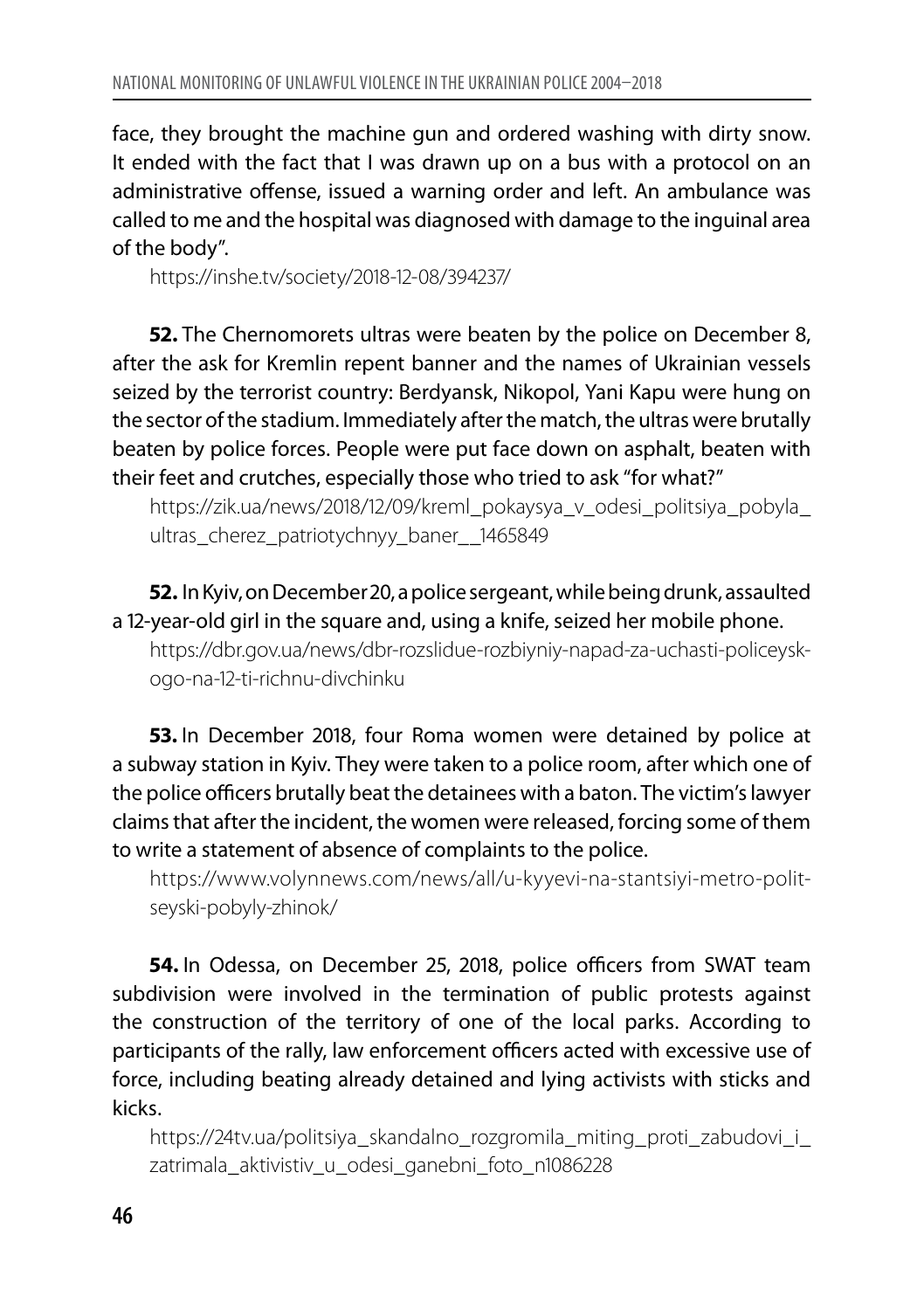face, they brought the machine gun and ordered washing with dirty snow. It ended with the fact that I was drawn up on a bus with a protocol on an administrative offense, issued a warning order and left. An ambulance was called to me and the hospital was diagnosed with damage to the inguinal area of the body".

https://inshe.tv/society/2018-12-08/394237/

**52.** The Chernomorets ultras were beaten by the police on December 8, after the ask for Kremlin repent banner and the names of Ukrainian vessels seized by the terrorist country: Berdyansk, Nikopol, Yani Kapu were hung on the sector of the stadium. Immediately after the match, the ultras were brutally beaten by police forces. People were put face down on asphalt, beaten with their feet and crutches, especially those who tried to ask "for what?"

https://zik.ua/news/2018/12/09/kreml\_pokaysya\_v\_odesi\_politsiya\_pobyla\_ ultras cherez patriotychnyy baner 1465849

**52.** In Kyiv, on December 20, a police sergeant, while being drunk, assaulted a 12-year-old girl in the square and, using a knife, seized her mobile phone.

https://dbr.gov.ua/news/dbr-rozslidue-rozbiyniy-napad-za-uchasti-policeyskogo-na-12-ti-richnu-divchinku

**53.** In December 2018, four Roma women were detained by police at a subway station in Kyiv. They were taken to a police room, after which one of the police officers brutally beat the detainees with a baton. The victim's lawyer claims that after the incident, the women were released, forcing some of them to write a statement of absence of complaints to the police.

https://www.volynnews.com/news/all/u-kyyevi-na-stantsiyi-metro-politseyski-pobyly-zhinok/

**54.** In Odessa, on December 25, 2018, police officers from SWAT team subdivision were involved in the termination of public protests against the construction of the territory of one of the local parks. According to participants of the rally, law enforcement officers acted with excessive use of force, including beating already detained and lying activists with sticks and kicks.

https://24tv.ua/politsiya\_skandalno\_rozgromila\_miting\_proti\_zabudovi\_i\_ zatrimala\_aktivistiv\_u\_odesi\_ganebni\_foto\_n1086228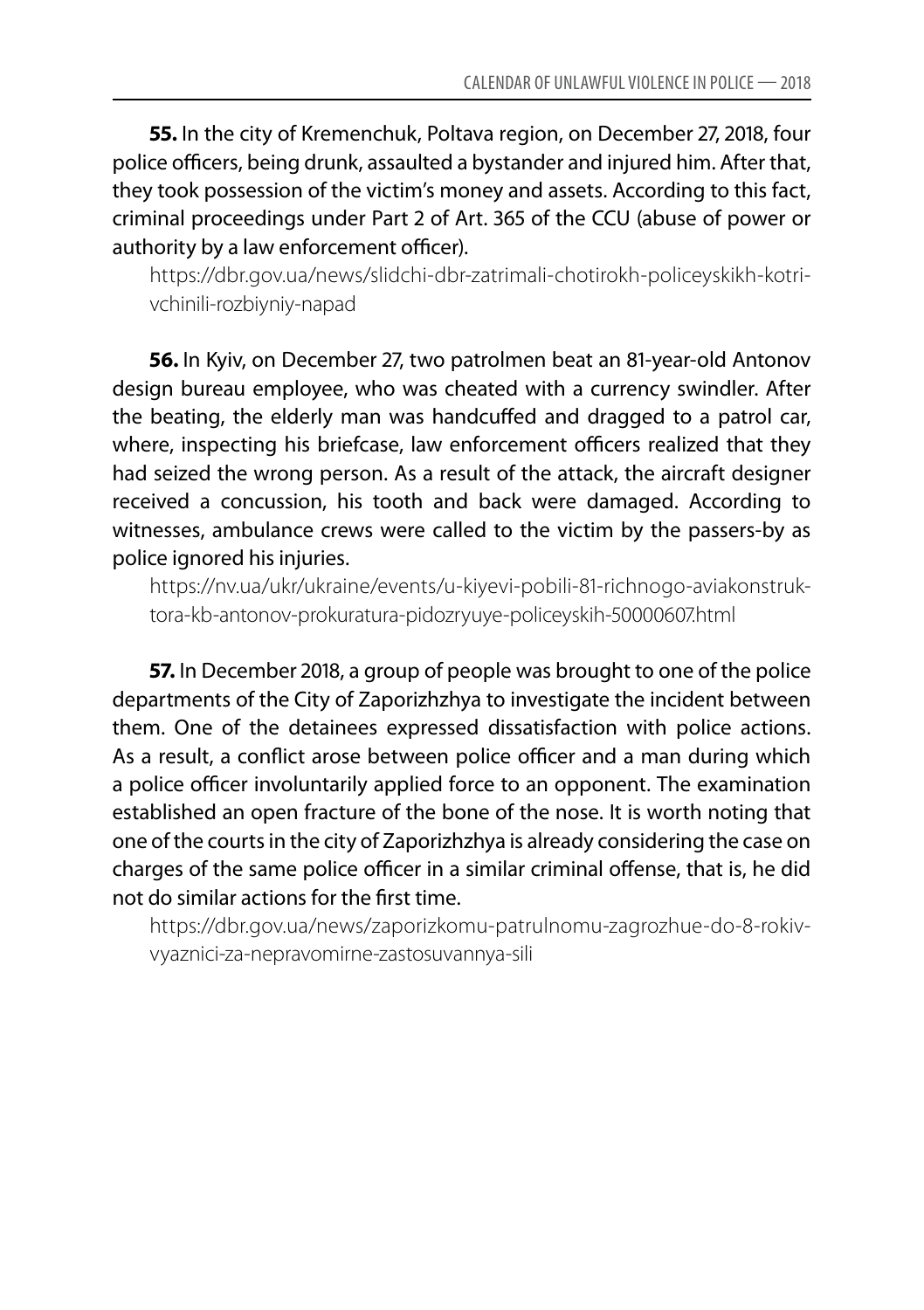**55.** In the city of Kremenchuk, Poltava region, on December 27, 2018, four police officers, being drunk, assaulted a bystander and injured him. After that, they took possession of the victim's money and assets. According to this fact, criminal proceedings under Part 2 of Art. 365 of the CCU (abuse of power or authority by a law enforcement officer).

https://dbr.gov.ua/news/slidchi-dbr-zatrimali-chotirokh-policeyskikh-kotrivchinili-rozbiyniy-napad

**56.** In Kyiv, on December 27, two patrolmen beat an 81-year-old Antonov design bureau employee, who was cheated with a currency swindler. After the beating, the elderly man was handcuffed and dragged to a patrol car, where, inspecting his briefcase, law enforcement officers realized that they had seized the wrong person. As a result of the attack, the aircraft designer received a concussion, his tooth and back were damaged. According to witnesses, ambulance crews were called to the victim by the passers-by as police ignored his injuries.

https://nv.ua/ukr/ukraine/events/u-kiyevi-pobili-81-richnogo-aviakonstruktora-kb-antonov-prokuratura-pidozryuye-policeyskih-50000607.html

**57.** In December 2018, a group of people was brought to one of the police departments of the City of Zaporizhzhya to investigate the incident between them. One of the detainees expressed dissatisfaction with police actions. As a result, a conflict arose between police officer and a man during which a police officer involuntarily applied force to an opponent. The examination established an open fracture of the bone of the nose. It is worth noting that one of the courts in the city of Zaporizhzhya is already considering the case on charges of the same police officer in a similar criminal offense, that is, he did not do similar actions for the first time.

https://dbr.gov.ua/news/zaporizkomu-patrulnomu-zagrozhue-do-8-rokivvyaznici-za-nepravomirne-zastosuvannya-sili